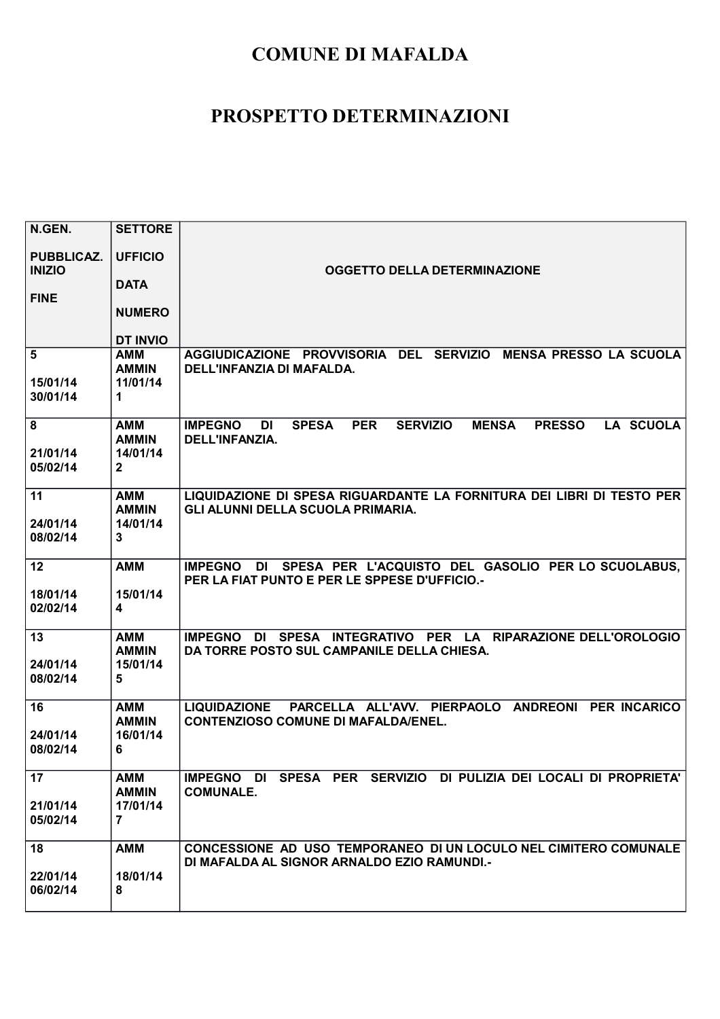| N.GEN.                             | <b>SETTORE</b>                       |                                                                                                                                                     |
|------------------------------------|--------------------------------------|-----------------------------------------------------------------------------------------------------------------------------------------------------|
| <b>PUBBLICAZ.</b><br><b>INIZIO</b> | <b>UFFICIO</b>                       | <b>OGGETTO DELLA DETERMINAZIONE</b>                                                                                                                 |
|                                    | <b>DATA</b>                          |                                                                                                                                                     |
| <b>FINE</b>                        | <b>NUMERO</b>                        |                                                                                                                                                     |
|                                    | <b>DT INVIO</b>                      |                                                                                                                                                     |
| 5<br>15/01/14<br>30/01/14          | AMM<br><b>AMMIN</b><br>11/01/14<br>1 | AGGIUDICAZIONE PROVVISORIA DEL SERVIZIO<br><b>MENSA PRESSO LA SCUOLA</b><br>DELL'INFANZIA DI MAFALDA.                                               |
| 8                                  | <b>AMM</b><br><b>AMMIN</b>           | <b>PER</b><br><b>LA SCUOLA</b><br><b>IMPEGNO</b><br><b>SPESA</b><br><b>SERVIZIO</b><br><b>MENSA</b><br><b>PRESSO</b><br>DI<br><b>DELL'INFANZIA.</b> |
| 21/01/14<br>05/02/14               | 14/01/14<br>$\mathbf{2}$             |                                                                                                                                                     |
| 11                                 | <b>AMM</b><br><b>AMMIN</b>           | LIQUIDAZIONE DI SPESA RIGUARDANTE LA FORNITURA DEI LIBRI DI TESTO PER<br>GLI ALUNNI DELLA SCUOLA PRIMARIA.                                          |
| 24/01/14<br>08/02/14               | 14/01/14<br>$\mathbf{3}$             |                                                                                                                                                     |
| 12                                 | <b>AMM</b>                           | IMPEGNO DI SPESA PER L'ACQUISTO DEL GASOLIO PER LO SCUOLABUS,<br>PER LA FIAT PUNTO E PER LE SPPESE D'UFFICIO.                                       |
| 18/01/14<br>02/02/14               | 15/01/14<br>$\overline{\mathbf{4}}$  |                                                                                                                                                     |
| 13                                 | <b>AMM</b><br><b>AMMIN</b>           | IMPEGNO DI SPESA INTEGRATIVO PER LA RIPARAZIONE DELL'OROLOGIO<br>DA TORRE POSTO SUL CAMPANILE DELLA CHIESA.                                         |
| 24/01/14<br>08/02/14               | 15/01/14<br>5                        |                                                                                                                                                     |
| 16                                 | <b>AMM</b><br><b>AMMIN</b>           | PARCELLA ALL'AVV. PIERPAOLO ANDREONI PER INCARICO<br><b>LIQUIDAZIONE</b><br><b>CONTENZIOSO COMUNE DI MAFALDA/ENEL.</b>                              |
| 24/01/14<br>08/02/14               | 16/01/14<br>6                        |                                                                                                                                                     |
| 17                                 | <b>AMM</b><br><b>AMMIN</b>           | IMPEGNO DI SPESA PER SERVIZIO DI PULIZIA DEI LOCALI DI PROPRIETA'<br><b>COMUNALE.</b>                                                               |
| 21/01/14<br>05/02/14               | 17/01/14<br>$\overline{7}$           |                                                                                                                                                     |
| 18                                 | <b>AMM</b>                           | CONCESSIONE AD USO TEMPORANEO DI UN LOCULO NEL CIMITERO COMUNALE<br>DI MAFALDA AL SIGNOR ARNALDO EZIO RAMUNDI.-                                     |
| 22/01/14<br>06/02/14               | 18/01/14<br>8                        |                                                                                                                                                     |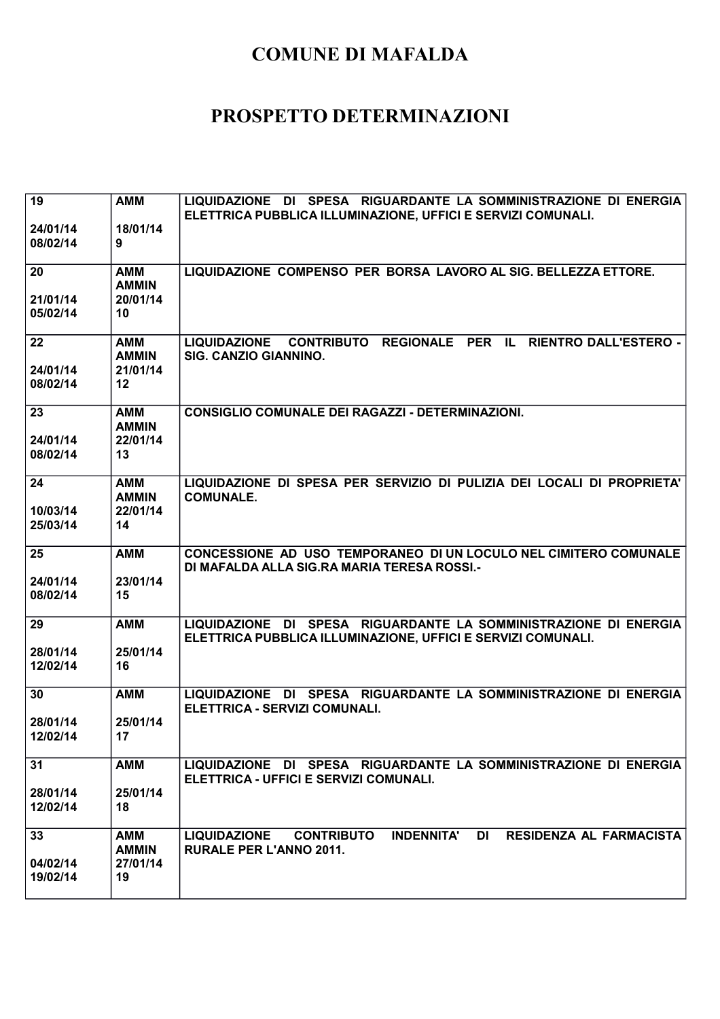| 19<br>24/01/14<br>08/02/14 | <b>AMM</b><br>18/01/14<br>9                  | LIQUIDAZIONE DI SPESA RIGUARDANTE LA SOMMINISTRAZIONE DI ENERGIA<br>ELETTRICA PUBBLICA ILLUMINAZIONE, UFFICI E SERVIZI COMUNALI.        |
|----------------------------|----------------------------------------------|-----------------------------------------------------------------------------------------------------------------------------------------|
| 20<br>21/01/14<br>05/02/14 | <b>AMM</b><br><b>AMMIN</b><br>20/01/14<br>10 | LIQUIDAZIONE COMPENSO PER BORSA LAVORO AL SIG. BELLEZZA ETTORE.                                                                         |
| 22<br>24/01/14<br>08/02/14 | <b>AMM</b><br><b>AMMIN</b><br>21/01/14<br>12 | CONTRIBUTO REGIONALE PER IL<br><b>LIQUIDAZIONE</b><br><b>RIENTRO DALL'ESTERO -</b><br>SIG. CANZIO GIANNINO.                             |
| 23<br>24/01/14<br>08/02/14 | <b>AMM</b><br><b>AMMIN</b><br>22/01/14<br>13 | <b>CONSIGLIO COMUNALE DEI RAGAZZI - DETERMINAZIONI.</b>                                                                                 |
| 24<br>10/03/14<br>25/03/14 | <b>AMM</b><br><b>AMMIN</b><br>22/01/14<br>14 | LIQUIDAZIONE DI SPESA PER SERVIZIO DI PULIZIA DEI LOCALI DI PROPRIETA'<br><b>COMUNALE.</b>                                              |
| 25<br>24/01/14<br>08/02/14 | <b>AMM</b><br>23/01/14<br>15                 | CONCESSIONE AD USO TEMPORANEO DI UN LOCULO NEL CIMITERO COMUNALE<br>DI MAFALDA ALLA SIG.RA MARIA TERESA ROSSI.-                         |
| 29<br>28/01/14<br>12/02/14 | <b>AMM</b><br>25/01/14<br>16                 | LIQUIDAZIONE DI SPESA RIGUARDANTE LA SOMMINISTRAZIONE DI ENERGIA<br>ELETTRICA PUBBLICA ILLUMINAZIONE, UFFICI E SERVIZI COMUNALI.        |
| 30<br>28/01/14<br>12/02/14 | <b>AMM</b><br>25/01/14<br>17                 | LIQUIDAZIONE DI SPESA RIGUARDANTE LA SOMMINISTRAZIONE DI ENERGIA<br>ELETTRICA - SERVIZI COMUNALI.                                       |
| 31<br>28/01/14<br>12/02/14 | <b>AMM</b><br>25/01/14<br>18                 | LIQUIDAZIONE DI SPESA RIGUARDANTE LA SOMMINISTRAZIONE DI ENERGIA<br>ELETTRICA - UFFICI E SERVIZI COMUNALI.                              |
| 33<br>04/02/14<br>19/02/14 | AMM<br><b>AMMIN</b><br>27/01/14<br>19        | <b>INDENNITA'</b><br>DI<br><b>RESIDENZA AL FARMACISTA</b><br><b>LIQUIDAZIONE</b><br><b>CONTRIBUTO</b><br><b>RURALE PER L'ANNO 2011.</b> |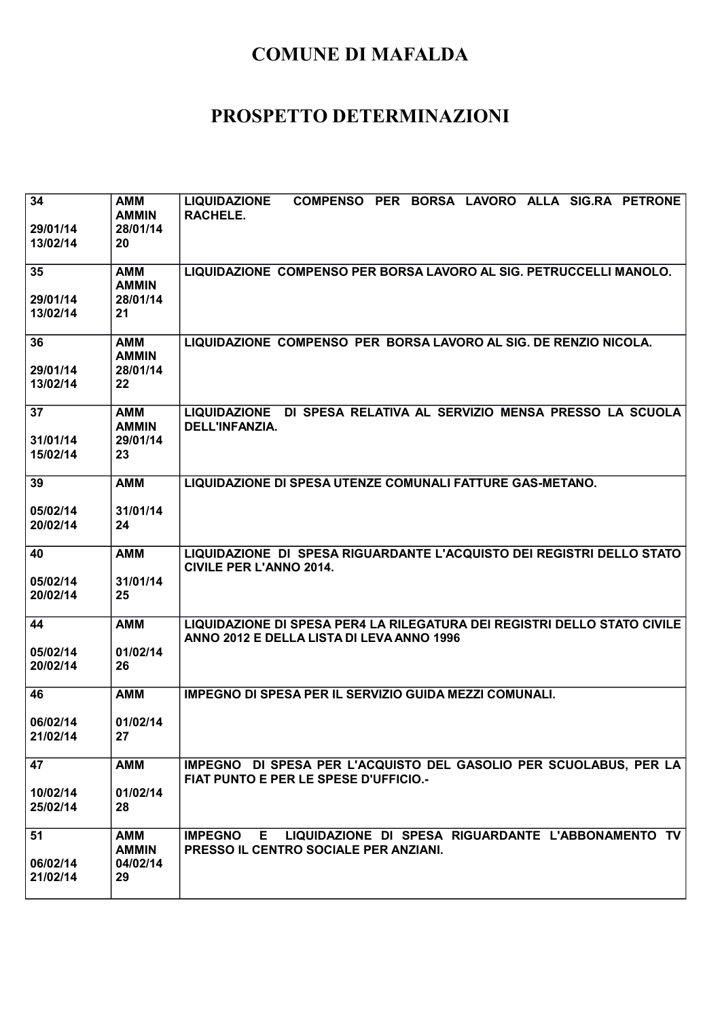| 34<br>29/01/14<br>13/02/14 | <b>AMM</b><br><b>AMMIN</b><br>28/01/14<br>20 | COMPENSO PER BORSA LAVORO ALLA SIG.RA PETRONE<br><b>LIQUIDAZIONE</b><br>RACHELE.                                      |
|----------------------------|----------------------------------------------|-----------------------------------------------------------------------------------------------------------------------|
| 35<br>29/01/14<br>13/02/14 | AMM<br><b>AMMIN</b><br>28/01/14<br>21        | LIQUIDAZIONE COMPENSO PER BORSA LAVORO AL SIG. PETRUCCELLI MANOLO.                                                    |
| 36<br>29/01/14<br>13/02/14 | <b>AMM</b><br><b>AMMIN</b><br>28/01/14<br>22 | LIQUIDAZIONE COMPENSO PER BORSA LAVORO AL SIG. DE RENZIO NICOLA.                                                      |
| 37<br>31/01/14<br>15/02/14 | AMM<br><b>AMMIN</b><br>29/01/14<br>23        | LIQUIDAZIONE DI SPESA RELATIVA AL SERVIZIO MENSA PRESSO LA SCUOLA<br>DELL'INFANZIA.                                   |
| 39<br>05/02/14<br>20/02/14 | <b>AMM</b><br>31/01/14<br>24                 | LIQUIDAZIONE DI SPESA UTENZE COMUNALI FATTURE GAS-METANO.                                                             |
| 40<br>05/02/14<br>20/02/14 | <b>AMM</b><br>31/01/14<br>25                 | LIQUIDAZIONE DI SPESA RIGUARDANTE L'ACQUISTO DEI REGISTRI DELLO STATO<br><b>CIVILE PER L'ANNO 2014.</b>               |
| 44<br>05/02/14<br>20/02/14 | <b>AMM</b><br>01/02/14<br>26                 | LIQUIDAZIONE DI SPESA PER4 LA RILEGATURA DEI REGISTRI DELLO STATO CIVILE<br>ANNO 2012 E DELLA LISTA DI LEVA ANNO 1996 |
| 46<br>06/02/14<br>21/02/14 | <b>AMM</b><br>01/02/14<br>27                 | <b>IMPEGNO DI SPESA PER IL SERVIZIO GUIDA MEZZI COMUNALI.</b>                                                         |
| 47<br>10/02/14<br>25/02/14 | <b>AMM</b><br>01/02/14<br>28                 | IMPEGNO DI SPESA PER L'ACQUISTO DEL GASOLIO PER SCUOLABUS, PER LA<br>FIAT PUNTO E PER LE SPESE D'UFFICIO.-            |
| 51<br>06/02/14<br>21/02/14 | <b>AMM</b><br><b>AMMIN</b><br>04/02/14<br>29 | LIQUIDAZIONE DI SPESA RIGUARDANTE L'ABBONAMENTO TV<br>E.<br><b>IMPEGNO</b><br>PRESSO IL CENTRO SOCIALE PER ANZIANI.   |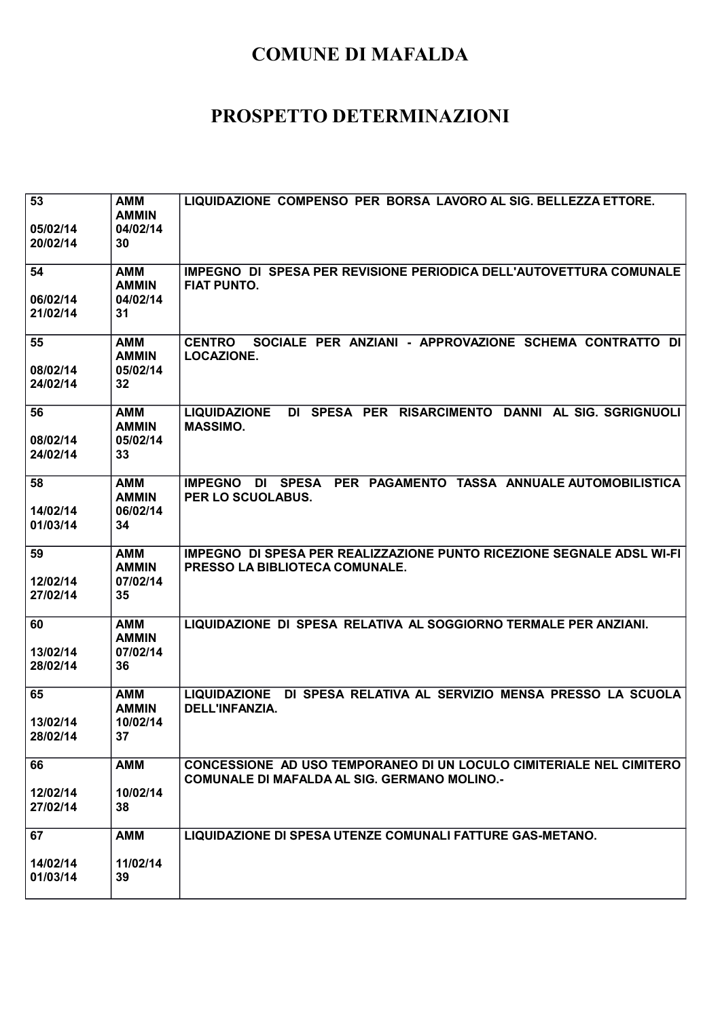| 53<br>05/02/14<br>20/02/14 | <b>AMM</b><br><b>AMMIN</b><br>04/02/14<br>30 | LIQUIDAZIONE COMPENSO PER BORSA LAVORO AL SIG. BELLEZZA ETTORE.                                                            |
|----------------------------|----------------------------------------------|----------------------------------------------------------------------------------------------------------------------------|
| 54<br>06/02/14<br>21/02/14 | <b>AMM</b><br><b>AMMIN</b><br>04/02/14<br>31 | IMPEGNO DI SPESA PER REVISIONE PERIODICA DELL'AUTOVETTURA COMUNALE<br><b>FIAT PUNTO.</b>                                   |
| 55<br>08/02/14<br>24/02/14 | <b>AMM</b><br><b>AMMIN</b><br>05/02/14<br>32 | SOCIALE PER ANZIANI - APPROVAZIONE SCHEMA CONTRATTO<br><b>CENTRO</b><br>DI<br><b>LOCAZIONE.</b>                            |
| 56<br>08/02/14<br>24/02/14 | <b>AMM</b><br><b>AMMIN</b><br>05/02/14<br>33 | DI SPESA PER RISARCIMENTO DANNI AL SIG. SGRIGNUOLI<br><b>LIQUIDAZIONE</b><br><b>MASSIMO.</b>                               |
| 58<br>14/02/14<br>01/03/14 | <b>AMM</b><br><b>AMMIN</b><br>06/02/14<br>34 | PER PAGAMENTO TASSA ANNUALE AUTOMOBILISTICA<br><b>SPESA</b><br><b>IMPEGNO</b><br>DI<br>PER LO SCUOLABUS.                   |
| 59<br>12/02/14<br>27/02/14 | <b>AMM</b><br><b>AMMIN</b><br>07/02/14<br>35 | IMPEGNO DI SPESA PER REALIZZAZIONE PUNTO RICEZIONE SEGNALE ADSL WI-FI<br>PRESSO LA BIBLIOTECA COMUNALE.                    |
| 60<br>13/02/14<br>28/02/14 | <b>AMM</b><br><b>AMMIN</b><br>07/02/14<br>36 | LIQUIDAZIONE DI SPESA RELATIVA AL SOGGIORNO TERMALE PER ANZIANI.                                                           |
| 65<br>13/02/14<br>28/02/14 | <b>AMM</b><br><b>AMMIN</b><br>10/02/14<br>37 | LIQUIDAZIONE DI SPESA RELATIVA AL SERVIZIO MENSA PRESSO LA SCUOLA<br>DELL'INFANZIA.                                        |
| 66<br>12/02/14<br>27/02/14 | <b>AMM</b><br>10/02/14<br>38                 | CONCESSIONE AD USO TEMPORANEO DI UN LOCULO CIMITERIALE NEL CIMITERO<br><b>COMUNALE DI MAFALDA AL SIG. GERMANO MOLINO.-</b> |
| 67<br>14/02/14<br>01/03/14 | <b>AMM</b><br>11/02/14<br>39                 | LIQUIDAZIONE DI SPESA UTENZE COMUNALI FATTURE GAS-METANO.                                                                  |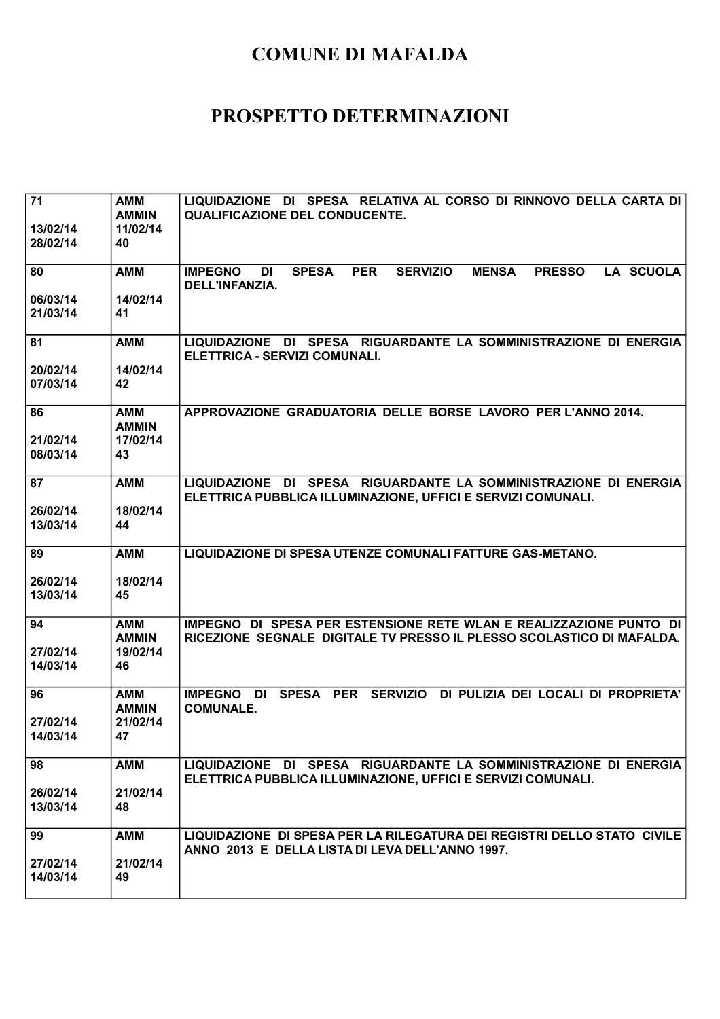| 71                   | <b>AMM</b><br><b>AMMIN</b> | LIQUIDAZIONE DI SPESA RELATIVA AL CORSO DI RINNOVO DELLA CARTA DI<br><b>QUALIFICAZIONE DEL CONDUCENTE.</b>                                   |
|----------------------|----------------------------|----------------------------------------------------------------------------------------------------------------------------------------------|
| 13/02/14<br>28/02/14 | 11/02/14<br>40             |                                                                                                                                              |
| 80                   | <b>AMM</b>                 | <b>PER</b><br><b>IMPEGNO</b><br><b>SPESA</b><br><b>SERVIZIO</b><br><b>MENSA</b><br><b>PRESSO</b><br><b>LA SCUOLA</b><br>DI<br>DELL'INFANZIA. |
| 06/03/14<br>21/03/14 | 14/02/14<br>41             |                                                                                                                                              |
| 81                   | <b>AMM</b>                 | LIQUIDAZIONE DI SPESA RIGUARDANTE LA SOMMINISTRAZIONE DI ENERGIA<br>ELETTRICA - SERVIZI COMUNALI.                                            |
| 20/02/14<br>07/03/14 | 14/02/14<br>42             |                                                                                                                                              |
| 86                   | <b>AMM</b><br><b>AMMIN</b> | APPROVAZIONE GRADUATORIA DELLE BORSE LAVORO PER L'ANNO 2014.                                                                                 |
| 21/02/14<br>08/03/14 | 17/02/14<br>43             |                                                                                                                                              |
| 87                   | <b>AMM</b>                 | LIQUIDAZIONE DI SPESA RIGUARDANTE LA SOMMINISTRAZIONE DI ENERGIA<br>ELETTRICA PUBBLICA ILLUMINAZIONE, UFFICI E SERVIZI COMUNALI.             |
| 26/02/14<br>13/03/14 | 18/02/14<br>44             |                                                                                                                                              |
| 89                   | <b>AMM</b>                 | LIQUIDAZIONE DI SPESA UTENZE COMUNALI FATTURE GAS-METANO.                                                                                    |
| 26/02/14<br>13/03/14 | 18/02/14<br>45             |                                                                                                                                              |
| 94                   | <b>AMM</b><br><b>AMMIN</b> | IMPEGNO DI SPESA PER ESTENSIONE RETE WLAN E REALIZZAZIONE PUNTO DI<br>RICEZIONE SEGNALE DIGITALE TV PRESSO IL PLESSO SCOLASTICO DI MAFALDA.  |
| 27/02/14<br>14/03/14 | 19/02/14<br>46             |                                                                                                                                              |
| 96                   | <b>AMM</b><br><b>AMMIN</b> | SPESA PER SERVIZIO DI PULIZIA DEI LOCALI DI PROPRIETA'<br><b>IMPEGNO DI</b><br><b>COMUNALE.</b>                                              |
| 27/02/14<br>14/03/14 | 21/02/14<br>47             |                                                                                                                                              |
| 98                   | <b>AMM</b>                 | LIQUIDAZIONE DI SPESA RIGUARDANTE LA SOMMINISTRAZIONE DI ENERGIA<br>ELETTRICA PUBBLICA ILLUMINAZIONE, UFFICI E SERVIZI COMUNALI.             |
| 26/02/14<br>13/03/14 | 21/02/14<br>48             |                                                                                                                                              |
| 99                   | <b>AMM</b>                 | LIQUIDAZIONE DI SPESA PER LA RILEGATURA DEI REGISTRI DELLO STATO CIVILE<br>ANNO 2013 E DELLA LISTA DI LEVA DELL'ANNO 1997.                   |
| 27/02/14<br>14/03/14 | 21/02/14<br>49             |                                                                                                                                              |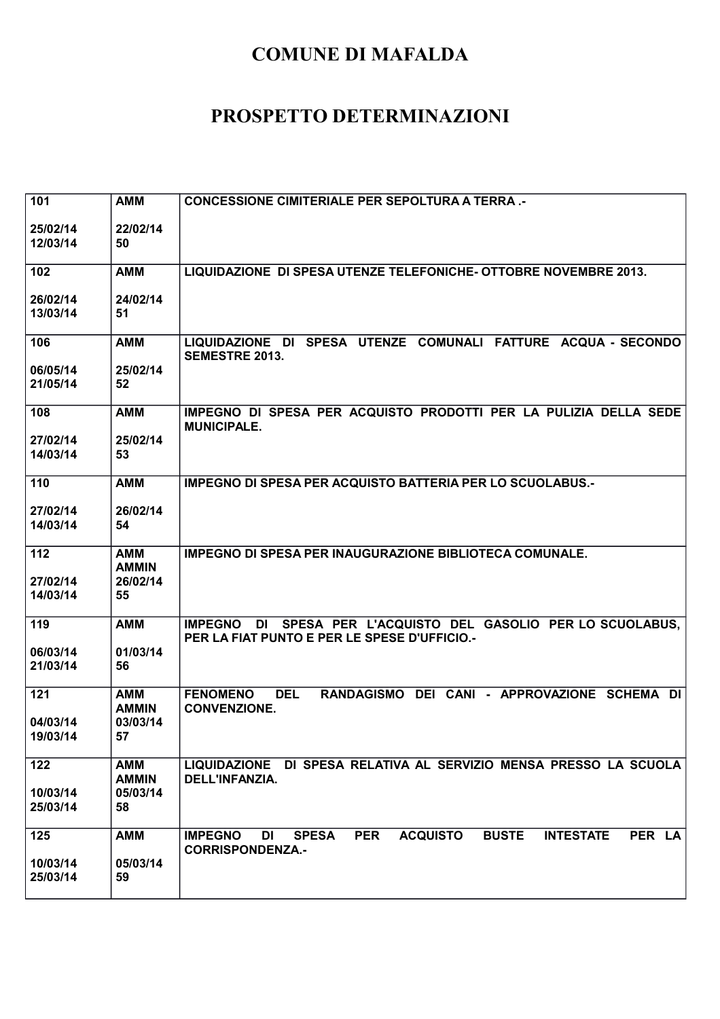| 101                  | <b>AMM</b>     | <b>CONCESSIONE CIMITERIALE PER SEPOLTURA A TERRA.-</b>                                                                     |
|----------------------|----------------|----------------------------------------------------------------------------------------------------------------------------|
|                      |                |                                                                                                                            |
| 25/02/14             | 22/02/14       |                                                                                                                            |
| 12/03/14             | 50             |                                                                                                                            |
|                      |                |                                                                                                                            |
| 102                  | <b>AMM</b>     | LIQUIDAZIONE DI SPESA UTENZE TELEFONICHE- OTTOBRE NOVEMBRE 2013.                                                           |
|                      |                |                                                                                                                            |
| 26/02/14<br>13/03/14 | 24/02/14<br>51 |                                                                                                                            |
|                      |                |                                                                                                                            |
| 106                  | <b>AMM</b>     | LIQUIDAZIONE DI SPESA UTENZE COMUNALI FATTURE ACQUA - SECONDO                                                              |
|                      |                | <b>SEMESTRE 2013.</b>                                                                                                      |
| 06/05/14             | 25/02/14       |                                                                                                                            |
| 21/05/14             | 52             |                                                                                                                            |
|                      |                |                                                                                                                            |
| 108                  | <b>AMM</b>     | IMPEGNO DI SPESA PER ACQUISTO PRODOTTI PER LA PULIZIA DELLA SEDE                                                           |
|                      |                | <b>MUNICIPALE.</b>                                                                                                         |
| 27/02/14             | 25/02/14       |                                                                                                                            |
| 14/03/14             | 53             |                                                                                                                            |
| 110                  | <b>AMM</b>     | <b>IMPEGNO DI SPESA PER ACQUISTO BATTERIA PER LO SCUOLABUS.-</b>                                                           |
|                      |                |                                                                                                                            |
| 27/02/14             | 26/02/14       |                                                                                                                            |
| 14/03/14             | 54             |                                                                                                                            |
|                      |                |                                                                                                                            |
| 112                  | <b>AMM</b>     | <b>IMPEGNO DI SPESA PER INAUGURAZIONE BIBLIOTECA COMUNALE.</b>                                                             |
|                      | <b>AMMIN</b>   |                                                                                                                            |
| 27/02/14             | 26/02/14       |                                                                                                                            |
| 14/03/14             | 55             |                                                                                                                            |
|                      |                |                                                                                                                            |
| 119                  | <b>AMM</b>     | IMPEGNO DI SPESA PER L'ACQUISTO DEL GASOLIO PER LO SCUOLABUS,<br>PER LA FIAT PUNTO E PER LE SPESE D'UFFICIO.-              |
| 06/03/14             | 01/03/14       |                                                                                                                            |
| 21/03/14             | 56             |                                                                                                                            |
|                      |                |                                                                                                                            |
| 121                  | <b>AMM</b>     | RANDAGISMO DEI CANI - APPROVAZIONE SCHEMA DI<br><b>FENOMENO</b><br><b>DEL</b>                                              |
|                      | <b>AMMIN</b>   | <b>CONVENZIONE.</b>                                                                                                        |
| 04/03/14             | 03/03/14       |                                                                                                                            |
| 19/03/14             | 57             |                                                                                                                            |
|                      |                |                                                                                                                            |
| 122                  | <b>AMM</b>     | LIQUIDAZIONE DI SPESA RELATIVA AL SERVIZIO MENSA PRESSO LA SCUOLA                                                          |
|                      | <b>AMMIN</b>   | DELL'INFANZIA.                                                                                                             |
| 10/03/14<br>25/03/14 | 05/03/14<br>58 |                                                                                                                            |
|                      |                |                                                                                                                            |
| 125                  | <b>AMM</b>     | <b>PER</b><br><b>BUSTE</b><br><b>IMPEGNO</b><br><b>DI</b><br><b>SPESA</b><br><b>ACQUISTO</b><br><b>INTESTATE</b><br>PER LA |
|                      |                | <b>CORRISPONDENZA.-</b>                                                                                                    |
| 10/03/14             | 05/03/14       |                                                                                                                            |
| 25/03/14             | 59             |                                                                                                                            |
|                      |                |                                                                                                                            |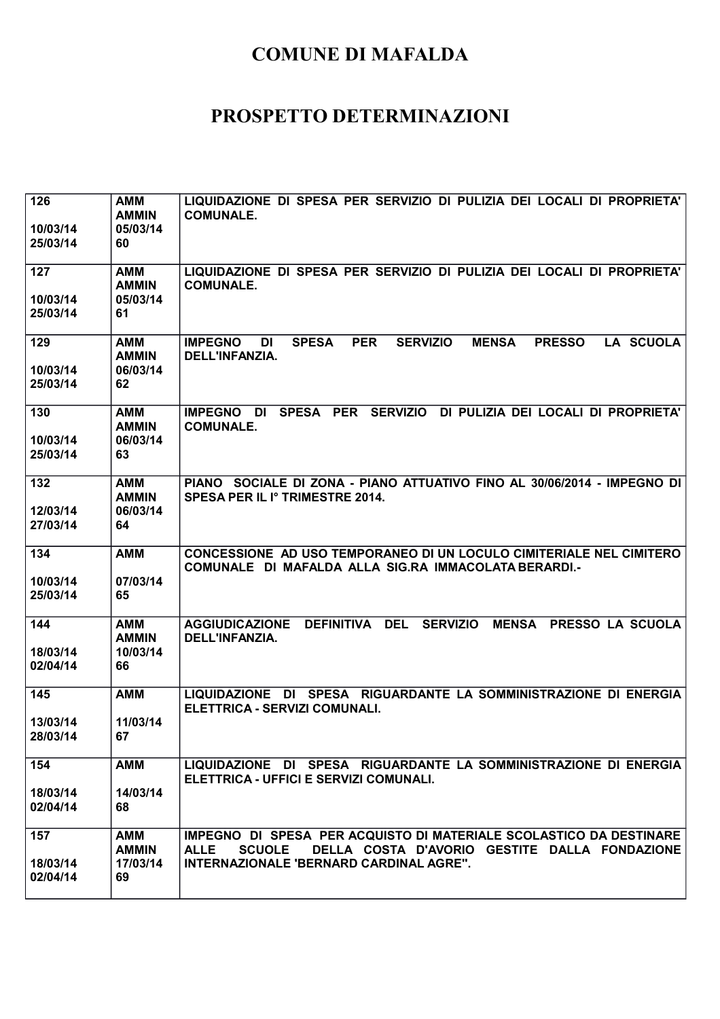| 126<br>10/03/14<br>25/03/14 | <b>AMM</b><br><b>AMMIN</b><br>05/03/14<br>60 | LIQUIDAZIONE DI SPESA PER SERVIZIO DI PULIZIA DEI LOCALI DI PROPRIETA'<br><b>COMUNALE.</b>                                                                                                     |
|-----------------------------|----------------------------------------------|------------------------------------------------------------------------------------------------------------------------------------------------------------------------------------------------|
| 127<br>10/03/14<br>25/03/14 | <b>AMM</b><br><b>AMMIN</b><br>05/03/14<br>61 | LIQUIDAZIONE DI SPESA PER SERVIZIO DI PULIZIA DEI LOCALI DI PROPRIETA'<br><b>COMUNALE.</b>                                                                                                     |
| 129<br>10/03/14<br>25/03/14 | <b>AMM</b><br><b>AMMIN</b><br>06/03/14<br>62 | <b>PER</b><br><b>LA SCUOLA</b><br><b>IMPEGNO</b><br><b>SPESA</b><br><b>SERVIZIO</b><br><b>MENSA</b><br><b>PRESSO</b><br>DI<br><b>DELL'INFANZIA.</b>                                            |
| 130<br>10/03/14<br>25/03/14 | <b>AMM</b><br><b>AMMIN</b><br>06/03/14<br>63 | <b>SPESA</b><br><b>PER</b><br><b>SERVIZIO</b><br>DI PULIZIA DEI LOCALI DI PROPRIETA'<br><b>IMPEGNO</b><br>DI<br><b>COMUNALE.</b>                                                               |
| 132<br>12/03/14<br>27/03/14 | <b>AMM</b><br><b>AMMIN</b><br>06/03/14<br>64 | PIANO SOCIALE DI ZONA - PIANO ATTUATIVO FINO AL 30/06/2014 - IMPEGNO DI<br>SPESA PER IL Iº TRIMESTRE 2014.                                                                                     |
| 134<br>10/03/14<br>25/03/14 | <b>AMM</b><br>07/03/14<br>65                 | CONCESSIONE AD USO TEMPORANEO DI UN LOCULO CIMITERIALE NEL CIMITERO<br>COMUNALE DI MAFALDA ALLA SIG.RA IMMACOLATA BERARDI.-                                                                    |
| 144<br>18/03/14<br>02/04/14 | <b>AMM</b><br><b>AMMIN</b><br>10/03/14<br>66 | <b>DEFINITIVA</b><br><b>DEL</b><br><b>SERVIZIO</b><br><b>MENSA</b><br><b>AGGIUDICAZIONE</b><br><b>PRESSO LA SCUOLA</b><br>DELL'INFANZIA.                                                       |
| 145<br>13/03/14<br>28/03/14 | <b>AMM</b><br>11/03/14<br>67                 | LIQUIDAZIONE DI SPESA RIGUARDANTE LA SOMMINISTRAZIONE DI ENERGIA<br>ELETTRICA - SERVIZI COMUNALI.                                                                                              |
| 154<br>18/03/14<br>02/04/14 | <b>AMM</b><br>14/03/14<br>68                 | LIQUIDAZIONE DI SPESA RIGUARDANTE LA SOMMINISTRAZIONE DI ENERGIA<br>ELETTRICA - UFFICI E SERVIZI COMUNALI.                                                                                     |
| 157<br>18/03/14<br>02/04/14 | <b>AMM</b><br><b>AMMIN</b><br>17/03/14<br>69 | IMPEGNO DI SPESA PER ACQUISTO DI MATERIALE SCOLASTICO DA DESTINARE<br>DELLA COSTA D'AVORIO GESTITE DALLA FONDAZIONE<br><b>ALLE</b><br><b>SCUOLE</b><br>INTERNAZIONALE 'BERNARD CARDINAL AGRE". |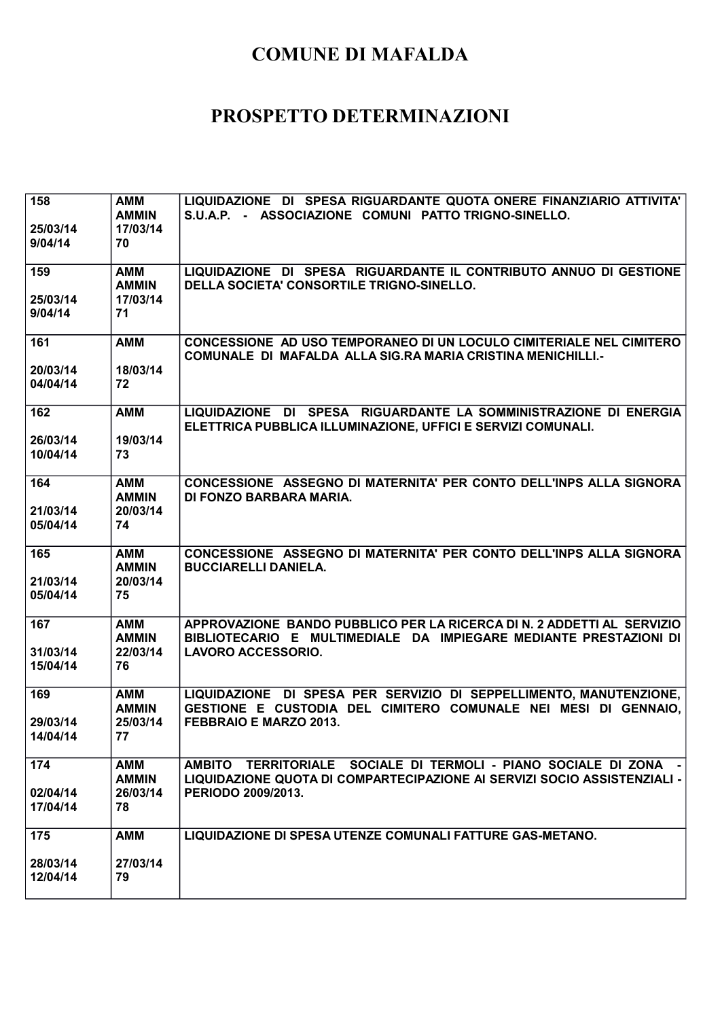| 158<br>25/03/14<br>9/04/14  | <b>AMM</b><br><b>AMMIN</b><br>17/03/14<br>70 | LIQUIDAZIONE DI SPESA RIGUARDANTE QUOTA ONERE FINANZIARIO ATTIVITA'<br>S.U.A.P. - ASSOCIAZIONE COMUNI PATTO TRIGNO-SINELLO.                                              |
|-----------------------------|----------------------------------------------|--------------------------------------------------------------------------------------------------------------------------------------------------------------------------|
| 159<br>25/03/14<br>9/04/14  | <b>AMM</b><br><b>AMMIN</b><br>17/03/14<br>71 | LIQUIDAZIONE DI SPESA RIGUARDANTE IL CONTRIBUTO ANNUO DI GESTIONE<br>DELLA SOCIETA' CONSORTILE TRIGNO-SINELLO.                                                           |
| 161<br>20/03/14<br>04/04/14 | <b>AMM</b><br>18/03/14<br>72                 | CONCESSIONE AD USO TEMPORANEO DI UN LOCULO CIMITERIALE NEL CIMITERO<br>COMUNALE DI MAFALDA ALLA SIG.RA MARIA CRISTINA MENICHILLI.-                                       |
| 162<br>26/03/14<br>10/04/14 | <b>AMM</b><br>19/03/14<br>73                 | LIQUIDAZIONE DI SPESA RIGUARDANTE LA SOMMINISTRAZIONE DI ENERGIA<br>ELETTRICA PUBBLICA ILLUMINAZIONE, UFFICI E SERVIZI COMUNALI.                                         |
| 164<br>21/03/14<br>05/04/14 | <b>AMM</b><br><b>AMMIN</b><br>20/03/14<br>74 | CONCESSIONE ASSEGNO DI MATERNITA' PER CONTO DELL'INPS ALLA SIGNORA<br>DI FONZO BARBARA MARIA.                                                                            |
| 165<br>21/03/14<br>05/04/14 | <b>AMM</b><br><b>AMMIN</b><br>20/03/14<br>75 | CONCESSIONE ASSEGNO DI MATERNITA' PER CONTO DELL'INPS ALLA SIGNORA<br><b>BUCCIARELLI DANIELA.</b>                                                                        |
| 167<br>31/03/14<br>15/04/14 | <b>AMM</b><br><b>AMMIN</b><br>22/03/14<br>76 | APPROVAZIONE BANDO PUBBLICO PER LA RICERCA DI N. 2 ADDETTI AL SERVIZIO<br>BIBLIOTECARIO E MULTIMEDIALE DA IMPIEGARE MEDIANTE PRESTAZIONI DI<br><b>LAVORO ACCESSORIO.</b> |
| 169<br>29/03/14<br>14/04/14 | <b>AMM</b><br><b>AMMIN</b><br>25/03/14<br>77 | LIQUIDAZIONE DI SPESA PER SERVIZIO DI SEPPELLIMENTO, MANUTENZIONE,<br>GESTIONE E CUSTODIA DEL CIMITERO COMUNALE NEI MESI DI GENNAIO,<br>FEBBRAIO E MARZO 2013.           |
| 174<br>02/04/14<br>17/04/14 | <b>AMM</b><br><b>AMMIN</b><br>26/03/14<br>78 | AMBITO TERRITORIALE SOCIALE DI TERMOLI - PIANO SOCIALE DI ZONA<br>LIQUIDAZIONE QUOTA DI COMPARTECIPAZIONE AI SERVIZI SOCIO ASSISTENZIALI -<br>PERIODO 2009/2013.         |
| 175<br>28/03/14<br>12/04/14 | <b>AMM</b><br>27/03/14<br>79                 | LIQUIDAZIONE DI SPESA UTENZE COMUNALI FATTURE GAS-METANO.                                                                                                                |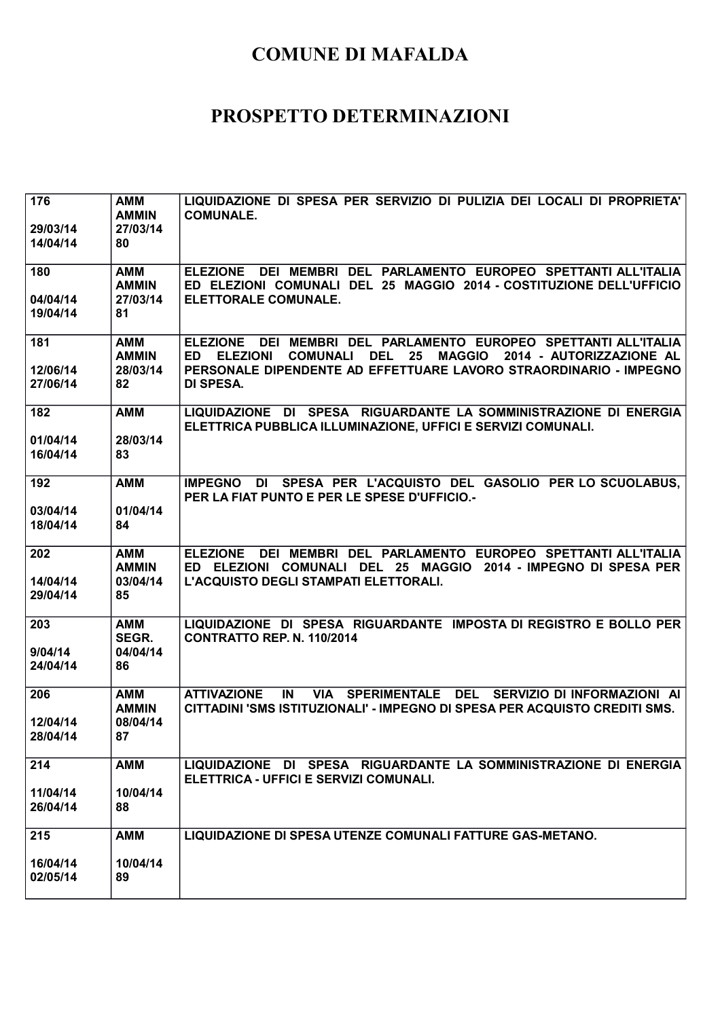| 176<br>29/03/14<br>14/04/14 | <b>AMM</b><br><b>AMMIN</b><br>27/03/14<br>80 | LIQUIDAZIONE DI SPESA PER SERVIZIO DI PULIZIA DEI LOCALI DI PROPRIETA'<br><b>COMUNALE.</b>                                                                                                                                                 |
|-----------------------------|----------------------------------------------|--------------------------------------------------------------------------------------------------------------------------------------------------------------------------------------------------------------------------------------------|
| 180<br>04/04/14<br>19/04/14 | <b>AMM</b><br><b>AMMIN</b><br>27/03/14<br>81 | DEI MEMBRI DEL PARLAMENTO EUROPEO SPETTANTI ALL'ITALIA<br><b>ELEZIONE</b><br>ED ELEZIONI COMUNALI DEL 25 MAGGIO 2014 - COSTITUZIONE DELL'UFFICIO<br>ELETTORALE COMUNALE.                                                                   |
| 181<br>12/06/14<br>27/06/14 | <b>AMM</b><br><b>AMMIN</b><br>28/03/14<br>82 | ELEZIONE DEI MEMBRI DEL PARLAMENTO EUROPEO SPETTANTI ALL'ITALIA<br>ED ELEZIONI<br>25<br>MAGGIO 2014 - AUTORIZZAZIONE AL<br><b>COMUNALI</b><br><b>DEL</b><br>PERSONALE DIPENDENTE AD EFFETTUARE LAVORO STRAORDINARIO - IMPEGNO<br>DI SPESA. |
| 182<br>01/04/14<br>16/04/14 | <b>AMM</b><br>28/03/14<br>83                 | LIQUIDAZIONE DI SPESA RIGUARDANTE LA SOMMINISTRAZIONE DI ENERGIA<br>ELETTRICA PUBBLICA ILLUMINAZIONE, UFFICI E SERVIZI COMUNALI.                                                                                                           |
| 192<br>03/04/14<br>18/04/14 | <b>AMM</b><br>01/04/14<br>84                 | IMPEGNO DI SPESA PER L'ACQUISTO DEL GASOLIO PER LO SCUOLABUS,<br>PER LA FIAT PUNTO E PER LE SPESE D'UFFICIO.                                                                                                                               |
| 202<br>14/04/14<br>29/04/14 | <b>AMM</b><br><b>AMMIN</b><br>03/04/14<br>85 | DEI MEMBRI DEL PARLAMENTO EUROPEO SPETTANTI ALL'ITALIA<br><b>ELEZIONE</b><br>ED ELEZIONI COMUNALI DEL 25 MAGGIO 2014 - IMPEGNO DI SPESA PER<br>L'ACQUISTO DEGLI STAMPATI ELETTORALI.                                                       |
| 203<br>9/04/14<br>24/04/14  | <b>AMM</b><br>SEGR.<br>04/04/14<br>86        | LIQUIDAZIONE DI SPESA RIGUARDANTE IMPOSTA DI REGISTRO E BOLLO PER<br><b>CONTRATTO REP. N. 110/2014</b>                                                                                                                                     |
| 206<br>12/04/14<br>28/04/14 | <b>AMM</b><br><b>AMMIN</b><br>08/04/14<br>87 | VIA SPERIMENTALE DEL SERVIZIO DI INFORMAZIONI AI<br><b>ATTIVAZIONE</b><br>IN<br>CITTADINI 'SMS ISTITUZIONALI' - IMPEGNO DI SPESA PER ACQUISTO CREDITI SMS.                                                                                 |
| 214<br>11/04/14<br>26/04/14 | <b>AMM</b><br>10/04/14<br>88                 | LIQUIDAZIONE DI SPESA RIGUARDANTE LA SOMMINISTRAZIONE DI ENERGIA<br>ELETTRICA - UFFICI E SERVIZI COMUNALI.                                                                                                                                 |
| 215<br>16/04/14<br>02/05/14 | <b>AMM</b><br>10/04/14<br>89                 | LIQUIDAZIONE DI SPESA UTENZE COMUNALI FATTURE GAS-METANO.                                                                                                                                                                                  |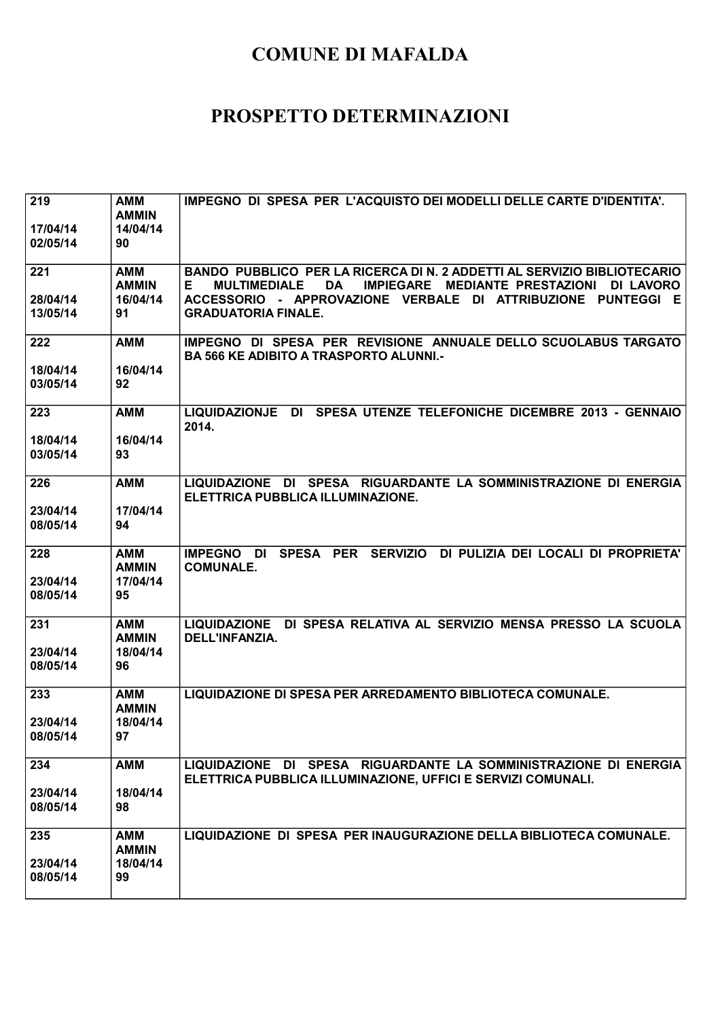| 219<br>17/04/14<br>02/05/14 | <b>AMM</b><br><b>AMMIN</b><br>14/04/14<br>90 | IMPEGNO DI SPESA PER L'ACQUISTO DEI MODELLI DELLE CARTE D'IDENTITA'.                                                                                                                                                                                        |
|-----------------------------|----------------------------------------------|-------------------------------------------------------------------------------------------------------------------------------------------------------------------------------------------------------------------------------------------------------------|
| 221<br>28/04/14<br>13/05/14 | <b>AMM</b><br><b>AMMIN</b><br>16/04/14<br>91 | BANDO PUBBLICO PER LA RICERCA DI N. 2 ADDETTI AL SERVIZIO BIBLIOTECARIO<br><b>MULTIMEDIALE</b><br>IMPIEGARE MEDIANTE PRESTAZIONI DI LAVORO<br><b>DA</b><br>Е.<br>ACCESSORIO - APPROVAZIONE VERBALE DI ATTRIBUZIONE PUNTEGGI E<br><b>GRADUATORIA FINALE.</b> |
| 222<br>18/04/14<br>03/05/14 | <b>AMM</b><br>16/04/14<br>92                 | IMPEGNO DI SPESA PER REVISIONE ANNUALE DELLO SCUOLABUS TARGATO<br><b>BA 566 KE ADIBITO A TRASPORTO ALUNNI.-</b>                                                                                                                                             |
| 223<br>18/04/14<br>03/05/14 | <b>AMM</b><br>16/04/14<br>93                 | LIQUIDAZIONJE DI SPESA UTENZE TELEFONICHE DICEMBRE 2013 - GENNAIO<br>2014.                                                                                                                                                                                  |
| 226<br>23/04/14<br>08/05/14 | <b>AMM</b><br>17/04/14<br>94                 | LIQUIDAZIONE DI SPESA RIGUARDANTE LA SOMMINISTRAZIONE DI ENERGIA<br>ELETTRICA PUBBLICA ILLUMINAZIONE.                                                                                                                                                       |
| 228<br>23/04/14<br>08/05/14 | <b>AMM</b><br><b>AMMIN</b><br>17/04/14<br>95 | IMPEGNO DI SPESA PER SERVIZIO DI PULIZIA DEI LOCALI DI PROPRIETA'<br><b>COMUNALE.</b>                                                                                                                                                                       |
| 231<br>23/04/14<br>08/05/14 | <b>AMM</b><br><b>AMMIN</b><br>18/04/14<br>96 | LIQUIDAZIONE DI SPESA RELATIVA AL SERVIZIO MENSA PRESSO LA SCUOLA<br>DELL'INFANZIA.                                                                                                                                                                         |
| 233<br>23/04/14<br>08/05/14 | <b>AMM</b><br><b>AMMIN</b><br>18/04/14<br>97 | LIQUIDAZIONE DI SPESA PER ARREDAMENTO BIBLIOTECA COMUNALE.                                                                                                                                                                                                  |
| 234<br>23/04/14<br>08/05/14 | <b>AMM</b><br>18/04/14<br>98                 | LIQUIDAZIONE DI SPESA RIGUARDANTE LA SOMMINISTRAZIONE DI ENERGIA<br>ELETTRICA PUBBLICA ILLUMINAZIONE, UFFICI E SERVIZI COMUNALI.                                                                                                                            |
| 235<br>23/04/14<br>08/05/14 | <b>AMM</b><br><b>AMMIN</b><br>18/04/14<br>99 | LIQUIDAZIONE DI SPESA PER INAUGURAZIONE DELLA BIBLIOTECA COMUNALE.                                                                                                                                                                                          |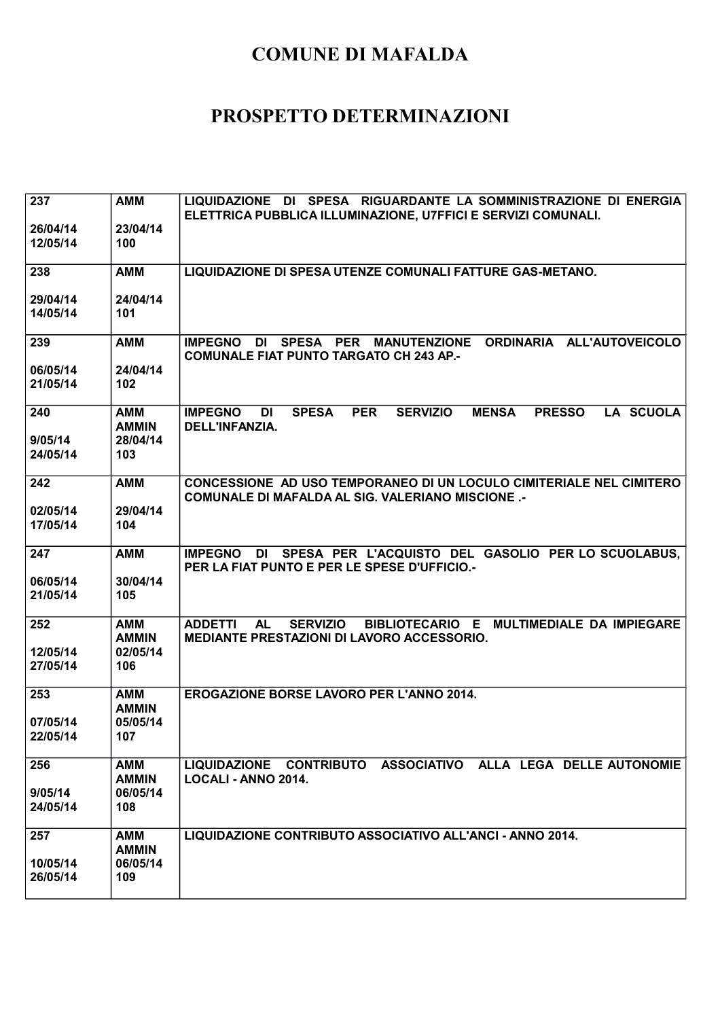| 237                        | <b>AMM</b>                                    | LIQUIDAZIONE DI SPESA RIGUARDANTE LA SOMMINISTRAZIONE DI ENERGIA<br>ELETTRICA PUBBLICA ILLUMINAZIONE, U7FFICI E SERVIZI COMUNALI.                |
|----------------------------|-----------------------------------------------|--------------------------------------------------------------------------------------------------------------------------------------------------|
| 26/04/14<br>12/05/14       | 23/04/14<br>100                               |                                                                                                                                                  |
| 238                        | <b>AMM</b>                                    | LIQUIDAZIONE DI SPESA UTENZE COMUNALI FATTURE GAS-METANO.                                                                                        |
| 29/04/14<br>14/05/14       | 24/04/14<br>101                               |                                                                                                                                                  |
| 239                        | <b>AMM</b>                                    | <b>MANUTENZIONE</b><br>ORDINARIA ALL'AUTOVEICOLO<br><b>IMPEGNO</b><br>DI<br>SPESA PER<br><b>COMUNALE FIAT PUNTO TARGATO CH 243 AP.-</b>          |
| 06/05/14<br>21/05/14       | 24/04/14<br>102                               |                                                                                                                                                  |
| 240<br>9/05/14<br>24/05/14 | <b>AMM</b><br><b>AMMIN</b><br>28/04/14<br>103 | <b>SERVIZIO</b><br><b>LA SCUOLA</b><br><b>IMPEGNO</b><br><b>SPESA</b><br><b>PER</b><br><b>MENSA</b><br><b>PRESSO</b><br>DI<br>DELL'INFANZIA.     |
|                            |                                               |                                                                                                                                                  |
| 242                        | <b>AMM</b>                                    | CONCESSIONE AD USO TEMPORANEO DI UN LOCULO CIMITERIALE NEL CIMITERO<br><b>COMUNALE DI MAFALDA AL SIG. VALERIANO MISCIONE.-</b>                   |
| 02/05/14<br>17/05/14       | 29/04/14<br>104                               |                                                                                                                                                  |
| 247                        | <b>AMM</b>                                    | DI SPESA PER L'ACQUISTO DEL GASOLIO PER LO SCUOLABUS,<br><b>IMPEGNO</b><br>PER LA FIAT PUNTO E PER LE SPESE D'UFFICIO.-                          |
| 06/05/14<br>21/05/14       | 30/04/14<br>105                               |                                                                                                                                                  |
| 252                        | <b>AMM</b><br><b>AMMIN</b>                    | <b>ADDETTI</b><br><b>SERVIZIO</b><br>BIBLIOTECARIO E MULTIMEDIALE DA IMPIEGARE<br><b>AL</b><br><b>MEDIANTE PRESTAZIONI DI LAVORO ACCESSORIO.</b> |
| 12/05/14<br>27/05/14       | 02/05/14<br>106                               |                                                                                                                                                  |
| 253                        | <b>AMM</b><br><b>AMMIN</b>                    | <b>EROGAZIONE BORSE LAVORO PER L'ANNO 2014.</b>                                                                                                  |
| 07/05/14<br>22/05/14       | 05/05/14<br>107                               |                                                                                                                                                  |
| 256                        | <b>AMM</b><br><b>AMMIN</b>                    | LIQUIDAZIONE CONTRIBUTO ASSOCIATIVO ALLA LEGA DELLE AUTONOMIE<br><b>LOCALI - ANNO 2014.</b>                                                      |
| 9/05/14<br>24/05/14        | 06/05/14<br>108                               |                                                                                                                                                  |
| 257                        | <b>AMM</b><br><b>AMMIN</b>                    | LIQUIDAZIONE CONTRIBUTO ASSOCIATIVO ALL'ANCI - ANNO 2014.                                                                                        |
| 10/05/14<br>26/05/14       | 06/05/14<br>109                               |                                                                                                                                                  |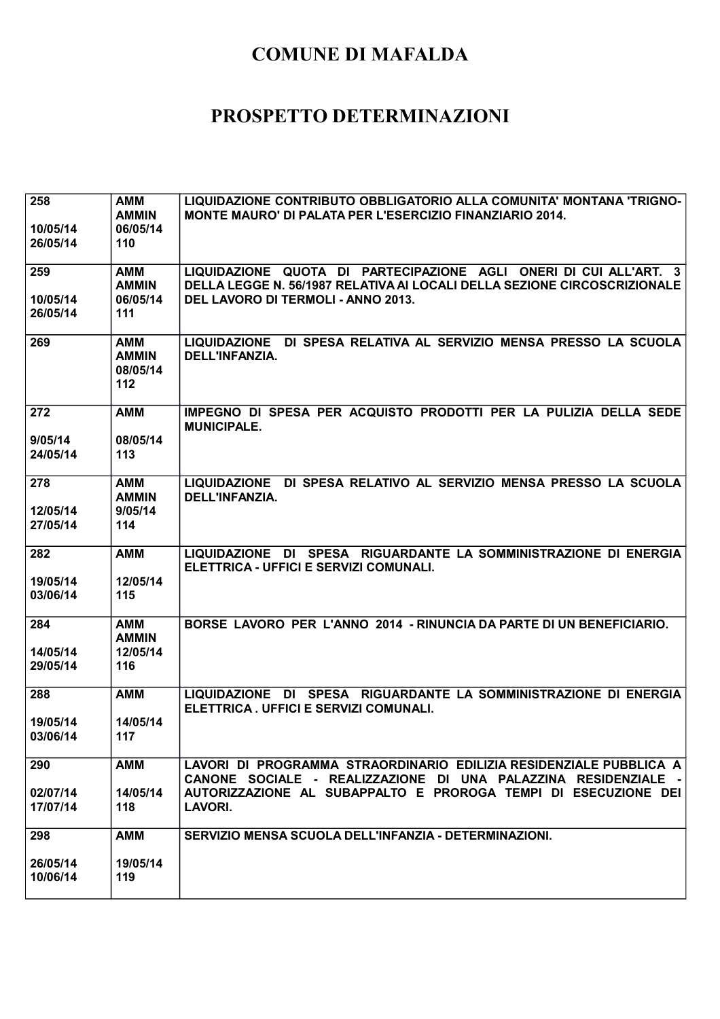| 258<br>10/05/14<br>26/05/14 | AMM<br><b>AMMIN</b><br>06/05/14<br>110        | LIQUIDAZIONE CONTRIBUTO OBBLIGATORIO ALLA COMUNITA' MONTANA 'TRIGNO-<br>MONTE MAURO' DI PALATA PER L'ESERCIZIO FINANZIARIO 2014.                                                                                         |
|-----------------------------|-----------------------------------------------|--------------------------------------------------------------------------------------------------------------------------------------------------------------------------------------------------------------------------|
| 259<br>10/05/14<br>26/05/14 | AMM<br><b>AMMIN</b><br>06/05/14<br>111        | LIQUIDAZIONE QUOTA DI PARTECIPAZIONE AGLI ONERI DI CUI ALL'ART. 3<br>DELLA LEGGE N. 56/1987 RELATIVA AI LOCALI DELLA SEZIONE CIRCOSCRIZIONALE<br>DEL LAVORO DI TERMOLI - ANNO 2013.                                      |
| 269                         | <b>AMM</b><br><b>AMMIN</b><br>08/05/14<br>112 | LIQUIDAZIONE DI SPESA RELATIVA AL SERVIZIO MENSA PRESSO LA SCUOLA<br><b>DELL'INFANZIA.</b>                                                                                                                               |
| 272<br>9/05/14<br>24/05/14  | <b>AMM</b><br>08/05/14<br>113                 | IMPEGNO DI SPESA PER ACQUISTO PRODOTTI PER LA PULIZIA DELLA SEDE<br><b>MUNICIPALE.</b>                                                                                                                                   |
| 278<br>12/05/14<br>27/05/14 | AMM<br><b>AMMIN</b><br>9/05/14<br>114         | LIQUIDAZIONE DI SPESA RELATIVO AL SERVIZIO MENSA PRESSO LA SCUOLA<br>DELL'INFANZIA.                                                                                                                                      |
| 282<br>19/05/14<br>03/06/14 | <b>AMM</b><br>12/05/14<br>115                 | LIQUIDAZIONE DI SPESA RIGUARDANTE LA SOMMINISTRAZIONE DI ENERGIA<br>ELETTRICA - UFFICI E SERVIZI COMUNALI.                                                                                                               |
| 284<br>14/05/14<br>29/05/14 | <b>AMM</b><br><b>AMMIN</b><br>12/05/14<br>116 | BORSE LAVORO PER L'ANNO 2014 - RINUNCIA DA PARTE DI UN BENEFICIARIO.                                                                                                                                                     |
| 288<br>19/05/14<br>03/06/14 | <b>AMM</b><br>14/05/14<br>117                 | LIQUIDAZIONE DI SPESA RIGUARDANTE LA SOMMINISTRAZIONE DI ENERGIA<br>ELETTRICA. UFFICI E SERVIZI COMUNALI.                                                                                                                |
| 290<br>02/07/14<br>17/07/14 | <b>AMM</b><br>14/05/14<br>118                 | LAVORI DI PROGRAMMA STRAORDINARIO EDILIZIA RESIDENZIALE PUBBLICA A<br>CANONE SOCIALE - REALIZZAZIONE DI UNA PALAZZINA RESIDENZIALE -<br>AUTORIZZAZIONE AL SUBAPPALTO E PROROGA TEMPI DI ESECUZIONE DEI<br><b>LAVORI.</b> |
| 298<br>26/05/14<br>10/06/14 | AMM<br>19/05/14<br>119                        | SERVIZIO MENSA SCUOLA DELL'INFANZIA - DETERMINAZIONI.                                                                                                                                                                    |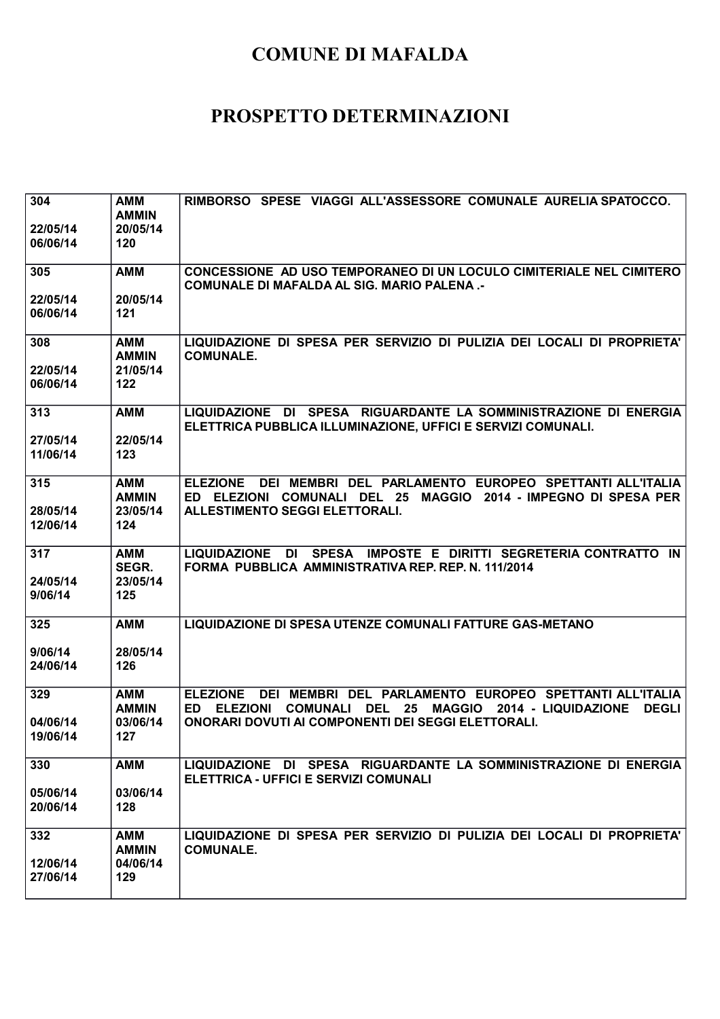| 304                  | <b>AMM</b><br><b>AMMIN</b> | RIMBORSO SPESE VIAGGI ALL'ASSESSORE COMUNALE AURELIA SPATOCCO.                                                                                                                                     |
|----------------------|----------------------------|----------------------------------------------------------------------------------------------------------------------------------------------------------------------------------------------------|
| 22/05/14<br>06/06/14 | 20/05/14<br>120            |                                                                                                                                                                                                    |
| 305                  | <b>AMM</b>                 | CONCESSIONE AD USO TEMPORANEO DI UN LOCULO CIMITERIALE NEL CIMITERO<br><b>COMUNALE DI MAFALDA AL SIG. MARIO PALENA.-</b>                                                                           |
| 22/05/14<br>06/06/14 | 20/05/14<br>121            |                                                                                                                                                                                                    |
| 308                  | <b>AMM</b><br><b>AMMIN</b> | LIQUIDAZIONE DI SPESA PER SERVIZIO DI PULIZIA DEI LOCALI DI PROPRIETA'<br><b>COMUNALE.</b>                                                                                                         |
| 22/05/14<br>06/06/14 | 21/05/14<br>122            |                                                                                                                                                                                                    |
| 313                  | <b>AMM</b>                 | LIQUIDAZIONE DI SPESA RIGUARDANTE LA SOMMINISTRAZIONE DI ENERGIA<br>ELETTRICA PUBBLICA ILLUMINAZIONE, UFFICI E SERVIZI COMUNALI.                                                                   |
| 27/05/14<br>11/06/14 | 22/05/14<br>123            |                                                                                                                                                                                                    |
| 315                  | <b>AMM</b><br><b>AMMIN</b> | <b>ELEZIONE</b><br>DEI MEMBRI DEL PARLAMENTO EUROPEO SPETTANTI ALL'ITALIA<br>ED ELEZIONI COMUNALI DEL 25<br>MAGGIO 2014 - IMPEGNO DI SPESA PER                                                     |
| 28/05/14<br>12/06/14 | 23/05/14<br>124            | <b>ALLESTIMENTO SEGGI ELETTORALI.</b>                                                                                                                                                              |
| 317                  | AMM<br>SEGR.               | LIQUIDAZIONE DI SPESA IMPOSTE E DIRITTI SEGRETERIA CONTRATTO IN<br>FORMA PUBBLICA AMMINISTRATIVA REP. REP. N. 111/2014                                                                             |
| 24/05/14<br>9/06/14  | 23/05/14<br>125            |                                                                                                                                                                                                    |
| 325                  | <b>AMM</b>                 | <b>LIQUIDAZIONE DI SPESA UTENZE COMUNALI FATTURE GAS-METANO</b>                                                                                                                                    |
| 9/06/14<br>24/06/14  | 28/05/14<br>126            |                                                                                                                                                                                                    |
| 329                  | <b>AMM</b><br><b>AMMIN</b> | <b>ELEZIONE</b><br>DEI MEMBRI DEL PARLAMENTO EUROPEO SPETTANTI ALL'ITALIA<br><b>ELEZIONI</b><br><b>COMUNALI</b><br>25<br><b>MAGGIO</b><br>2014 - LIQUIDAZIONE<br><b>DEGLI</b><br>ED.<br><b>DEL</b> |
| 04/06/14<br>19/06/14 | 03/06/14<br>127            | <b>ONORARI DOVUTI AI COMPONENTI DEI SEGGI ELETTORALI.</b>                                                                                                                                          |
| 330                  | <b>AMM</b>                 | LIQUIDAZIONE DI SPESA RIGUARDANTE LA SOMMINISTRAZIONE DI ENERGIA<br>ELETTRICA - UFFICI E SERVIZI COMUNALI                                                                                          |
| 05/06/14<br>20/06/14 | 03/06/14<br>128            |                                                                                                                                                                                                    |
| 332                  | <b>AMM</b>                 | LIQUIDAZIONE DI SPESA PER SERVIZIO DI PULIZIA DEI LOCALI DI PROPRIETA'                                                                                                                             |
|                      | <b>AMMIN</b>               | <b>COMUNALE.</b>                                                                                                                                                                                   |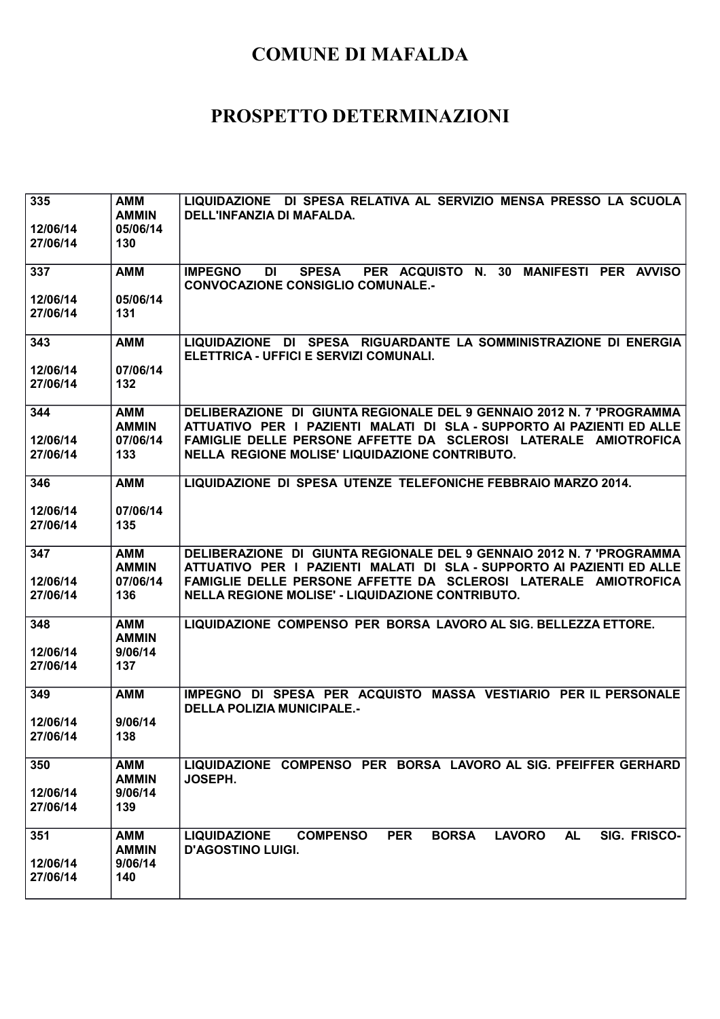| 335<br>12/06/14      | <b>AMM</b><br><b>AMMIN</b><br>05/06/14 | LIQUIDAZIONE DI SPESA RELATIVA AL SERVIZIO MENSA PRESSO LA SCUOLA<br>DELL'INFANZIA DI MAFALDA.                                                                                                                   |
|----------------------|----------------------------------------|------------------------------------------------------------------------------------------------------------------------------------------------------------------------------------------------------------------|
| 27/06/14             | 130                                    |                                                                                                                                                                                                                  |
| 337                  | <b>AMM</b>                             | PER ACQUISTO N. 30<br>MANIFESTI PER AVVISO<br><b>IMPEGNO</b><br><b>DI</b><br><b>SPESA</b><br><b>CONVOCAZIONE CONSIGLIO COMUNALE.-</b>                                                                            |
| 12/06/14<br>27/06/14 | 05/06/14<br>131                        |                                                                                                                                                                                                                  |
| 343                  | <b>AMM</b>                             | LIQUIDAZIONE DI SPESA RIGUARDANTE LA SOMMINISTRAZIONE DI ENERGIA<br>ELETTRICA - UFFICI E SERVIZI COMUNALI.                                                                                                       |
| 12/06/14<br>27/06/14 | 07/06/14<br>132                        |                                                                                                                                                                                                                  |
| 344                  | <b>AMM</b><br><b>AMMIN</b>             | DELIBERAZIONE DI GIUNTA REGIONALE DEL 9 GENNAIO 2012 N. 7 'PROGRAMMA<br>ATTUATIVO PER I PAZIENTI MALATI DI SLA - SUPPORTO AI PAZIENTI ED ALLE                                                                    |
| 12/06/14<br>27/06/14 | 07/06/14<br>133                        | FAMIGLIE DELLE PERSONE AFFETTE DA SCLEROSI LATERALE AMIOTROFICA<br>NELLA REGIONE MOLISE' LIQUIDAZIONE CONTRIBUTO.                                                                                                |
| 346                  | <b>AMM</b>                             | LIQUIDAZIONE DI SPESA UTENZE TELEFONICHE FEBBRAIO MARZO 2014.                                                                                                                                                    |
| 12/06/14<br>27/06/14 | 07/06/14<br>135                        |                                                                                                                                                                                                                  |
| 347<br>12/06/14      | <b>AMM</b><br><b>AMMIN</b><br>07/06/14 | DELIBERAZIONE DI GIUNTA REGIONALE DEL 9 GENNAIO 2012 N. 7 'PROGRAMMA<br>ATTUATIVO PER I PAZIENTI MALATI DI SLA - SUPPORTO AI PAZIENTI ED ALLE<br>FAMIGLIE DELLE PERSONE AFFETTE DA SCLEROSI LATERALE AMIOTROFICA |
| 27/06/14             | 136                                    | NELLA REGIONE MOLISE' - LIQUIDAZIONE CONTRIBUTO.                                                                                                                                                                 |
| 348                  | <b>AMM</b><br><b>AMMIN</b>             | LIQUIDAZIONE COMPENSO PER BORSA LAVORO AL SIG. BELLEZZA ETTORE.                                                                                                                                                  |
| 12/06/14<br>27/06/14 | 9/06/14<br>137                         |                                                                                                                                                                                                                  |
| 349                  | <b>AMM</b>                             | IMPEGNO DI SPESA PER ACQUISTO MASSA VESTIARIO PER IL PERSONALE<br><b>DELLA POLIZIA MUNICIPALE.-</b>                                                                                                              |
| 12/06/14<br>27/06/14 | 9/06/14<br>138                         |                                                                                                                                                                                                                  |
| 350                  | <b>AMM</b><br><b>AMMIN</b>             | LIQUIDAZIONE COMPENSO PER BORSA LAVORO AL SIG. PFEIFFER GERHARD<br><b>JOSEPH.</b>                                                                                                                                |
| 12/06/14<br>27/06/14 | 9/06/14<br>139                         |                                                                                                                                                                                                                  |
| 351                  | <b>AMM</b>                             | <b>PER</b><br><b>BORSA</b><br><b>LAVORO</b><br><b>COMPENSO</b><br><b>AL</b><br>SIG. FRISCO-<br><b>LIQUIDAZIONE</b>                                                                                               |
|                      | <b>AMMIN</b><br>9/06/14                | <b>D'AGOSTINO LUIGI.</b>                                                                                                                                                                                         |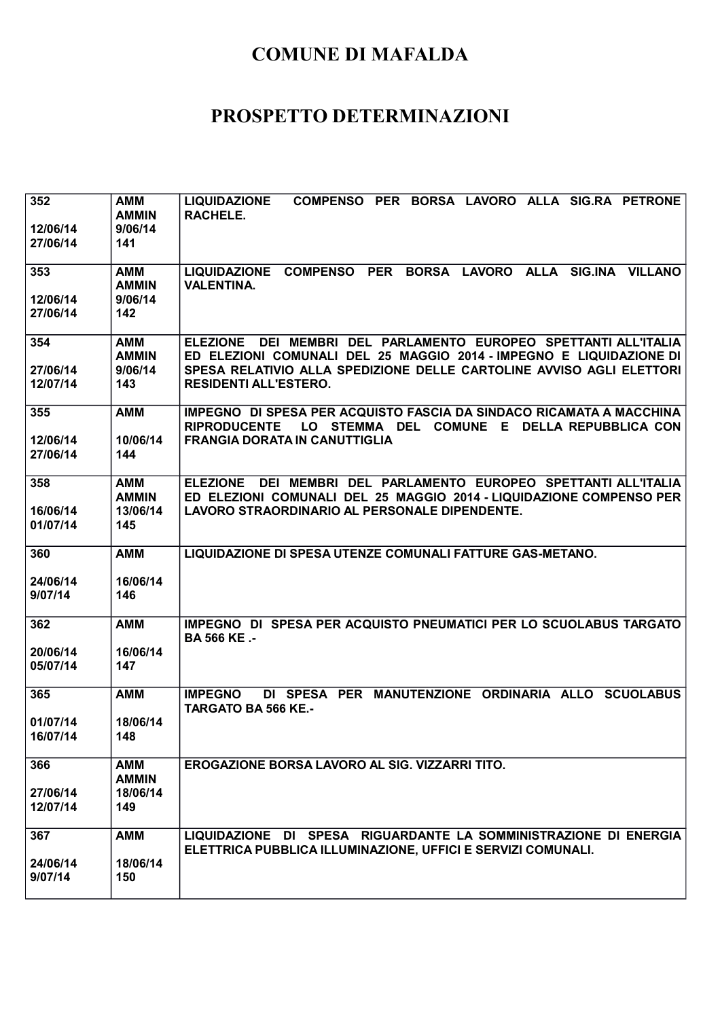| 352<br>12/06/14<br>27/06/14 | <b>AMM</b><br><b>AMMIN</b><br>9/06/14<br>141  | COMPENSO PER BORSA LAVORO ALLA SIG.RA PETRONE<br><b>LIQUIDAZIONE</b><br><b>RACHELE.</b>                                                                                                                                                                  |
|-----------------------------|-----------------------------------------------|----------------------------------------------------------------------------------------------------------------------------------------------------------------------------------------------------------------------------------------------------------|
| 353<br>12/06/14<br>27/06/14 | AMM<br><b>AMMIN</b><br>9/06/14<br>142         | LIQUIDAZIONE COMPENSO PER BORSA LAVORO ALLA SIG.INA VILLANO<br><b>VALENTINA.</b>                                                                                                                                                                         |
| 354<br>27/06/14<br>12/07/14 | <b>AMM</b><br><b>AMMIN</b><br>9/06/14<br>143  | DEI MEMBRI DEL PARLAMENTO EUROPEO SPETTANTI ALL'ITALIA<br><b>ELEZIONE</b><br>ED ELEZIONI COMUNALI DEL 25 MAGGIO 2014 - IMPEGNO E LIQUIDAZIONE DI<br>SPESA RELATIVIO ALLA SPEDIZIONE DELLE CARTOLINE AVVISO AGLI ELETTORI<br><b>RESIDENTI ALL'ESTERO.</b> |
| 355<br>12/06/14<br>27/06/14 | <b>AMM</b><br>10/06/14<br>144                 | IMPEGNO DI SPESA PER ACQUISTO FASCIA DA SINDACO RICAMATA A MACCHINA<br><b>RIPRODUCENTE</b><br>LO STEMMA DEL COMUNE E DELLA REPUBBLICA CON<br><b>FRANGIA DORATA IN CANUTTIGLIA</b>                                                                        |
| 358<br>16/06/14<br>01/07/14 | AMM<br><b>AMMIN</b><br>13/06/14<br>145        | DEI MEMBRI DEL PARLAMENTO EUROPEO SPETTANTI ALL'ITALIA<br><b>ELEZIONE</b><br>ED ELEZIONI COMUNALI DEL 25 MAGGIO 2014 - LIQUIDAZIONE COMPENSO PER<br>LAVORO STRAORDINARIO AL PERSONALE DIPENDENTE.                                                        |
| 360<br>24/06/14<br>9/07/14  | <b>AMM</b><br>16/06/14<br>146                 | LIQUIDAZIONE DI SPESA UTENZE COMUNALI FATTURE GAS-METANO.                                                                                                                                                                                                |
| 362<br>20/06/14<br>05/07/14 | <b>AMM</b><br>16/06/14<br>147                 | IMPEGNO DI SPESA PER ACQUISTO PNEUMATICI PER LO SCUOLABUS TARGATO<br><b>BA 566 KE.-</b>                                                                                                                                                                  |
| 365<br>01/07/14<br>16/07/14 | <b>AMM</b><br>18/06/14<br>148                 | DI SPESA PER MANUTENZIONE ORDINARIA ALLO SCUOLABUS<br><b>IMPEGNO</b><br><b>TARGATO BA 566 KE.-</b>                                                                                                                                                       |
| 366<br>27/06/14<br>12/07/14 | <b>AMM</b><br><b>AMMIN</b><br>18/06/14<br>149 | EROGAZIONE BORSA LAVORO AL SIG. VIZZARRI TITO.                                                                                                                                                                                                           |
| 367<br>24/06/14<br>9/07/14  | <b>AMM</b><br>18/06/14<br>150                 | LIQUIDAZIONE DI SPESA RIGUARDANTE LA SOMMINISTRAZIONE DI ENERGIA<br>ELETTRICA PUBBLICA ILLUMINAZIONE, UFFICI E SERVIZI COMUNALI.                                                                                                                         |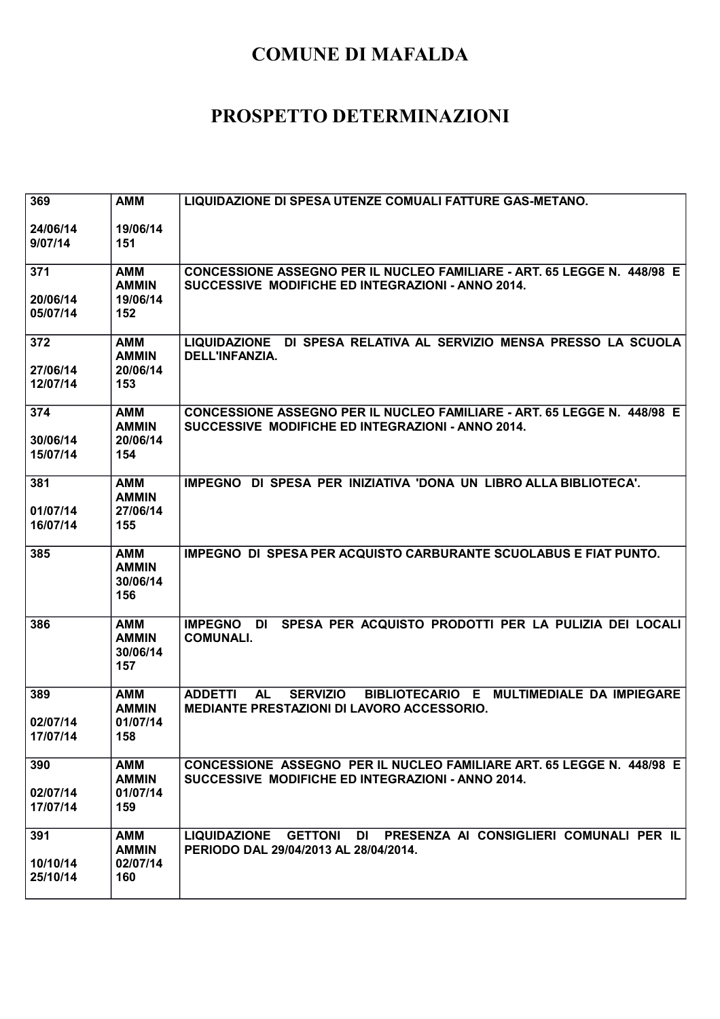| 369                  | <b>AMM</b>                                    | LIQUIDAZIONE DI SPESA UTENZE COMUALI FATTURE GAS-METANO.                                                                                         |
|----------------------|-----------------------------------------------|--------------------------------------------------------------------------------------------------------------------------------------------------|
| 24/06/14<br>9/07/14  | 19/06/14<br>151                               |                                                                                                                                                  |
| 371                  | <b>AMM</b><br><b>AMMIN</b>                    | <b>CONCESSIONE ASSEGNO PER IL NUCLEO FAMILIARE - ART. 65 LEGGE N. 448/98 E</b><br>SUCCESSIVE MODIFICHE ED INTEGRAZIONI - ANNO 2014.              |
| 20/06/14<br>05/07/14 | 19/06/14<br>152                               |                                                                                                                                                  |
| 372                  | <b>AMM</b><br><b>AMMIN</b>                    | LIQUIDAZIONE DI SPESA RELATIVA AL SERVIZIO MENSA PRESSO LA SCUOLA<br>DELL'INFANZIA.                                                              |
| 27/06/14<br>12/07/14 | 20/06/14<br>153                               |                                                                                                                                                  |
| 374                  | AMM<br><b>AMMIN</b><br>20/06/14               | CONCESSIONE ASSEGNO PER IL NUCLEO FAMILIARE - ART. 65 LEGGE N. 448/98 E<br>SUCCESSIVE MODIFICHE ED INTEGRAZIONI - ANNO 2014.                     |
| 30/06/14<br>15/07/14 | 154                                           |                                                                                                                                                  |
| 381                  | <b>AMM</b><br><b>AMMIN</b>                    | IMPEGNO DI SPESA PER INIZIATIVA 'DONA UN LIBRO ALLA BIBLIOTECA'.                                                                                 |
| 01/07/14<br>16/07/14 | 27/06/14<br>155                               |                                                                                                                                                  |
| 385                  | <b>AMM</b><br><b>AMMIN</b><br>30/06/14<br>156 | <b>IMPEGNO DI SPESA PER ACQUISTO CARBURANTE SCUOLABUS E FIAT PUNTO.</b>                                                                          |
| 386                  | <b>AMM</b><br><b>AMMIN</b><br>30/06/14<br>157 | SPESA PER ACQUISTO PRODOTTI PER LA PULIZIA DEI LOCALI<br><b>IMPEGNO</b><br>DI<br><b>COMUNALI.</b>                                                |
| 389                  | <b>AMM</b><br><b>AMMIN</b>                    | BIBLIOTECARIO E MULTIMEDIALE DA IMPIEGARE<br><b>ADDETTI</b><br><b>AL</b><br><b>SERVIZIO</b><br><b>MEDIANTE PRESTAZIONI DI LAVORO ACCESSORIO.</b> |
| 02/07/14<br>17/07/14 | 01/07/14<br>158                               |                                                                                                                                                  |
| 390                  | <b>AMM</b><br><b>AMMIN</b>                    | CONCESSIONE ASSEGNO PER IL NUCLEO FAMILIARE ART. 65 LEGGE N. 448/98 E<br>SUCCESSIVE MODIFICHE ED INTEGRAZIONI - ANNO 2014.                       |
| 02/07/14<br>17/07/14 | 01/07/14<br>159                               |                                                                                                                                                  |
| 391                  | AMM<br><b>AMMIN</b>                           | LIQUIDAZIONE GETTONI DI PRESENZA AI CONSIGLIERI COMUNALI PER IL<br>PERIODO DAL 29/04/2013 AL 28/04/2014.                                         |
| 10/10/14<br>25/10/14 | 02/07/14<br>160                               |                                                                                                                                                  |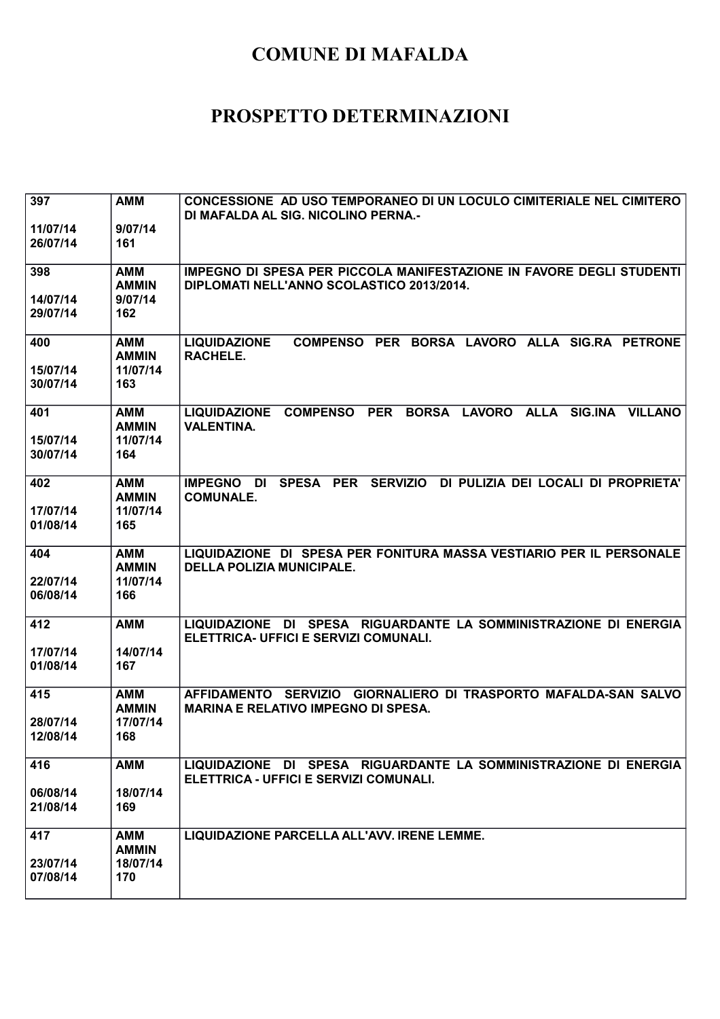| 397                  | <b>AMM</b>                             | CONCESSIONE AD USO TEMPORANEO DI UN LOCULO CIMITERIALE NEL CIMITERO<br>DI MAFALDA AL SIG. NICOLINO PERNA.-                                   |
|----------------------|----------------------------------------|----------------------------------------------------------------------------------------------------------------------------------------------|
| 11/07/14<br>26/07/14 | 9/07/14<br>161                         |                                                                                                                                              |
| 398                  | <b>AMM</b><br><b>AMMIN</b>             | IMPEGNO DI SPESA PER PICCOLA MANIFESTAZIONE IN FAVORE DEGLI STUDENTI<br>DIPLOMATI NELL'ANNO SCOLASTICO 2013/2014.                            |
| 14/07/14<br>29/07/14 | 9/07/14<br>162                         |                                                                                                                                              |
| 400<br>15/07/14      | <b>AMM</b><br><b>AMMIN</b><br>11/07/14 | <b>LIQUIDAZIONE</b><br>COMPENSO PER BORSA LAVORO ALLA SIG.RA PETRONE<br>RACHELE.                                                             |
| 30/07/14             | 163                                    |                                                                                                                                              |
| 401                  | <b>AMM</b><br><b>AMMIN</b>             | <b>PER</b><br>BORSA LAVORO<br><b>LIQUIDAZIONE</b><br><b>COMPENSO</b><br><b>ALLA</b><br><b>SIG.INA</b><br><b>VILLANO</b><br><b>VALENTINA.</b> |
| 15/07/14<br>30/07/14 | 11/07/14<br>164                        |                                                                                                                                              |
| 402                  | <b>AMM</b><br><b>AMMIN</b>             | SPESA PER<br><b>SERVIZIO</b><br>DI PULIZIA DEI LOCALI DI PROPRIETA'<br><b>IMPEGNO</b><br><b>DI</b><br><b>COMUNALE.</b>                       |
| 17/07/14<br>01/08/14 | 11/07/14<br>165                        |                                                                                                                                              |
| 404                  | <b>AMM</b><br><b>AMMIN</b>             | LIQUIDAZIONE DI SPESA PER FONITURA MASSA VESTIARIO PER IL PERSONALE<br><b>DELLA POLIZIA MUNICIPALE.</b>                                      |
| 22/07/14<br>06/08/14 | 11/07/14<br>166                        |                                                                                                                                              |
| 412                  | <b>AMM</b>                             | LIQUIDAZIONE DI SPESA RIGUARDANTE LA SOMMINISTRAZIONE DI ENERGIA<br>ELETTRICA- UFFICI E SERVIZI COMUNALI.                                    |
| 17/07/14<br>01/08/14 | 14/07/14<br>167                        |                                                                                                                                              |
| 415                  | <b>AMM</b><br><b>AMMIN</b>             | AFFIDAMENTO SERVIZIO GIORNALIERO DI TRASPORTO MAFALDA-SAN SALVO<br><b>MARINA E RELATIVO IMPEGNO DI SPESA.</b>                                |
| 28/07/14<br>12/08/14 | 17/07/14<br>168                        |                                                                                                                                              |
| 416                  | <b>AMM</b>                             | LIQUIDAZIONE DI SPESA RIGUARDANTE LA SOMMINISTRAZIONE DI ENERGIA<br>ELETTRICA - UFFICI E SERVIZI COMUNALI.                                   |
| 06/08/14<br>21/08/14 | 18/07/14<br>169                        |                                                                                                                                              |
| 417                  | <b>AMM</b><br><b>AMMIN</b>             | LIQUIDAZIONE PARCELLA ALL'AVV. IRENE LEMME.                                                                                                  |
| 23/07/14<br>07/08/14 | 18/07/14<br>170                        |                                                                                                                                              |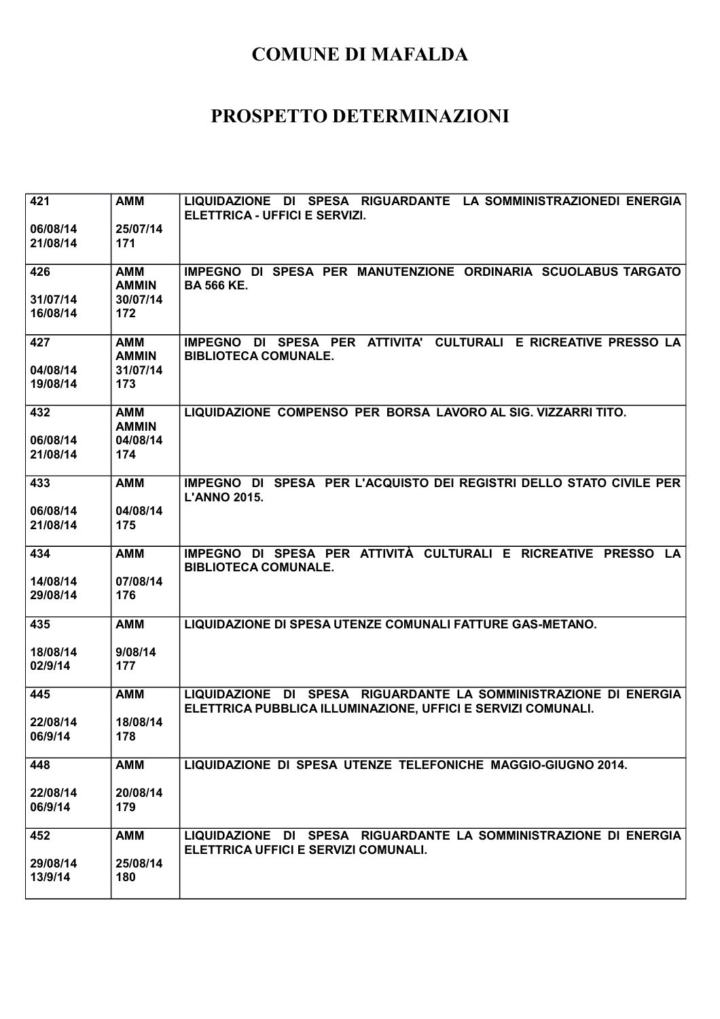| 421      | <b>AMM</b>                 | LIQUIDAZIONE DI SPESA RIGUARDANTE LA SOMMINISTRAZIONEDI ENERGIA<br>ELETTRICA - UFFICI E SERVIZI.                                 |
|----------|----------------------------|----------------------------------------------------------------------------------------------------------------------------------|
| 06/08/14 | 25/07/14                   |                                                                                                                                  |
| 21/08/14 | 171                        |                                                                                                                                  |
| 426      | <b>AMM</b><br><b>AMMIN</b> | IMPEGNO DI SPESA PER MANUTENZIONE ORDINARIA SCUOLABUS TARGATO<br><b>BA 566 KE.</b>                                               |
| 31/07/14 | 30/07/14                   |                                                                                                                                  |
| 16/08/14 | 172                        |                                                                                                                                  |
| 427      | <b>AMM</b><br><b>AMMIN</b> | IMPEGNO DI SPESA PER ATTIVITA' CULTURALI E RICREATIVE PRESSO LA<br><b>BIBLIOTECA COMUNALE.</b>                                   |
| 04/08/14 | 31/07/14                   |                                                                                                                                  |
| 19/08/14 | 173                        |                                                                                                                                  |
| 432      | <b>AMM</b><br><b>AMMIN</b> | LIQUIDAZIONE COMPENSO PER BORSA LAVORO AL SIG. VIZZARRI TITO.                                                                    |
| 06/08/14 | 04/08/14                   |                                                                                                                                  |
| 21/08/14 | 174                        |                                                                                                                                  |
| 433      | <b>AMM</b>                 | IMPEGNO DI SPESA PER L'ACQUISTO DEI REGISTRI DELLO STATO CIVILE PER<br><b>L'ANNO 2015.</b>                                       |
| 06/08/14 | 04/08/14                   |                                                                                                                                  |
| 21/08/14 | 175                        |                                                                                                                                  |
| 434      | <b>AMM</b>                 | IMPEGNO DI SPESA PER ATTIVITÀ CULTURALI E RICREATIVE PRESSO LA<br><b>BIBLIOTECA COMUNALE.</b>                                    |
| 14/08/14 | 07/08/14                   |                                                                                                                                  |
| 29/08/14 | 176                        |                                                                                                                                  |
| 435      | <b>AMM</b>                 | LIQUIDAZIONE DI SPESA UTENZE COMUNALI FATTURE GAS-METANO.                                                                        |
| 18/08/14 | 9/08/14                    |                                                                                                                                  |
| 02/9/14  | 177                        |                                                                                                                                  |
| 445      | <b>AMM</b>                 | LIQUIDAZIONE DI SPESA RIGUARDANTE LA SOMMINISTRAZIONE DI ENERGIA<br>ELETTRICA PUBBLICA ILLUMINAZIONE, UFFICI E SERVIZI COMUNALI. |
| 22/08/14 | 18/08/14                   |                                                                                                                                  |
| 06/9/14  | 178                        |                                                                                                                                  |
| 448      | <b>AMM</b>                 | LIQUIDAZIONE DI SPESA UTENZE TELEFONICHE MAGGIO-GIUGNO 2014.                                                                     |
| 22/08/14 | 20/08/14                   |                                                                                                                                  |
| 06/9/14  | 179                        |                                                                                                                                  |
| 452      | <b>AMM</b>                 | LIQUIDAZIONE DI SPESA RIGUARDANTE LA SOMMINISTRAZIONE DI ENERGIA<br>ELETTRICA UFFICI E SERVIZI COMUNALI.                         |
| 29/08/14 | 25/08/14                   |                                                                                                                                  |
| 13/9/14  | 180                        |                                                                                                                                  |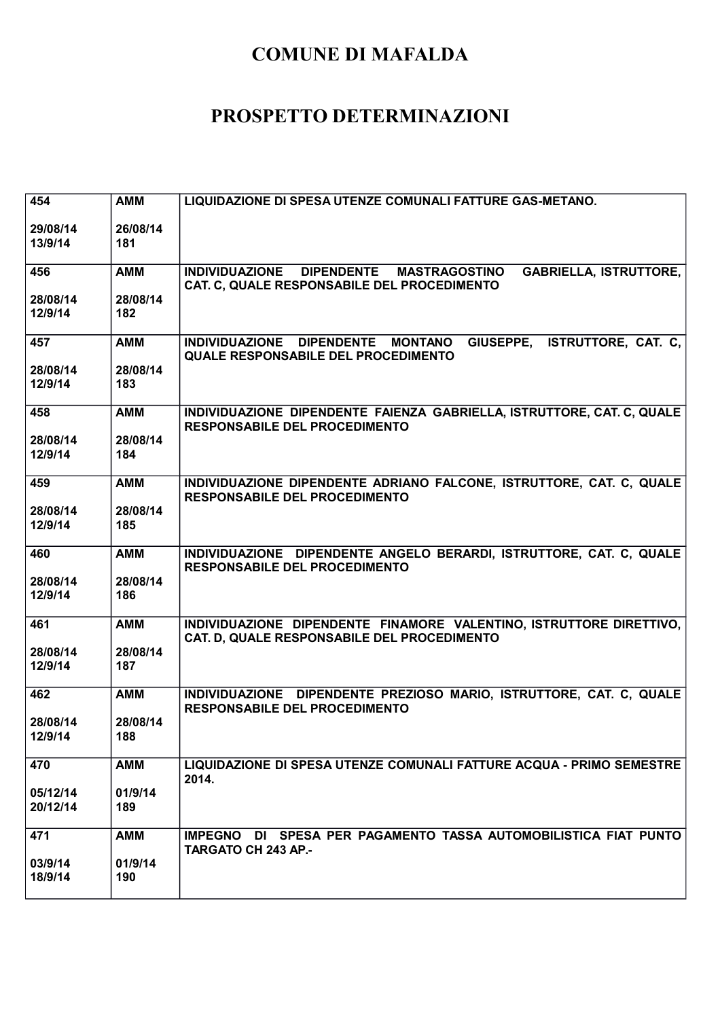| 454                  | <b>AMM</b>      | LIQUIDAZIONE DI SPESA UTENZE COMUNALI FATTURE GAS-METANO.                                                                         |
|----------------------|-----------------|-----------------------------------------------------------------------------------------------------------------------------------|
| 29/08/14<br>13/9/14  | 26/08/14<br>181 |                                                                                                                                   |
| 456                  | <b>AMM</b>      | <b>GABRIELLA, ISTRUTTORE,</b><br>INDIVIDUAZIONE DIPENDENTE<br><b>MASTRAGOSTINO</b><br>CAT. C, QUALE RESPONSABILE DEL PROCEDIMENTO |
| 28/08/14<br>12/9/14  | 28/08/14<br>182 |                                                                                                                                   |
| 457                  | <b>AMM</b>      | GIUSEPPE, ISTRUTTORE, CAT. C,<br>INDIVIDUAZIONE DIPENDENTE MONTANO<br><b>QUALE RESPONSABILE DEL PROCEDIMENTO</b>                  |
| 28/08/14<br>12/9/14  | 28/08/14<br>183 |                                                                                                                                   |
| 458                  | <b>AMM</b>      | INDIVIDUAZIONE DIPENDENTE FAIENZA GABRIELLA, ISTRUTTORE, CAT. C, QUALE<br><b>RESPONSABILE DEL PROCEDIMENTO</b>                    |
| 28/08/14<br>12/9/14  | 28/08/14<br>184 |                                                                                                                                   |
| 459                  | <b>AMM</b>      | INDIVIDUAZIONE DIPENDENTE ADRIANO FALCONE, ISTRUTTORE, CAT. C, QUALE<br><b>RESPONSABILE DEL PROCEDIMENTO</b>                      |
| 28/08/14<br>12/9/14  | 28/08/14<br>185 |                                                                                                                                   |
| 460                  | <b>AMM</b>      | INDIVIDUAZIONE DIPENDENTE ANGELO BERARDI, ISTRUTTORE, CAT. C, QUALE<br><b>RESPONSABILE DEL PROCEDIMENTO</b>                       |
| 28/08/14<br>12/9/14  | 28/08/14<br>186 |                                                                                                                                   |
| 461                  | <b>AMM</b>      | INDIVIDUAZIONE DIPENDENTE FINAMORE VALENTINO, ISTRUTTORE DIRETTIVO,<br>CAT. D, QUALE RESPONSABILE DEL PROCEDIMENTO                |
| 28/08/14<br>12/9/14  | 28/08/14<br>187 |                                                                                                                                   |
| 462                  | <b>AMM</b>      | INDIVIDUAZIONE DIPENDENTE PREZIOSO MARIO, ISTRUTTORE, CAT. C, QUALE<br><b>RESPONSABILE DEL PROCEDIMENTO</b>                       |
| 28/08/14<br>12/9/14  | 28/08/14<br>188 |                                                                                                                                   |
| 470                  | <b>AMM</b>      | LIQUIDAZIONE DI SPESA UTENZE COMUNALI FATTURE ACQUA - PRIMO SEMESTRE<br>2014.                                                     |
| 05/12/14<br>20/12/14 | 01/9/14<br>189  |                                                                                                                                   |
| 471                  | <b>AMM</b>      | IMPEGNO DI SPESA PER PAGAMENTO TASSA AUTOMOBILISTICA FIAT PUNTO<br><b>TARGATO CH 243 AP.-</b>                                     |
| 03/9/14<br>18/9/14   | 01/9/14<br>190  |                                                                                                                                   |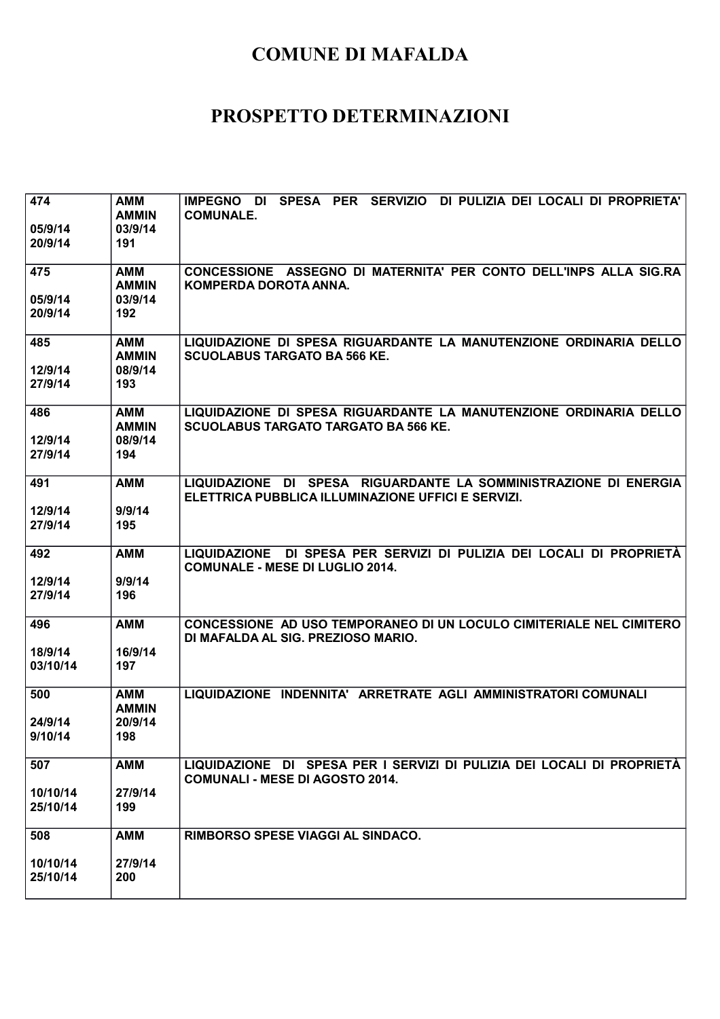| 474<br>05/9/14<br>20/9/14   | AMM<br><b>AMMIN</b><br>03/9/14<br>191        | SPESA PER<br>SERVIZIO DI PULIZIA DEI LOCALI DI PROPRIETA'<br><b>IMPEGNO</b><br>DI<br><b>COMUNALE.</b>                  |
|-----------------------------|----------------------------------------------|------------------------------------------------------------------------------------------------------------------------|
| 475<br>05/9/14<br>20/9/14   | <b>AMM</b><br><b>AMMIN</b><br>03/9/14<br>192 | CONCESSIONE ASSEGNO DI MATERNITA' PER CONTO DELL'INPS ALLA SIG.RA<br>KOMPERDA DOROTA ANNA.                             |
| 485<br>12/9/14<br>27/9/14   | <b>AMM</b><br><b>AMMIN</b><br>08/9/14<br>193 | LIQUIDAZIONE DI SPESA RIGUARDANTE LA MANUTENZIONE ORDINARIA DELLO<br><b>SCUOLABUS TARGATO BA 566 KE.</b>               |
| 486<br>12/9/14<br>27/9/14   | <b>AMM</b><br><b>AMMIN</b><br>08/9/14<br>194 | LIQUIDAZIONE DI SPESA RIGUARDANTE LA MANUTENZIONE ORDINARIA DELLO<br><b>SCUOLABUS TARGATO TARGATO BA 566 KE.</b>       |
| 491<br>12/9/14<br>27/9/14   | <b>AMM</b><br>9/9/14<br>195                  | LIQUIDAZIONE DI SPESA RIGUARDANTE LA SOMMINISTRAZIONE DI ENERGIA<br>ELETTRICA PUBBLICA ILLUMINAZIONE UFFICI E SERVIZI. |
| 492<br>12/9/14<br>27/9/14   | <b>AMM</b><br>9/9/14<br>196                  | LIQUIDAZIONE DI SPESA PER SERVIZI DI PULIZIA DEI LOCALI DI PROPRIETÀ<br><b>COMUNALE - MESE DI LUGLIO 2014.</b>         |
| 496<br>18/9/14<br>03/10/14  | <b>AMM</b><br>16/9/14<br>197                 | CONCESSIONE AD USO TEMPORANEO DI UN LOCULO CIMITERIALE NEL CIMITERO<br>DI MAFALDA AL SIG. PREZIOSO MARIO.              |
| 500<br>24/9/14<br>9/10/14   | <b>AMM</b><br><b>AMMIN</b><br>20/9/14<br>198 | LIQUIDAZIONE INDENNITA' ARRETRATE AGLI AMMINISTRATORI COMUNALI                                                         |
| 507<br>10/10/14<br>25/10/14 | <b>AMM</b><br>27/9/14<br>199                 | LIQUIDAZIONE DI SPESA PER I SERVIZI DI PULIZIA DEI LOCALI DI PROPRIETÀ<br><b>COMUNALI - MESE DI AGOSTO 2014.</b>       |
| 508<br>10/10/14<br>25/10/14 | <b>AMM</b><br>27/9/14<br>200                 | RIMBORSO SPESE VIAGGI AL SINDACO.                                                                                      |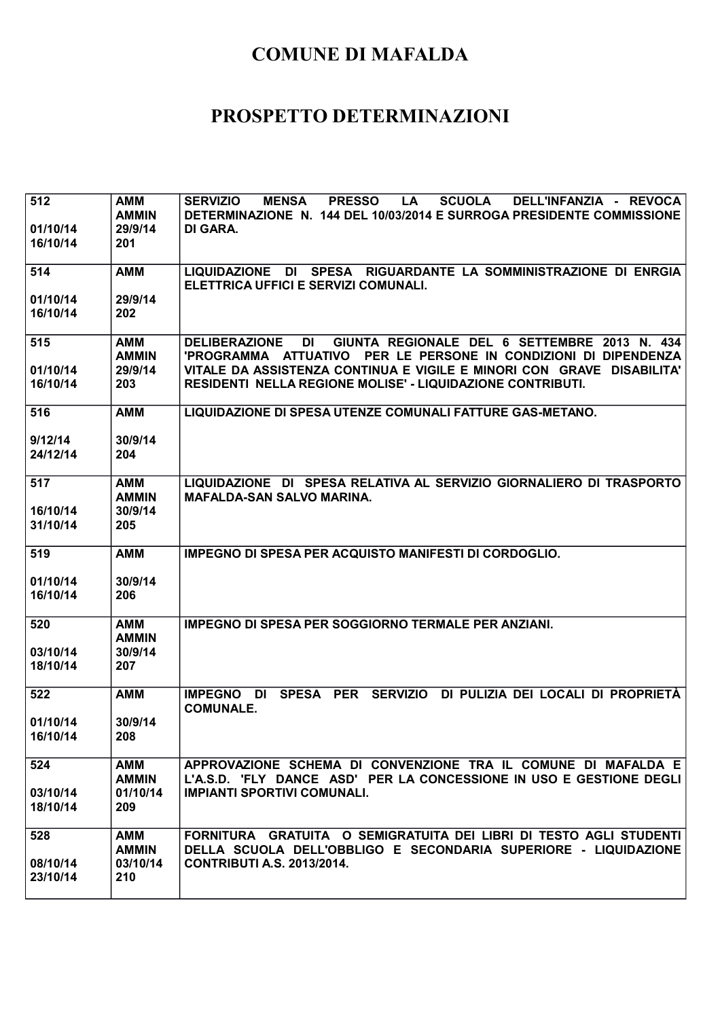| 512<br>01/10/14<br>16/10/14 | <b>AMM</b><br><b>AMMIN</b><br>29/9/14<br>201 | <b>SERVIZIO</b><br><b>MENSA</b><br><b>PRESSO</b><br><b>SCUOLA</b><br>DELL'INFANZIA - REVOCA<br><b>LA</b><br>DETERMINAZIONE N. 144 DEL 10/03/2014 E SURROGA PRESIDENTE COMMISSIONE<br>DI GARA. |
|-----------------------------|----------------------------------------------|-----------------------------------------------------------------------------------------------------------------------------------------------------------------------------------------------|
| 514                         | <b>AMM</b>                                   | LIQUIDAZIONE DI SPESA RIGUARDANTE LA SOMMINISTRAZIONE DI ENRGIA<br>ELETTRICA UFFICI E SERVIZI COMUNALI.                                                                                       |
| 01/10/14<br>16/10/14        | 29/9/14<br>202                               |                                                                                                                                                                                               |
| 515                         | AMM<br><b>AMMIN</b>                          | <b>DELIBERAZIONE</b><br><b>DI</b><br>GIUNTA REGIONALE DEL 6 SETTEMBRE 2013 N. 434<br>'PROGRAMMA ATTUATIVO PER LE PERSONE IN CONDIZIONI DI DIPENDENZA                                          |
| 01/10/14<br>16/10/14        | 29/9/14<br>203                               | VITALE DA ASSISTENZA CONTINUA E VIGILE E MINORI CON GRAVE DISABILITA'<br><b>RESIDENTI NELLA REGIONE MOLISE' - LIQUIDAZIONE CONTRIBUTI.</b>                                                    |
| 516                         | <b>AMM</b>                                   | LIQUIDAZIONE DI SPESA UTENZE COMUNALI FATTURE GAS-METANO.                                                                                                                                     |
| 9/12/14<br>24/12/14         | 30/9/14<br>204                               |                                                                                                                                                                                               |
| 517                         | AMM<br><b>AMMIN</b>                          | LIQUIDAZIONE DI SPESA RELATIVA AL SERVIZIO GIORNALIERO DI TRASPORTO<br><b>MAFALDA-SAN SALVO MARINA.</b>                                                                                       |
| 16/10/14<br>31/10/14        | 30/9/14<br>205                               |                                                                                                                                                                                               |
| 519                         | <b>AMM</b>                                   | <b>IMPEGNO DI SPESA PER ACQUISTO MANIFESTI DI CORDOGLIO.</b>                                                                                                                                  |
| 01/10/14<br>16/10/14        | 30/9/14<br>206                               |                                                                                                                                                                                               |
| 520                         | <b>AMM</b><br><b>AMMIN</b>                   | <b>IMPEGNO DI SPESA PER SOGGIORNO TERMALE PER ANZIANI.</b>                                                                                                                                    |
| 03/10/14<br>18/10/14        | 30/9/14<br>207                               |                                                                                                                                                                                               |
| 522                         | <b>AMM</b>                                   | <b>IMPEGNO</b><br><b>SPESA</b><br><b>PER</b><br><b>SERVIZIO</b><br>DI PULIZIA DEI LOCALI DI PROPRIETÀ<br><b>DI</b><br><b>COMUNALE.</b>                                                        |
| 01/10/14<br>16/10/14        | 30/9/14<br>208                               |                                                                                                                                                                                               |
| 524                         | AMM<br><b>AMMIN</b>                          | APPROVAZIONE SCHEMA DI CONVENZIONE TRA IL COMUNE DI MAFALDA E<br>L'A.S.D. 'FLY DANCE ASD' PER LA CONCESSIONE IN USO E GESTIONE DEGLI                                                          |
| 03/10/14<br>18/10/14        | 01/10/14<br>209                              | <b>IMPIANTI SPORTIVI COMUNALI.</b>                                                                                                                                                            |
| 528                         | <b>AMM</b><br><b>AMMIN</b>                   | FORNITURA GRATUITA O SEMIGRATUITA DEI LIBRI DI TESTO AGLI STUDENTI<br>DELLA SCUOLA DELL'OBBLIGO E SECONDARIA SUPERIORE - LIQUIDAZIONE                                                         |
| 08/10/14<br>23/10/14        | 03/10/14<br>210                              | <b>CONTRIBUTI A.S. 2013/2014.</b>                                                                                                                                                             |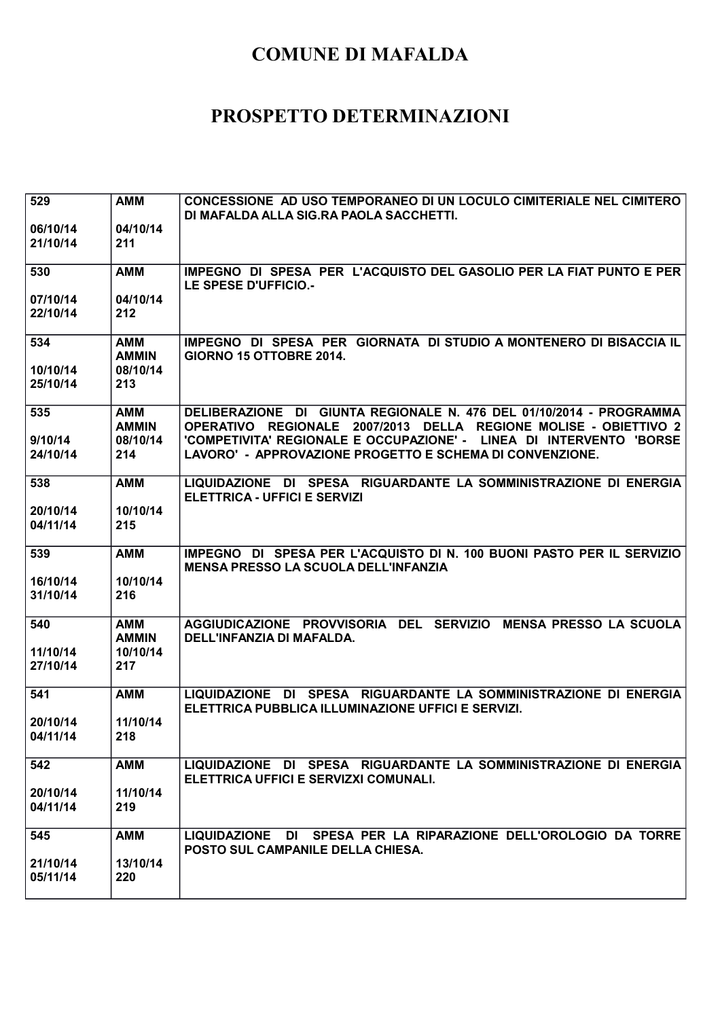| 529                        | <b>AMM</b>                                    | CONCESSIONE AD USO TEMPORANEO DI UN LOCULO CIMITERIALE NEL CIMITERO<br>DI MAFALDA ALLA SIG.RA PAOLA SACCHETTI.                                                                                                                                                                       |
|----------------------------|-----------------------------------------------|--------------------------------------------------------------------------------------------------------------------------------------------------------------------------------------------------------------------------------------------------------------------------------------|
| 06/10/14<br>21/10/14       | 04/10/14<br>211                               |                                                                                                                                                                                                                                                                                      |
| 530                        | <b>AMM</b>                                    | IMPEGNO DI SPESA PER L'ACQUISTO DEL GASOLIO PER LA FIAT PUNTO E PER<br>LE SPESE D'UFFICIO.-                                                                                                                                                                                          |
| 07/10/14<br>22/10/14       | 04/10/14<br>212                               |                                                                                                                                                                                                                                                                                      |
| 534                        | <b>AMM</b><br><b>AMMIN</b>                    | IMPEGNO DI SPESA PER GIORNATA DI STUDIO A MONTENERO DI BISACCIA IL<br>GIORNO 15 OTTOBRE 2014.                                                                                                                                                                                        |
| 10/10/14<br>25/10/14       | 08/10/14<br>213                               |                                                                                                                                                                                                                                                                                      |
| 535<br>9/10/14<br>24/10/14 | <b>AMM</b><br><b>AMMIN</b><br>08/10/14<br>214 | DELIBERAZIONE DI GIUNTA REGIONALE N. 476 DEL 01/10/2014 - PROGRAMMA<br>OPERATIVO REGIONALE 2007/2013 DELLA<br><b>REGIONE MOLISE - OBIETTIVO 2</b><br>'COMPETIVITA' REGIONALE E OCCUPAZIONE' - LINEA DI INTERVENTO 'BORSE<br>LAVORO' - APPROVAZIONE PROGETTO E SCHEMA DI CONVENZIONE. |
| 538                        | <b>AMM</b>                                    | LIQUIDAZIONE DI SPESA RIGUARDANTE LA SOMMINISTRAZIONE DI ENERGIA<br><b>ELETTRICA - UFFICI E SERVIZI</b>                                                                                                                                                                              |
| 20/10/14<br>04/11/14       | 10/10/14<br>215                               |                                                                                                                                                                                                                                                                                      |
| 539                        | <b>AMM</b>                                    | IMPEGNO DI SPESA PER L'ACQUISTO DI N. 100 BUONI PASTO PER IL SERVIZIO<br><b>MENSA PRESSO LA SCUOLA DELL'INFANZIA</b>                                                                                                                                                                 |
| 16/10/14<br>31/10/14       | 10/10/14<br>216                               |                                                                                                                                                                                                                                                                                      |
| 540                        | <b>AMM</b><br><b>AMMIN</b>                    | AGGIUDICAZIONE PROVVISORIA DEL SERVIZIO<br><b>MENSA PRESSO LA SCUOLA</b><br>DELL'INFANZIA DI MAFALDA.                                                                                                                                                                                |
| 11/10/14<br>27/10/14       | 10/10/14<br>217                               |                                                                                                                                                                                                                                                                                      |
| 541                        | <b>AMM</b>                                    | LIQUIDAZIONE DI SPESA RIGUARDANTE LA SOMMINISTRAZIONE DI ENERGIA<br>ELETTRICA PUBBLICA ILLUMINAZIONE UFFICI E SERVIZI.                                                                                                                                                               |
| 20/10/14<br>04/11/14       | 11/10/14<br>218                               |                                                                                                                                                                                                                                                                                      |
| 542                        | <b>AMM</b>                                    | LIQUIDAZIONE DI SPESA RIGUARDANTE LA SOMMINISTRAZIONE DI ENERGIA<br>ELETTRICA UFFICI E SERVIZXI COMUNALI.                                                                                                                                                                            |
| 20/10/14<br>04/11/14       | 11/10/14<br>219                               |                                                                                                                                                                                                                                                                                      |
| 545                        | <b>AMM</b>                                    | LIQUIDAZIONE DI SPESA PER LA RIPARAZIONE DELL'OROLOGIO DA TORRE<br>POSTO SUL CAMPANILE DELLA CHIESA.                                                                                                                                                                                 |
| 21/10/14<br>05/11/14       | 13/10/14<br>220                               |                                                                                                                                                                                                                                                                                      |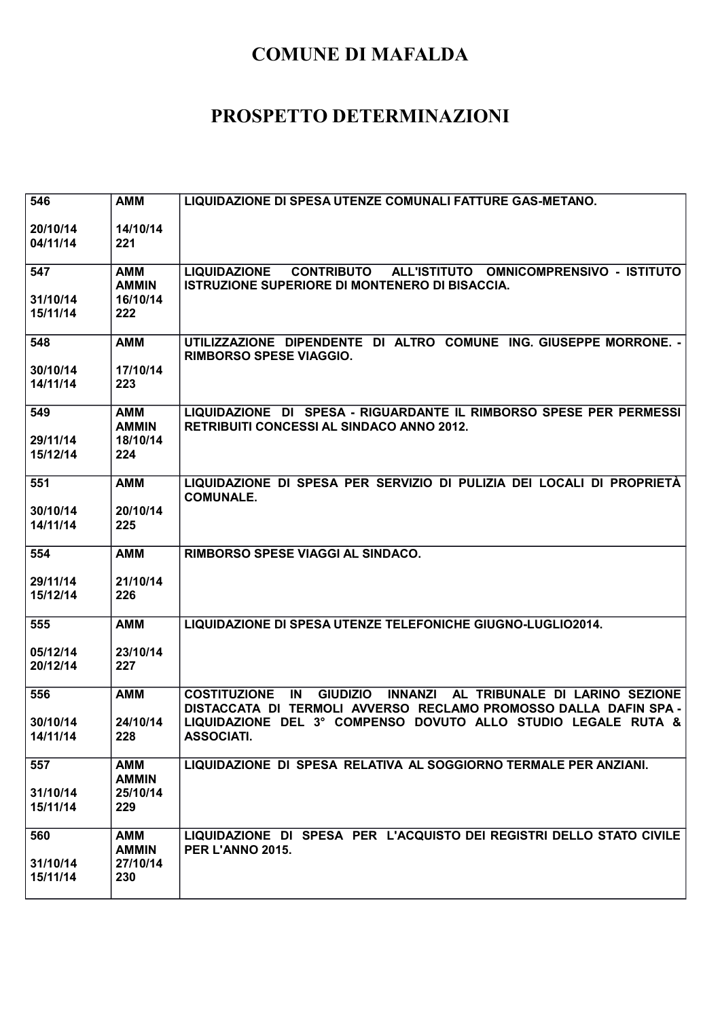| 546                  | <b>AMM</b>                 | LIQUIDAZIONE DI SPESA UTENZE COMUNALI FATTURE GAS-METANO.                                                                                                            |
|----------------------|----------------------------|----------------------------------------------------------------------------------------------------------------------------------------------------------------------|
| 20/10/14             | 14/10/14                   |                                                                                                                                                                      |
| 04/11/14             | 221                        |                                                                                                                                                                      |
|                      |                            | ALL'ISTITUTO OMNICOMPRENSIVO - ISTITUTO                                                                                                                              |
| 547                  | <b>AMM</b><br><b>AMMIN</b> | <b>LIQUIDAZIONE</b><br><b>CONTRIBUTO</b><br>ISTRUZIONE SUPERIORE DI MONTENERO DI BISACCIA.                                                                           |
| 31/10/14             | 16/10/14                   |                                                                                                                                                                      |
| 15/11/14             | 222                        |                                                                                                                                                                      |
| 548                  | <b>AMM</b>                 | UTILIZZAZIONE DIPENDENTE DI ALTRO COMUNE ING. GIUSEPPE MORRONE. -                                                                                                    |
|                      |                            | <b>RIMBORSO SPESE VIAGGIO.</b>                                                                                                                                       |
| 30/10/14<br>14/11/14 | 17/10/14<br>223            |                                                                                                                                                                      |
|                      |                            |                                                                                                                                                                      |
| 549                  | AMM                        | LIQUIDAZIONE DI SPESA - RIGUARDANTE IL RIMBORSO SPESE PER PERMESSI                                                                                                   |
| 29/11/14             | <b>AMMIN</b><br>18/10/14   | <b>RETRIBUITI CONCESSI AL SINDACO ANNO 2012.</b>                                                                                                                     |
| 15/12/14             | 224                        |                                                                                                                                                                      |
|                      |                            |                                                                                                                                                                      |
| 551                  | <b>AMM</b>                 | LIQUIDAZIONE DI SPESA PER SERVIZIO DI PULIZIA DEI LOCALI DI PROPRIETÀ<br><b>COMUNALE.</b>                                                                            |
| 30/10/14             | 20/10/14                   |                                                                                                                                                                      |
| 14/11/14             | 225                        |                                                                                                                                                                      |
| 554                  | <b>AMM</b>                 | RIMBORSO SPESE VIAGGI AL SINDACO.                                                                                                                                    |
|                      |                            |                                                                                                                                                                      |
| 29/11/14<br>15/12/14 | 21/10/14<br>226            |                                                                                                                                                                      |
|                      |                            |                                                                                                                                                                      |
| 555                  | <b>AMM</b>                 | LIQUIDAZIONE DI SPESA UTENZE TELEFONICHE GIUGNO-LUGLIO2014.                                                                                                          |
| 05/12/14             | 23/10/14                   |                                                                                                                                                                      |
| 20/12/14             | 227                        |                                                                                                                                                                      |
|                      |                            |                                                                                                                                                                      |
| 556                  | <b>AMM</b>                 | <b>COSTITUZIONE</b><br>IN<br><b>GIUDIZIO</b><br><b>INNANZI</b><br>AL TRIBUNALE DI LARINO SEZIONE<br>DISTACCATA DI TERMOLI AVVERSO RECLAMO PROMOSSO DALLA DAFIN SPA - |
| 30/10/14             | 24/10/14                   | LIQUIDAZIONE DEL 3º COMPENSO DOVUTO ALLO STUDIO LEGALE RUTA &                                                                                                        |
| 14/11/14             | 228                        | <b>ASSOCIATI.</b>                                                                                                                                                    |
| 557                  | <b>AMM</b>                 | LIQUIDAZIONE DI SPESA RELATIVA AL SOGGIORNO TERMALE PER ANZIANI.                                                                                                     |
|                      | <b>AMMIN</b>               |                                                                                                                                                                      |
| 31/10/14             | 25/10/14                   |                                                                                                                                                                      |
| 15/11/14             | 229                        |                                                                                                                                                                      |
| 560                  | <b>AMM</b>                 | LIQUIDAZIONE DI SPESA PER L'ACQUISTO DEI REGISTRI DELLO STATO CIVILE                                                                                                 |
|                      | <b>AMMIN</b>               | PER L'ANNO 2015.                                                                                                                                                     |
|                      |                            |                                                                                                                                                                      |
| 31/10/14<br>15/11/14 | 27/10/14<br>230            |                                                                                                                                                                      |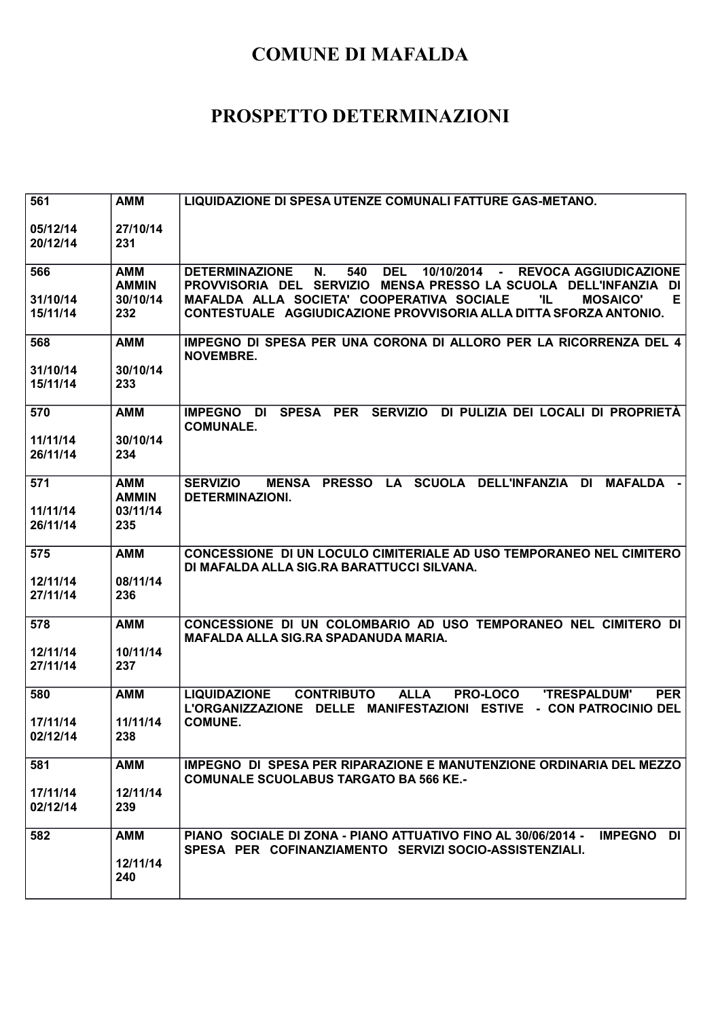| 561                  | <b>AMM</b>                 | LIQUIDAZIONE DI SPESA UTENZE COMUNALI FATTURE GAS-METANO.                                                                                                                               |
|----------------------|----------------------------|-----------------------------------------------------------------------------------------------------------------------------------------------------------------------------------------|
| 05/12/14<br>20/12/14 | 27/10/14<br>231            |                                                                                                                                                                                         |
| 566                  | <b>AMM</b>                 | <b>DEL</b><br>Ν.<br>540<br>10/10/2014 -<br><b>REVOCA AGGIUDICAZIONE</b><br><b>DETERMINAZIONE</b>                                                                                        |
| 31/10/14             | <b>AMMIN</b><br>30/10/14   | PROVVISORIA DEL SERVIZIO MENSA PRESSO LA SCUOLA DELL'INFANZIA<br>DI<br>MAFALDA ALLA SOCIETA' COOPERATIVA SOCIALE<br>'IL<br><b>MOSAICO'</b><br>Е.                                        |
| 15/11/14             | 232                        | CONTESTUALE AGGIUDICAZIONE PROVVISORIA ALLA DITTA SFORZA ANTONIO.                                                                                                                       |
| 568                  | <b>AMM</b>                 | IMPEGNO DI SPESA PER UNA CORONA DI ALLORO PER LA RICORRENZA DEL 4<br><b>NOVEMBRE.</b>                                                                                                   |
| 31/10/14<br>15/11/14 | 30/10/14<br>233            |                                                                                                                                                                                         |
|                      |                            |                                                                                                                                                                                         |
| 570                  | <b>AMM</b>                 | <b>SPESA</b><br><b>PER</b><br><b>SERVIZIO</b><br>DI PULIZIA DEI LOCALI DI PROPRIETÀ<br><b>IMPEGNO</b><br>DI<br><b>COMUNALE.</b>                                                         |
| 11/11/14             | 30/10/14                   |                                                                                                                                                                                         |
| 26/11/14             | 234                        |                                                                                                                                                                                         |
| 571                  | <b>AMM</b><br><b>AMMIN</b> | LA SCUOLA DELL'INFANZIA<br><b>SERVIZIO</b><br><b>PRESSO</b><br><b>MAFALDA</b><br><b>MENSA</b><br>DI<br><b>DETERMINAZIONI.</b>                                                           |
| 11/11/14             | 03/11/14                   |                                                                                                                                                                                         |
| 26/11/14             | 235                        |                                                                                                                                                                                         |
| 575                  | <b>AMM</b>                 | CONCESSIONE DI UN LOCULO CIMITERIALE AD USO TEMPORANEO NEL CIMITERO<br>DI MAFALDA ALLA SIG.RA BARATTUCCI SILVANA.                                                                       |
| 12/11/14<br>27/11/14 | 08/11/14<br>236            |                                                                                                                                                                                         |
|                      |                            |                                                                                                                                                                                         |
| 578                  | <b>AMM</b>                 | CONCESSIONE DI UN COLOMBARIO AD USO TEMPORANEO NEL CIMITERO DI<br>MAFALDA ALLA SIG.RA SPADANUDA MARIA.                                                                                  |
| 12/11/14             | 10/11/14                   |                                                                                                                                                                                         |
| 27/11/14             | 237                        |                                                                                                                                                                                         |
| 580                  | <b>AMM</b>                 | <b>CONTRIBUTO</b><br><b>ALLA</b><br><b>'TRESPALDUM'</b><br><b>PER</b><br><b>LIQUIDAZIONE</b><br><b>PRO-LOCO</b><br>L'ORGANIZZAZIONE DELLE MANIFESTAZIONI ESTIVE<br>- CON PATROCINIO DEL |
| 17/11/14             | 11/11/14                   | <b>COMUNE.</b>                                                                                                                                                                          |
| 02/12/14             | 238                        |                                                                                                                                                                                         |
| 581                  | <b>AMM</b>                 | IMPEGNO DI SPESA PER RIPARAZIONE E MANUTENZIONE ORDINARIA DEL MEZZO<br><b>COMUNALE SCUOLABUS TARGATO BA 566 KE.-</b>                                                                    |
| 17/11/14             | 12/11/14                   |                                                                                                                                                                                         |
| 02/12/14             | 239                        |                                                                                                                                                                                         |
| 582                  | <b>AMM</b>                 | PIANO SOCIALE DI ZONA - PIANO ATTUATIVO FINO AL 30/06/2014 -<br><b>IMPEGNO</b><br>DI                                                                                                    |
|                      | 12/11/14                   | SPESA PER COFINANZIAMENTO SERVIZI SOCIO-ASSISTENZIALI.                                                                                                                                  |
|                      | 240                        |                                                                                                                                                                                         |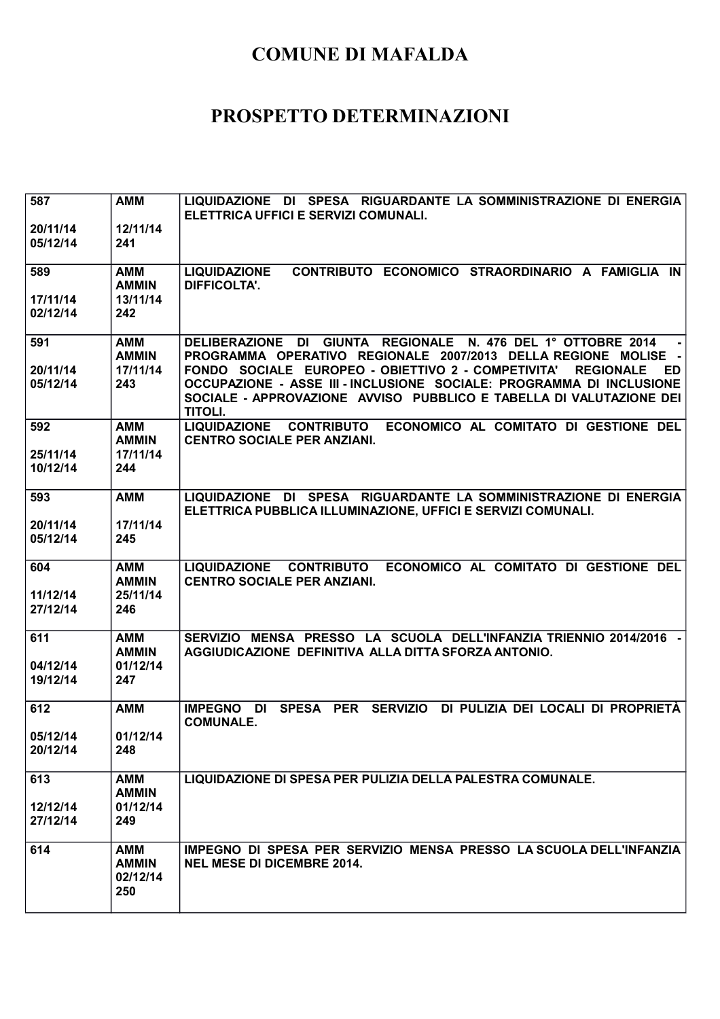| 587<br>20/11/14      | <b>AMM</b><br>12/11/14                        | LIQUIDAZIONE DI SPESA RIGUARDANTE LA SOMMINISTRAZIONE DI ENERGIA<br>ELETTRICA UFFICI E SERVIZI COMUNALI.                                                                                                       |
|----------------------|-----------------------------------------------|----------------------------------------------------------------------------------------------------------------------------------------------------------------------------------------------------------------|
| 05/12/14             | 241                                           |                                                                                                                                                                                                                |
| 589                  | AMM<br><b>AMMIN</b>                           | <b>LIQUIDAZIONE</b><br>CONTRIBUTO ECONOMICO STRAORDINARIO A FAMIGLIA IN<br><b>DIFFICOLTA'.</b>                                                                                                                 |
| 17/11/14<br>02/12/14 | 13/11/14<br>242                               |                                                                                                                                                                                                                |
| 591<br>20/11/14      | <b>AMM</b><br><b>AMMIN</b><br>17/11/14        | DELIBERAZIONE DI GIUNTA REGIONALE N. 476 DEL 1º OTTOBRE 2014<br>PROGRAMMA OPERATIVO REGIONALE 2007/2013 DELLA REGIONE MOLISE -<br>FONDO SOCIALE EUROPEO - OBIETTIVO 2 - COMPETIVITA'<br><b>REGIONALE</b><br>ED |
| 05/12/14             | 243                                           | OCCUPAZIONE - ASSE III - INCLUSIONE SOCIALE: PROGRAMMA DI INCLUSIONE<br>SOCIALE - APPROVAZIONE AVVISO PUBBLICO E TABELLA DI VALUTAZIONE DEI<br><b>TITOLI.</b>                                                  |
| 592                  | <b>AMM</b><br><b>AMMIN</b>                    | ECONOMICO AL COMITATO DI GESTIONE DEL<br><b>LIQUIDAZIONE</b><br><b>CONTRIBUTO</b><br><b>CENTRO SOCIALE PER ANZIANI.</b>                                                                                        |
| 25/11/14<br>10/12/14 | 17/11/14<br>244                               |                                                                                                                                                                                                                |
| 593                  | <b>AMM</b>                                    | LIQUIDAZIONE DI SPESA RIGUARDANTE LA SOMMINISTRAZIONE DI ENERGIA<br>ELETTRICA PUBBLICA ILLUMINAZIONE, UFFICI E SERVIZI COMUNALI.                                                                               |
| 20/11/14<br>05/12/14 | 17/11/14<br>245                               |                                                                                                                                                                                                                |
| 604                  | <b>AMM</b><br><b>AMMIN</b>                    | LIQUIDAZIONE CONTRIBUTO<br>ECONOMICO AL COMITATO DI GESTIONE DEL<br><b>CENTRO SOCIALE PER ANZIANI.</b>                                                                                                         |
| 11/12/14<br>27/12/14 | 25/11/14<br>246                               |                                                                                                                                                                                                                |
| 611                  | <b>AMM</b><br><b>AMMIN</b>                    | SERVIZIO MENSA PRESSO LA SCUOLA DELL'INFANZIA TRIENNIO 2014/2016 -<br>AGGIUDICAZIONE DEFINITIVA ALLA DITTA SFORZA ANTONIO.                                                                                     |
| 04/12/14<br>19/12/14 | 01/12/14<br>247                               |                                                                                                                                                                                                                |
| 612                  | <b>AMM</b>                                    | SPESA PER SERVIZIO DI PULIZIA DEI LOCALI DI PROPRIETÀ<br><b>IMPEGNO</b><br>DI<br><b>COMUNALE.</b>                                                                                                              |
| 05/12/14<br>20/12/14 | 01/12/14<br>248                               |                                                                                                                                                                                                                |
| 613                  | <b>AMM</b><br><b>AMMIN</b>                    | LIQUIDAZIONE DI SPESA PER PULIZIA DELLA PALESTRA COMUNALE.                                                                                                                                                     |
| 12/12/14<br>27/12/14 | 01/12/14<br>249                               |                                                                                                                                                                                                                |
| 614                  | <b>AMM</b><br><b>AMMIN</b><br>02/12/14<br>250 | IMPEGNO DI SPESA PER SERVIZIO MENSA PRESSO LA SCUOLA DELL'INFANZIA<br><b>NEL MESE DI DICEMBRE 2014.</b>                                                                                                        |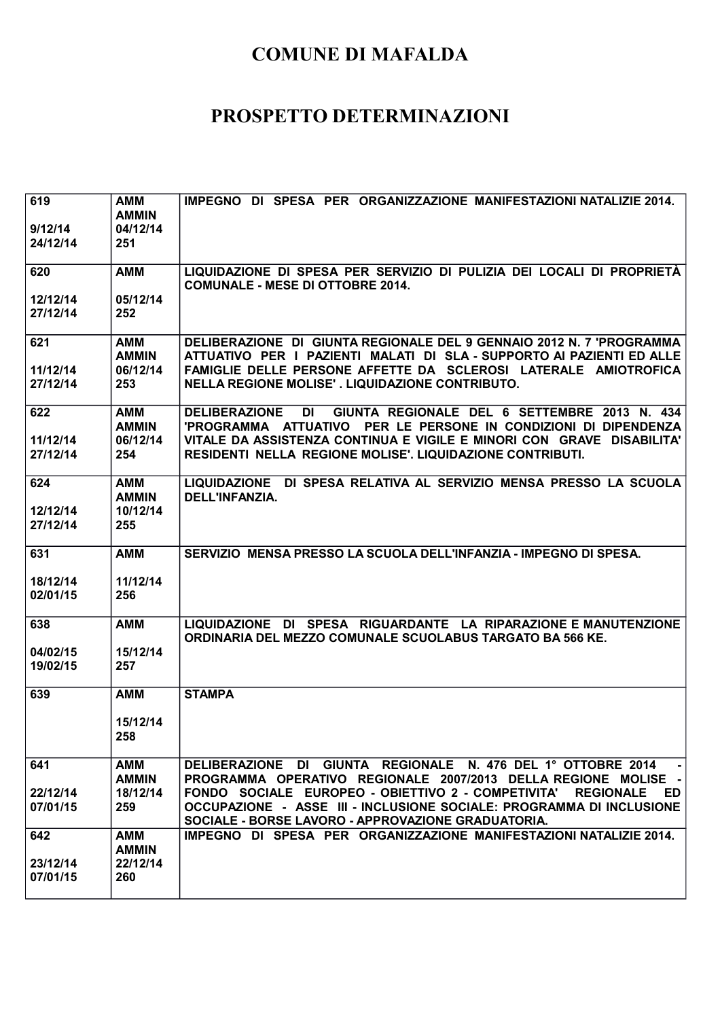| 619<br>9/12/14<br>24/12/14  | <b>AMM</b><br><b>AMMIN</b><br>04/12/14<br>251 | IMPEGNO DI SPESA PER ORGANIZZAZIONE MANIFESTAZIONI NATALIZIE 2014.                                                                                                                                                                                                            |
|-----------------------------|-----------------------------------------------|-------------------------------------------------------------------------------------------------------------------------------------------------------------------------------------------------------------------------------------------------------------------------------|
| 620<br>12/12/14             | <b>AMM</b><br>05/12/14                        | LIQUIDAZIONE DI SPESA PER SERVIZIO DI PULIZIA DEI LOCALI DI PROPRIETÀ<br><b>COMUNALE - MESE DI OTTOBRE 2014.</b>                                                                                                                                                              |
| 27/12/14                    | 252                                           |                                                                                                                                                                                                                                                                               |
| 621<br>11/12/14<br>27/12/14 | AMM<br><b>AMMIN</b><br>06/12/14<br>253        | DELIBERAZIONE DI GIUNTA REGIONALE DEL 9 GENNAIO 2012 N. 7 'PROGRAMMA<br>ATTUATIVO PER I PAZIENTI MALATI DI SLA - SUPPORTO AI PAZIENTI ED ALLE<br>FAMIGLIE DELLE PERSONE AFFETTE DA SCLEROSI LATERALE AMIOTROFICA<br>NELLA REGIONE MOLISE'. LIQUIDAZIONE CONTRIBUTO.           |
| 622<br>11/12/14             | AMM<br><b>AMMIN</b><br>06/12/14               | GIUNTA REGIONALE DEL 6 SETTEMBRE 2013 N. 434<br><b>DELIBERAZIONE</b><br>DI<br>'PROGRAMMA ATTUATIVO PER LE PERSONE IN CONDIZIONI DI DIPENDENZA<br>VITALE DA ASSISTENZA CONTINUA E VIGILE E MINORI CON GRAVE DISABILITA'                                                        |
| 27/12/14                    | 254                                           | <b>RESIDENTI NELLA REGIONE MOLISE'. LIQUIDAZIONE CONTRIBUTI.</b>                                                                                                                                                                                                              |
| 624                         | AMM<br><b>AMMIN</b>                           | LIQUIDAZIONE DI SPESA RELATIVA AL SERVIZIO MENSA PRESSO LA SCUOLA<br>DELL'INFANZIA.                                                                                                                                                                                           |
| 12/12/14<br>27/12/14        | 10/12/14<br>255                               |                                                                                                                                                                                                                                                                               |
| 631                         | <b>AMM</b>                                    | SERVIZIO MENSA PRESSO LA SCUOLA DELL'INFANZIA - IMPEGNO DI SPESA.                                                                                                                                                                                                             |
| 18/12/14<br>02/01/15        | 11/12/14<br>256                               |                                                                                                                                                                                                                                                                               |
| 638                         | <b>AMM</b>                                    | LIQUIDAZIONE DI SPESA RIGUARDANTE LA RIPARAZIONE EMANUTENZIONE<br>ORDINARIA DEL MEZZO COMUNALE SCUOLABUS TARGATO BA 566 KE.                                                                                                                                                   |
| 04/02/15<br>19/02/15        | 15/12/14<br>257                               |                                                                                                                                                                                                                                                                               |
| 639                         | <b>AMM</b><br>15/12/14<br>258                 | <b>STAMPA</b>                                                                                                                                                                                                                                                                 |
| 641                         | <b>AMM</b>                                    | DELIBERAZIONE DI GIUNTA REGIONALE N. 476 DEL 1º OTTOBRE 2014                                                                                                                                                                                                                  |
| 22/12/14<br>07/01/15        | <b>AMMIN</b><br>18/12/14<br>259               | PROGRAMMA OPERATIVO REGIONALE 2007/2013 DELLA REGIONE MOLISE -<br>FONDO SOCIALE EUROPEO - OBIETTIVO 2 - COMPETIVITA'<br><b>REGIONALE</b><br>ED.<br>OCCUPAZIONE - ASSE III - INCLUSIONE SOCIALE: PROGRAMMA DI INCLUSIONE<br>SOCIALE - BORSE LAVORO - APPROVAZIONE GRADUATORIA. |
| 642                         | <b>AMM</b><br><b>AMMIN</b>                    | IMPEGNO DI SPESA PER ORGANIZZAZIONE MANIFESTAZIONI NATALIZIE 2014.                                                                                                                                                                                                            |
| 23/12/14<br>07/01/15        | 22/12/14<br>260                               |                                                                                                                                                                                                                                                                               |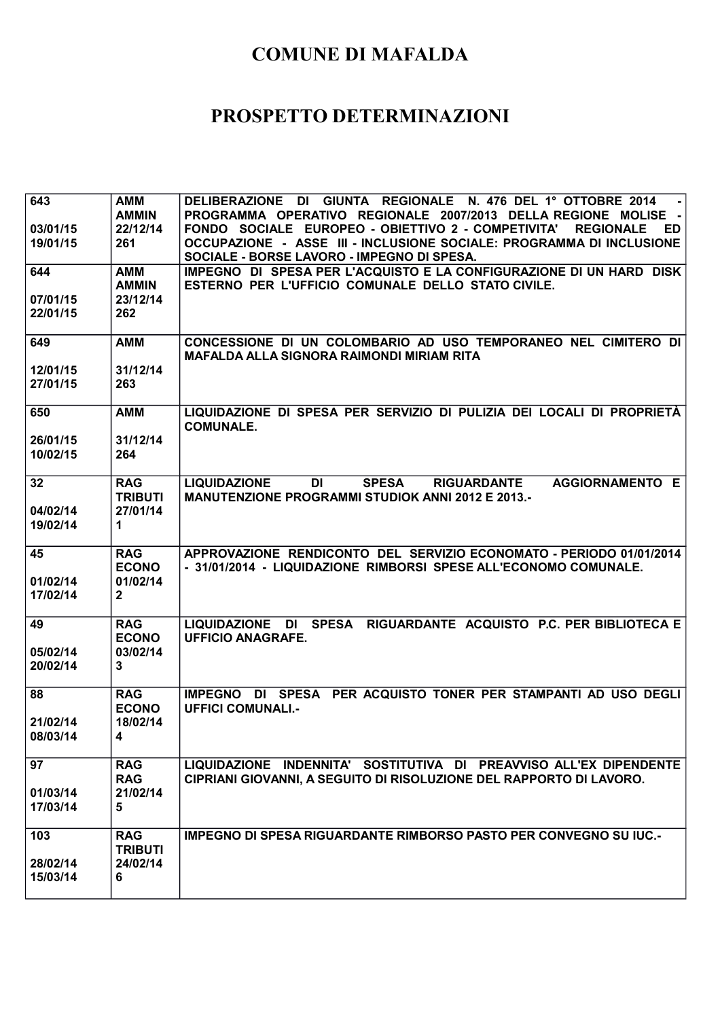| 643                  | <b>AMM</b><br><b>AMMIN</b>               | <b>DELIBERAZIONE</b><br>DI GIUNTA REGIONALE N. 476 DEL 1º OTTOBRE 2014<br>PROGRAMMA OPERATIVO REGIONALE 2007/2013 DELLA REGIONE MOLISE -                                                            |
|----------------------|------------------------------------------|-----------------------------------------------------------------------------------------------------------------------------------------------------------------------------------------------------|
| 03/01/15<br>19/01/15 | 22/12/14<br>261                          | FONDO SOCIALE EUROPEO - OBIETTIVO 2 - COMPETIVITA'<br><b>REGIONALE</b><br>ED.<br>OCCUPAZIONE - ASSE III - INCLUSIONE SOCIALE: PROGRAMMA DI INCLUSIONE<br>SOCIALE - BORSE LAVORO - IMPEGNO DI SPESA. |
| 644                  | <b>AMM</b><br><b>AMMIN</b>               | IMPEGNO DI SPESA PER L'ACQUISTO E LA CONFIGURAZIONE DI UN HARD DISK<br>ESTERNO PER L'UFFICIO COMUNALE DELLO STATO CIVILE.                                                                           |
| 07/01/15<br>22/01/15 | 23/12/14<br>262                          |                                                                                                                                                                                                     |
| 649                  | <b>AMM</b>                               | CONCESSIONE DI UN COLOMBARIO AD USO TEMPORANEO NEL CIMITERO DI<br>MAFALDA ALLA SIGNORA RAIMONDI MIRIAM RITA                                                                                         |
| 12/01/15<br>27/01/15 | 31/12/14<br>263                          |                                                                                                                                                                                                     |
| 650                  | <b>AMM</b>                               | LIQUIDAZIONE DI SPESA PER SERVIZIO DI PULIZIA DEI LOCALI DI PROPRIETÀ<br><b>COMUNALE.</b>                                                                                                           |
| 26/01/15<br>10/02/15 | 31/12/14<br>264                          |                                                                                                                                                                                                     |
| 32                   | <b>RAG</b><br><b>TRIBUTI</b>             | <b>LIQUIDAZIONE</b><br>DI<br><b>SPESA</b><br><b>AGGIORNAMENTO E</b><br><b>RIGUARDANTE</b><br><b>MANUTENZIONE PROGRAMMI STUDIOK ANNI 2012 E 2013.-</b>                                               |
| 04/02/14<br>19/02/14 | 27/01/14<br>$\mathbf 1$                  |                                                                                                                                                                                                     |
| 45                   | <b>RAG</b>                               | APPROVAZIONE RENDICONTO DEL SERVIZIO ECONOMATO - PERIODO 01/01/2014                                                                                                                                 |
| 01/02/14<br>17/02/14 | <b>ECONO</b><br>01/02/14<br>$\mathbf{2}$ | - 31/01/2014 - LIQUIDAZIONE RIMBORSI SPESE ALL'ECONOMO COMUNALE.                                                                                                                                    |
| 49                   | <b>RAG</b><br><b>ECONO</b>               | LIQUIDAZIONE DI SPESA RIGUARDANTE ACQUISTO P.C. PER BIBLIOTECA E<br><b>UFFICIO ANAGRAFE.</b>                                                                                                        |
| 05/02/14<br>20/02/14 | 03/02/14<br>3                            |                                                                                                                                                                                                     |
| 88                   | <b>RAG</b><br><b>ECONO</b>               | IMPEGNO DI SPESA PER ACQUISTO TONER PER STAMPANTI AD USO DEGLI<br><b>UFFICI COMUNALI.-</b>                                                                                                          |
| 21/02/14<br>08/03/14 | 18/02/14<br>4                            |                                                                                                                                                                                                     |
| 97                   | <b>RAG</b><br><b>RAG</b>                 | LIQUIDAZIONE INDENNITA' SOSTITUTIVA DI PREAVVISO ALL'EX DIPENDENTE<br>CIPRIANI GIOVANNI, A SEGUITO DI RISOLUZIONE DEL RAPPORTO DI LAVORO.                                                           |
| 01/03/14<br>17/03/14 | 21/02/14<br>5                            |                                                                                                                                                                                                     |
| 103                  | <b>RAG</b><br><b>TRIBUTI</b><br>24/02/14 | <b>IMPEGNO DI SPESA RIGUARDANTE RIMBORSO PASTO PER CONVEGNO SU IUC.-</b>                                                                                                                            |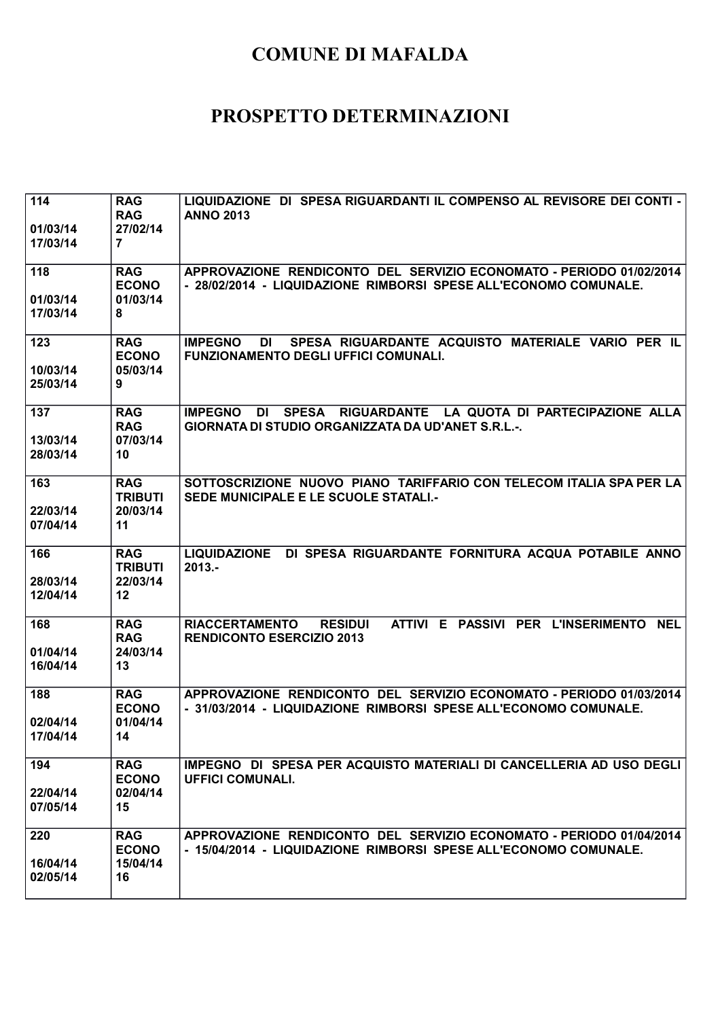| 114<br>01/03/14<br>17/03/14 | <b>RAG</b><br><b>RAG</b><br>27/02/14<br>7      | LIQUIDAZIONE DI SPESA RIGUARDANTI IL COMPENSO AL REVISORE DEI CONTI -<br><b>ANNO 2013</b>                                                     |
|-----------------------------|------------------------------------------------|-----------------------------------------------------------------------------------------------------------------------------------------------|
| 118<br>01/03/14<br>17/03/14 | <b>RAG</b><br><b>ECONO</b><br>01/03/14<br>8    | APPROVAZIONE RENDICONTO DEL SERVIZIO ECONOMATO - PERIODO 01/02/2014<br>- 28/02/2014 - LIQUIDAZIONE RIMBORSI SPESE ALL'ECONOMO COMUNALE.       |
| 123<br>10/03/14<br>25/03/14 | <b>RAG</b><br><b>ECONO</b><br>05/03/14<br>9    | SPESA RIGUARDANTE ACQUISTO MATERIALE VARIO PER IL<br><b>IMPEGNO</b><br>DI<br><b>FUNZIONAMENTO DEGLI UFFICI COMUNALI.</b>                      |
| 137<br>13/03/14<br>28/03/14 | <b>RAG</b><br><b>RAG</b><br>07/03/14<br>10     | SPESA RIGUARDANTE LA QUOTA DI PARTECIPAZIONE ALLA<br><b>IMPEGNO</b><br><b>DI</b><br><b>GIORNATA DI STUDIO ORGANIZZATA DA UD'ANET S.R.L.-.</b> |
| 163<br>22/03/14<br>07/04/14 | <b>RAG</b><br><b>TRIBUTI</b><br>20/03/14<br>11 | SOTTOSCRIZIONE NUOVO PIANO TARIFFARIO CON TELECOM ITALIA SPA PER LA<br>SEDE MUNICIPALE E LE SCUOLE STATALI.-                                  |
| 166<br>28/03/14<br>12/04/14 | <b>RAG</b><br><b>TRIBUTI</b><br>22/03/14<br>12 | LIQUIDAZIONE DI SPESA RIGUARDANTE FORNITURA ACQUA POTABILE ANNO<br>$2013. -$                                                                  |
| 168<br>01/04/14<br>16/04/14 | <b>RAG</b><br><b>RAG</b><br>24/03/14<br>13     | ATTIVI E PASSIVI PER L'INSERIMENTO NEL<br><b>RESIDUI</b><br><b>RIACCERTAMENTO</b><br><b>RENDICONTO ESERCIZIO 2013</b>                         |
| 188<br>02/04/14<br>17/04/14 | <b>RAG</b><br><b>ECONO</b><br>01/04/14<br>14   | APPROVAZIONE RENDICONTO DEL SERVIZIO ECONOMATO - PERIODO 01/03/2014<br>- 31/03/2014 - LIQUIDAZIONE RIMBORSI SPESE ALL'ECONOMO COMUNALE.       |
| 194<br>22/04/14<br>07/05/14 | <b>RAG</b><br><b>ECONO</b><br>02/04/14<br>15   | IMPEGNO DI SPESA PER ACQUISTO MATERIALI DI CANCELLERIA AD USO DEGLI<br><b>UFFICI COMUNALI.</b>                                                |
| 220<br>16/04/14<br>02/05/14 | <b>RAG</b><br><b>ECONO</b><br>15/04/14<br>16   | APPROVAZIONE RENDICONTO DEL SERVIZIO ECONOMATO - PERIODO 01/04/2014<br>- 15/04/2014 - LIQUIDAZIONE RIMBORSI SPESE ALL'ECONOMO COMUNALE.       |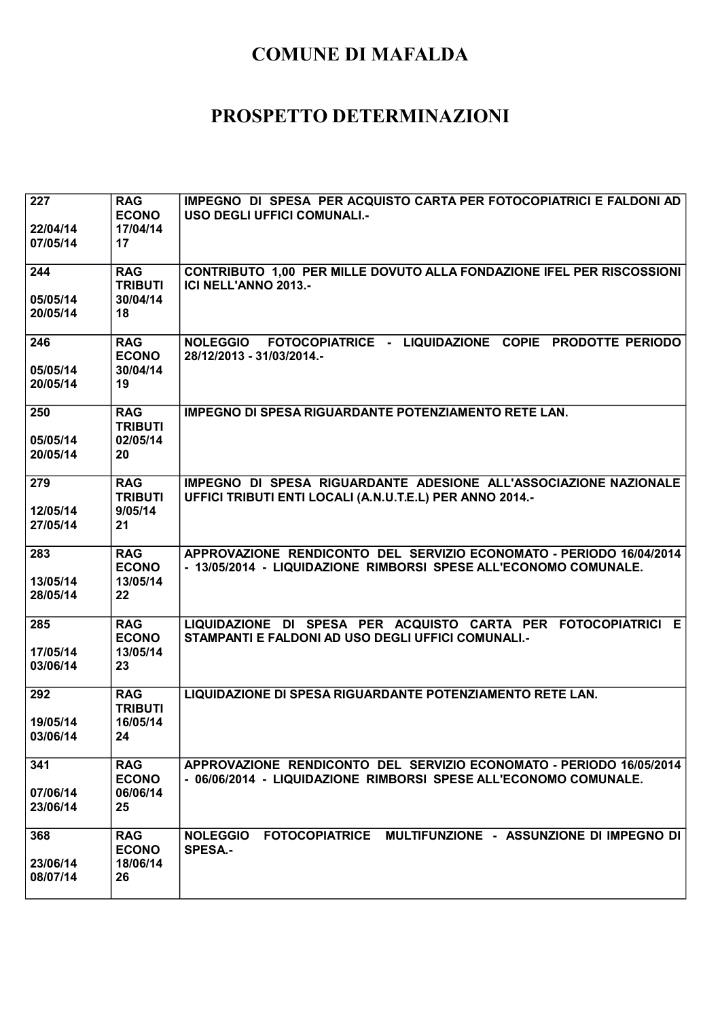| 227<br>22/04/14<br>07/05/14 | <b>RAG</b><br><b>ECONO</b><br>17/04/14<br>17   | IMPEGNO DI SPESA PER ACQUISTO CARTA PER FOTOCOPIATRICI E FALDONI AD<br>USO DEGLI UFFICI COMUNALI.-                                      |
|-----------------------------|------------------------------------------------|-----------------------------------------------------------------------------------------------------------------------------------------|
| 244<br>05/05/14<br>20/05/14 | <b>RAG</b><br><b>TRIBUTI</b><br>30/04/14<br>18 | CONTRIBUTO 1,00 PER MILLE DOVUTO ALLA FONDAZIONE IFEL PER RISCOSSIONI<br><b>ICI NELL'ANNO 2013.-</b>                                    |
| 246<br>05/05/14<br>20/05/14 | <b>RAG</b><br><b>ECONO</b><br>30/04/14<br>19   | FOTOCOPIATRICE - LIQUIDAZIONE COPIE PRODOTTE PERIODO<br><b>NOLEGGIO</b><br>28/12/2013 - 31/03/2014.-                                    |
| 250<br>05/05/14<br>20/05/14 | <b>RAG</b><br><b>TRIBUTI</b><br>02/05/14<br>20 | <b>IMPEGNO DI SPESA RIGUARDANTE POTENZIAMENTO RETE LAN.</b>                                                                             |
| 279<br>12/05/14<br>27/05/14 | <b>RAG</b><br><b>TRIBUTI</b><br>9/05/14<br>21  | IMPEGNO DI SPESA RIGUARDANTE ADESIONE ALL'ASSOCIAZIONE NAZIONALE<br>UFFICI TRIBUTI ENTI LOCALI (A.N.U.T.E.L) PER ANNO 2014.-            |
| 283<br>13/05/14<br>28/05/14 | <b>RAG</b><br><b>ECONO</b><br>13/05/14<br>22   | APPROVAZIONE RENDICONTO DEL SERVIZIO ECONOMATO - PERIODO 16/04/2014<br>- 13/05/2014 - LIQUIDAZIONE RIMBORSI SPESE ALL'ECONOMO COMUNALE. |
| 285<br>17/05/14<br>03/06/14 | <b>RAG</b><br><b>ECONO</b><br>13/05/14<br>23   | LIQUIDAZIONE DI SPESA PER ACQUISTO CARTA PER FOTOCOPIATRICI E<br>STAMPANTI E FALDONI AD USO DEGLI UFFICI COMUNALI.-                     |
| 292<br>19/05/14<br>03/06/14 | <b>RAG</b><br><b>TRIBUTI</b><br>16/05/14<br>24 | LIQUIDAZIONE DI SPESA RIGUARDANTE POTENZIAMENTO RETE LAN.                                                                               |
| 341<br>07/06/14<br>23/06/14 | <b>RAG</b><br><b>ECONO</b><br>06/06/14<br>25   | APPROVAZIONE RENDICONTO DEL SERVIZIO ECONOMATO - PERIODO 16/05/2014<br>- 06/06/2014 - LIQUIDAZIONE RIMBORSI SPESE ALL'ECONOMO COMUNALE. |
| 368<br>23/06/14<br>08/07/14 | <b>RAG</b><br><b>ECONO</b><br>18/06/14<br>26   | FOTOCOPIATRICE MULTIFUNZIONE - ASSUNZIONE DI IMPEGNO DI<br><b>NOLEGGIO</b><br><b>SPESA.-</b>                                            |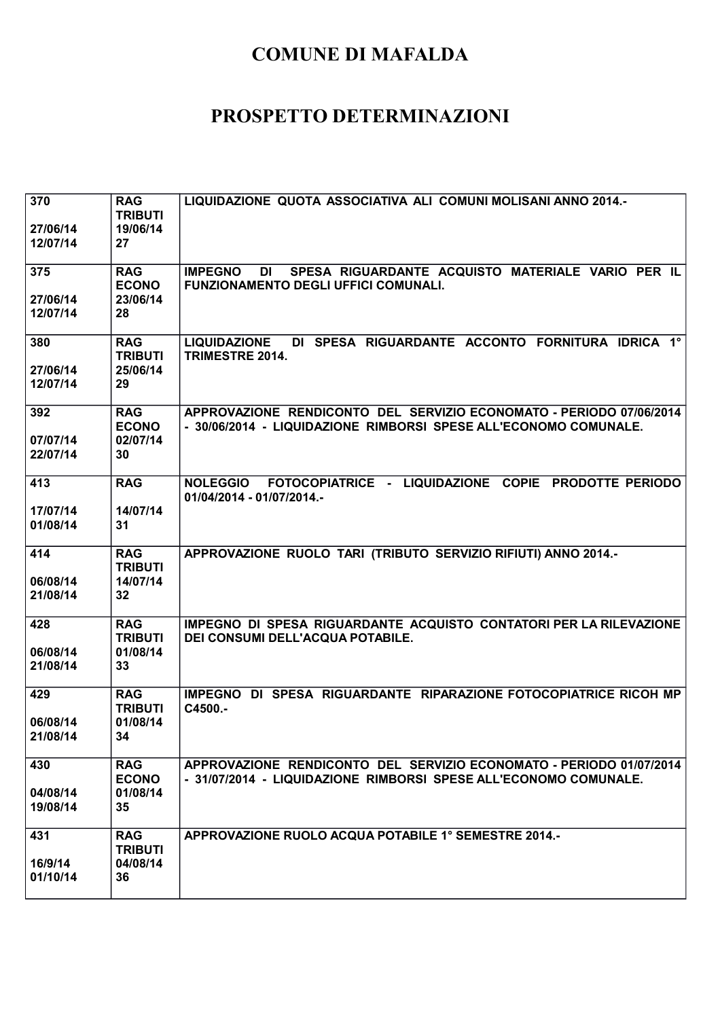| 370<br>27/06/14<br>12/07/14 | <b>RAG</b><br><b>TRIBUTI</b><br>19/06/14<br>27 | LIQUIDAZIONE QUOTA ASSOCIATIVA ALI COMUNI MOLISANI ANNO 2014.-                                                                          |
|-----------------------------|------------------------------------------------|-----------------------------------------------------------------------------------------------------------------------------------------|
| 375<br>27/06/14<br>12/07/14 | <b>RAG</b><br><b>ECONO</b><br>23/06/14<br>28   | SPESA RIGUARDANTE ACQUISTO MATERIALE VARIO PER IL<br><b>IMPEGNO</b><br>DI<br><b>FUNZIONAMENTO DEGLI UFFICI COMUNALI.</b>                |
| 380<br>27/06/14<br>12/07/14 | <b>RAG</b><br><b>TRIBUTI</b><br>25/06/14<br>29 | DI SPESA RIGUARDANTE ACCONTO FORNITURA IDRICA 1°<br><b>LIQUIDAZIONE</b><br>TRIMESTRE 2014.                                              |
| 392<br>07/07/14<br>22/07/14 | <b>RAG</b><br><b>ECONO</b><br>02/07/14<br>30   | APPROVAZIONE RENDICONTO DEL SERVIZIO ECONOMATO - PERIODO 07/06/2014<br>- 30/06/2014 - LIQUIDAZIONE RIMBORSI SPESE ALL'ECONOMO COMUNALE. |
| 413<br>17/07/14<br>01/08/14 | <b>RAG</b><br>14/07/14<br>31                   | NOLEGGIO FOTOCOPIATRICE - LIQUIDAZIONE COPIE PRODOTTE PERIODO<br>01/04/2014 - 01/07/2014.-                                              |
| 414<br>06/08/14<br>21/08/14 | <b>RAG</b><br><b>TRIBUTI</b><br>14/07/14<br>32 | APPROVAZIONE RUOLO TARI (TRIBUTO SERVIZIO RIFIUTI) ANNO 2014.-                                                                          |
| 428<br>06/08/14<br>21/08/14 | <b>RAG</b><br><b>TRIBUTI</b><br>01/08/14<br>33 | IMPEGNO DI SPESA RIGUARDANTE ACQUISTO CONTATORI PER LA RILEVAZIONE<br>DEI CONSUMI DELL'ACQUA POTABILE.                                  |
| 429<br>06/08/14<br>21/08/14 | <b>RAG</b><br><b>TRIBUTI</b><br>01/08/14<br>34 | IMPEGNO DI SPESA RIGUARDANTE RIPARAZIONE FOTOCOPIATRICE RICOH MP<br>C4500.-                                                             |
| 430<br>04/08/14<br>19/08/14 | <b>RAG</b><br><b>ECONO</b><br>01/08/14<br>35   | APPROVAZIONE RENDICONTO DEL SERVIZIO ECONOMATO - PERIODO 01/07/2014<br>- 31/07/2014 - LIQUIDAZIONE RIMBORSI SPESE ALL'ECONOMO COMUNALE. |
| 431<br>16/9/14<br>01/10/14  | <b>RAG</b><br><b>TRIBUTI</b><br>04/08/14<br>36 | APPROVAZIONE RUOLO ACQUA POTABILE 1° SEMESTRE 2014.-                                                                                    |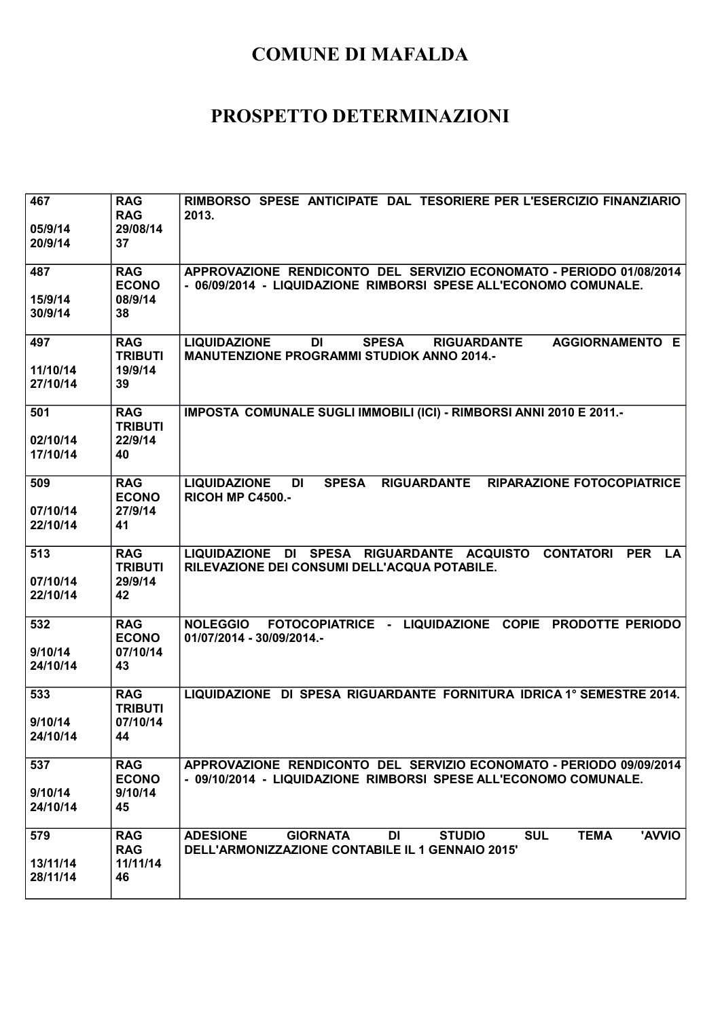| 467<br>05/9/14<br>20/9/14   | <b>RAG</b><br><b>RAG</b><br>29/08/14<br>37     | RIMBORSO SPESE ANTICIPATE DAL TESORIERE PER L'ESERCIZIO FINANZIARIO<br>2013.                                                                                       |
|-----------------------------|------------------------------------------------|--------------------------------------------------------------------------------------------------------------------------------------------------------------------|
| 487<br>15/9/14<br>30/9/14   | <b>RAG</b><br><b>ECONO</b><br>08/9/14<br>38    | APPROVAZIONE RENDICONTO DEL SERVIZIO ECONOMATO - PERIODO 01/08/2014<br>- 06/09/2014 - LIQUIDAZIONE RIMBORSI SPESE ALL'ECONOMO COMUNALE.                            |
| 497<br>11/10/14<br>27/10/14 | <b>RAG</b><br><b>TRIBUTI</b><br>19/9/14<br>39  | <b>SPESA</b><br><b>LIQUIDAZIONE</b><br><b>DI</b><br><b>RIGUARDANTE</b><br>AGGIORNAMENTO E<br><b>MANUTENZIONE PROGRAMMI STUDIOK ANNO 2014.-</b>                     |
| 501<br>02/10/14<br>17/10/14 | <b>RAG</b><br><b>TRIBUTI</b><br>22/9/14<br>40  | IMPOSTA COMUNALE SUGLI IMMOBILI (ICI) - RIMBORSI ANNI 2010 E 2011.-                                                                                                |
| 509<br>07/10/14<br>22/10/14 | <b>RAG</b><br><b>ECONO</b><br>27/9/14<br>41    | <b>SPESA</b><br>RIGUARDANTE RIPARAZIONE FOTOCOPIATRICE<br><b>LIQUIDAZIONE</b><br>DI<br><b>RICOH MP C4500.-</b>                                                     |
| 513<br>07/10/14<br>22/10/14 | <b>RAG</b><br><b>TRIBUTI</b><br>29/9/14<br>42  | LIQUIDAZIONE DI SPESA RIGUARDANTE ACQUISTO CONTATORI<br><b>PER</b><br><b>LA</b><br>RILEVAZIONE DEI CONSUMI DELL'ACQUA POTABILE.                                    |
| 532<br>9/10/14<br>24/10/14  | <b>RAG</b><br><b>ECONO</b><br>07/10/14<br>43   | NOLEGGIO FOTOCOPIATRICE - LIQUIDAZIONE COPIE PRODOTTE PERIODO<br>01/07/2014 - 30/09/2014.-                                                                         |
| 533<br>9/10/14<br>24/10/14  | <b>RAG</b><br><b>TRIBUTI</b><br>07/10/14<br>44 | LIQUIDAZIONE DI SPESA RIGUARDANTE FORNITURA IDRICA 1º SEMESTRE 2014.                                                                                               |
| 537<br>9/10/14<br>24/10/14  | <b>RAG</b><br><b>ECONO</b><br>9/10/14<br>45    | APPROVAZIONE RENDICONTO DEL SERVIZIO ECONOMATO - PERIODO 09/09/2014<br>- 09/10/2014 - LIQUIDAZIONE RIMBORSI SPESE ALL'ECONOMO COMUNALE.                            |
| 579<br>13/11/14<br>28/11/14 | <b>RAG</b><br><b>RAG</b><br>11/11/14<br>46     | <b>ADESIONE</b><br><b>STUDIO</b><br><b>SUL</b><br><b>TEMA</b><br>'AVVIO<br><b>GIORNATA</b><br><b>DI</b><br><b>DELL'ARMONIZZAZIONE CONTABILE IL 1 GENNAIO 2015'</b> |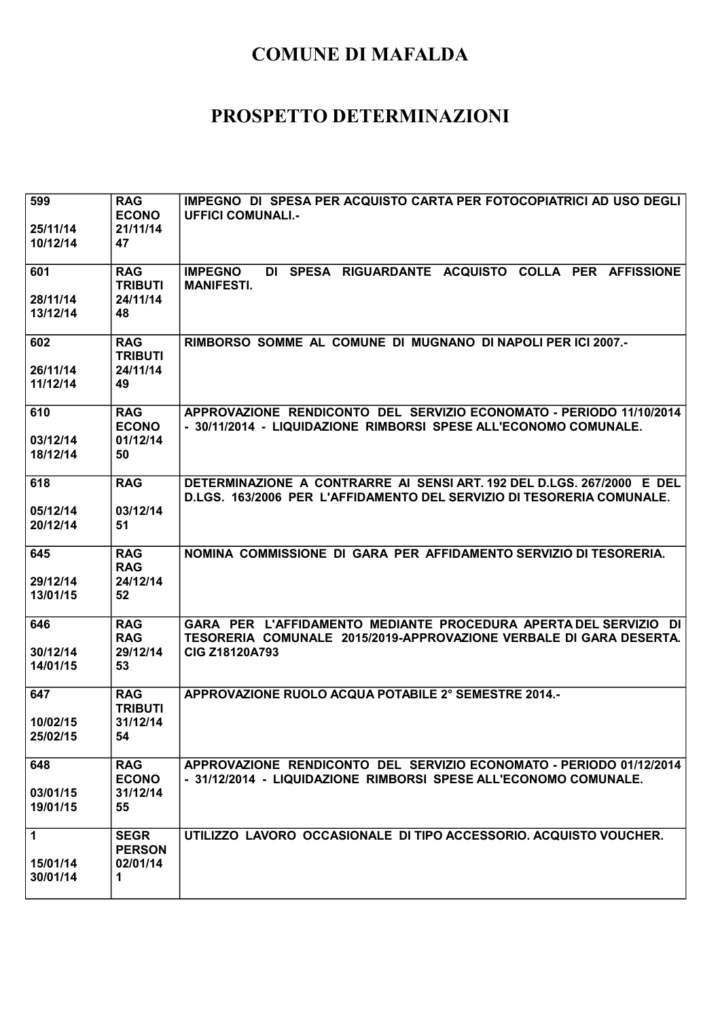| 599<br>25/11/14<br>10/12/14 | <b>RAG</b><br><b>ECONO</b><br>21/11/14<br>47   | IMPEGNO DI SPESA PER ACQUISTO CARTA PER FOTOCOPIATRICI AD USO DEGLI<br><b>UFFICI COMUNALI.-</b>                                                                 |
|-----------------------------|------------------------------------------------|-----------------------------------------------------------------------------------------------------------------------------------------------------------------|
| 601<br>28/11/14<br>13/12/14 | <b>RAG</b><br><b>TRIBUTI</b><br>24/11/14<br>48 | DI SPESA RIGUARDANTE ACQUISTO COLLA PER AFFISSIONE<br><b>IMPEGNO</b><br><b>MANIFESTI.</b>                                                                       |
| 602<br>26/11/14<br>11/12/14 | <b>RAG</b><br><b>TRIBUTI</b><br>24/11/14<br>49 | RIMBORSO SOMME AL COMUNE DI MUGNANO DI NAPOLI PER ICI 2007.-                                                                                                    |
| 610<br>03/12/14<br>18/12/14 | <b>RAG</b><br><b>ECONO</b><br>01/12/14<br>50   | APPROVAZIONE RENDICONTO DEL SERVIZIO ECONOMATO - PERIODO 11/10/2014<br>- 30/11/2014 - LIQUIDAZIONE RIMBORSI SPESE ALL'ECONOMO COMUNALE.                         |
| 618<br>05/12/14<br>20/12/14 | <b>RAG</b><br>03/12/14<br>51                   | DETERMINAZIONE A CONTRARRE AI SENSI ART. 192 DEL D.LGS. 267/2000 E DEL<br>D.LGS. 163/2006 PER L'AFFIDAMENTO DEL SERVIZIO DI TESORERIA COMUNALE.                 |
| 645<br>29/12/14<br>13/01/15 | <b>RAG</b><br><b>RAG</b><br>24/12/14<br>52     | NOMINA COMMISSIONE DI GARA PER AFFIDAMENTO SERVIZIO DI TESORERIA.                                                                                               |
| 646<br>30/12/14<br>14/01/15 | <b>RAG</b><br><b>RAG</b><br>29/12/14<br>53     | GARA PER L'AFFIDAMENTO MEDIANTE PROCEDURA APERTA DEL SERVIZIO DI<br>TESORERIA COMUNALE 2015/2019-APPROVAZIONE VERBALE DI GARA DESERTA.<br><b>CIG Z18120A793</b> |
| 647<br>10/02/15<br>25/02/15 | <b>RAG</b><br><b>TRIBUTI</b><br>31/12/14<br>54 | APPROVAZIONE RUOLO ACQUA POTABILE 2° SEMESTRE 2014.-                                                                                                            |
| 648<br>03/01/15<br>19/01/15 | <b>RAG</b><br><b>ECONO</b><br>31/12/14<br>55   | APPROVAZIONE RENDICONTO DEL SERVIZIO ECONOMATO - PERIODO 01/12/2014<br>- 31/12/2014 - LIQUIDAZIONE RIMBORSI SPESE ALL'ECONOMO COMUNALE.                         |
| 1<br>15/01/14<br>30/01/14   | <b>SEGR</b><br><b>PERSON</b><br>02/01/14<br>1  | UTILIZZO LAVORO OCCASIONALE DI TIPO ACCESSORIO. ACQUISTO VOUCHER.                                                                                               |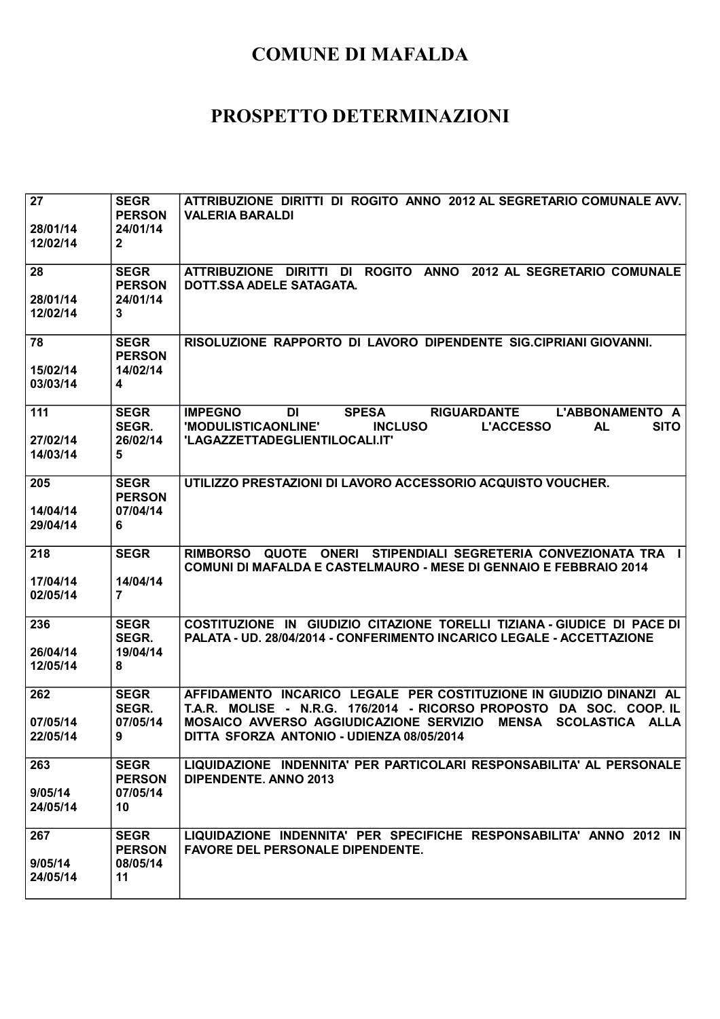| 27<br>28/01/14<br>12/02/14  | <b>SEGR</b><br><b>PERSON</b><br>24/01/14<br>$\mathbf{2}$ | ATTRIBUZIONE DIRITTI DI ROGITO ANNO 2012 AL SEGRETARIO COMUNALE AVV.<br><b>VALERIA BARALDI</b>                                                                                                                                                                        |
|-----------------------------|----------------------------------------------------------|-----------------------------------------------------------------------------------------------------------------------------------------------------------------------------------------------------------------------------------------------------------------------|
| 28<br>28/01/14<br>12/02/14  | <b>SEGR</b><br><b>PERSON</b><br>24/01/14<br>3            | ATTRIBUZIONE DIRITTI DI ROGITO ANNO 2012 AL SEGRETARIO COMUNALE<br>DOTT.SSA ADELE SATAGATA.                                                                                                                                                                           |
| 78<br>15/02/14<br>03/03/14  | <b>SEGR</b><br><b>PERSON</b><br>14/02/14<br>4            | RISOLUZIONE RAPPORTO DI LAVORO DIPENDENTE SIG.CIPRIANI GIOVANNI.                                                                                                                                                                                                      |
| 111<br>27/02/14<br>14/03/14 | <b>SEGR</b><br>SEGR.<br>26/02/14<br>5                    | <b>IMPEGNO</b><br><b>SPESA</b><br><b>RIGUARDANTE</b><br>L'ABBONAMENTO A<br><b>DI</b><br>'MODULISTICAONLINE'<br><b>INCLUSO</b><br><b>L'ACCESSO</b><br><b>AL</b><br><b>SITO</b><br>'LAGAZZETTADEGLIENTILOCALI.IT'                                                       |
| 205<br>14/04/14<br>29/04/14 | <b>SEGR</b><br><b>PERSON</b><br>07/04/14<br>6            | UTILIZZO PRESTAZIONI DI LAVORO ACCESSORIO ACQUISTO VOUCHER.                                                                                                                                                                                                           |
| 218<br>17/04/14<br>02/05/14 | <b>SEGR</b><br>14/04/14<br>$\overline{7}$                | RIMBORSO QUOTE ONERI STIPENDIALI SEGRETERIA CONVEZIONATA TRA I<br><b>COMUNI DI MAFALDA E CASTELMAURO - MESE DI GENNAIO E FEBBRAIO 2014</b>                                                                                                                            |
| 236<br>26/04/14<br>12/05/14 | <b>SEGR</b><br>SEGR.<br>19/04/14<br>8                    | COSTITUZIONE IN GIUDIZIO CITAZIONE TORELLI TIZIANA - GIUDICE DI PACE DI<br>PALATA - UD. 28/04/2014 - CONFERIMENTO INCARICO LEGALE - ACCETTAZIONE                                                                                                                      |
| 262<br>07/05/14<br>22/05/14 | <b>SEGR</b><br>SEGR.<br>07/05/14<br>9                    | AFFIDAMENTO INCARICO LEGALE PER COSTITUZIONE IN GIUDIZIO DINANZI AL<br>T.A.R. MOLISE - N.R.G. 176/2014 - RICORSO PROPOSTO DA SOC. COOP. IL<br>MOSAICO AVVERSO AGGIUDICAZIONE SERVIZIO<br><b>MENSA</b><br>SCOLASTICA ALLA<br>DITTA SFORZA ANTONIO - UDIENZA 08/05/2014 |
| 263<br>9/05/14<br>24/05/14  | <b>SEGR</b><br><b>PERSON</b><br>07/05/14<br>10           | LIQUIDAZIONE INDENNITA' PER PARTICOLARI RESPONSABILITA' AL PERSONALE<br><b>DIPENDENTE. ANNO 2013</b>                                                                                                                                                                  |
| 267<br>9/05/14<br>24/05/14  | <b>SEGR</b><br><b>PERSON</b><br>08/05/14<br>11           | LIQUIDAZIONE INDENNITA' PER SPECIFICHE RESPONSABILITA' ANNO 2012 IN<br><b>FAVORE DEL PERSONALE DIPENDENTE.</b>                                                                                                                                                        |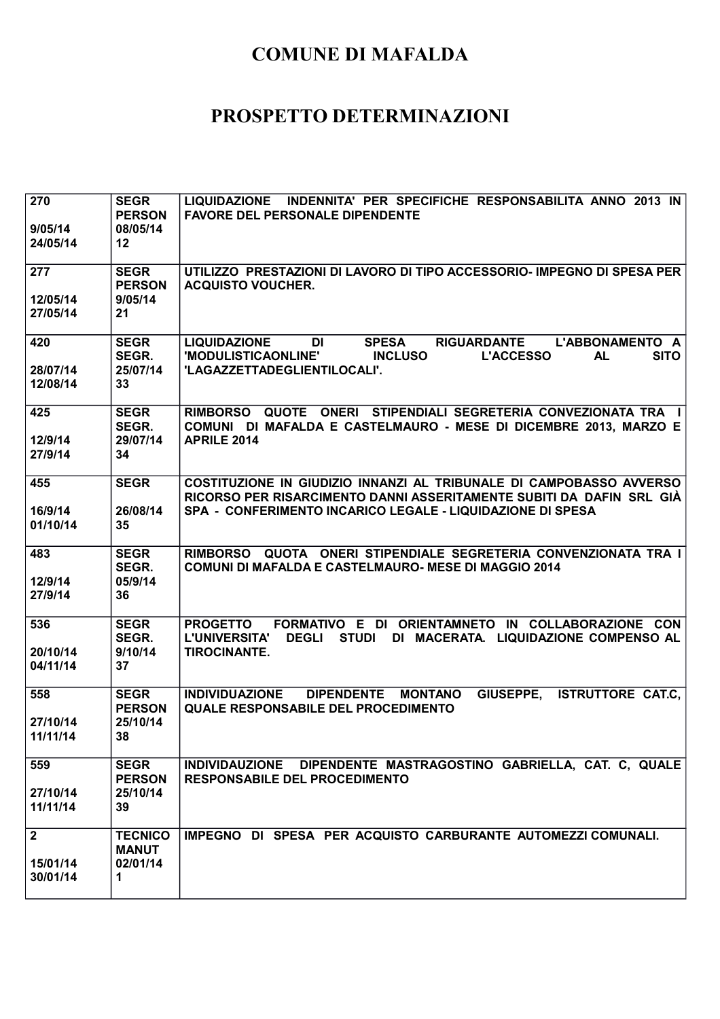| 270<br>9/05/14<br>24/05/14          | <b>SEGR</b><br><b>PERSON</b><br>08/05/14<br>12  | LIQUIDAZIONE INDENNITA' PER SPECIFICHE RESPONSABILITA ANNO 2013 IN<br><b>FAVORE DEL PERSONALE DIPENDENTE</b>                                                                                                |
|-------------------------------------|-------------------------------------------------|-------------------------------------------------------------------------------------------------------------------------------------------------------------------------------------------------------------|
| 277<br>12/05/14<br>27/05/14         | <b>SEGR</b><br><b>PERSON</b><br>9/05/14<br>21   | UTILIZZO PRESTAZIONI DI LAVORO DI TIPO ACCESSORIO- IMPEGNO DI SPESA PER<br><b>ACQUISTO VOUCHER.</b>                                                                                                         |
| 420<br>28/07/14<br>12/08/14         | <b>SEGR</b><br>SEGR.<br>25/07/14<br>33          | <b>LIQUIDAZIONE</b><br><b>SPESA</b><br>DI<br><b>RIGUARDANTE</b><br>L'ABBONAMENTO A<br><b>SITO</b><br>'MODULISTICAONLINE'<br><b>INCLUSO</b><br><b>L'ACCESSO</b><br><b>AL</b><br>'LAGAZZETTADEGLIENTILOCALI'. |
| 425<br>12/9/14<br>27/9/14           | <b>SEGR</b><br>SEGR.<br>29/07/14<br>34          | QUOTE ONERI STIPENDIALI SEGRETERIA CONVEZIONATA TRA I<br><b>RIMBORSO</b><br>COMUNI DI MAFALDA E CASTELMAURO - MESE DI DICEMBRE 2013, MARZO E<br><b>APRILE 2014</b>                                          |
| 455<br>16/9/14<br>01/10/14          | <b>SEGR</b><br>26/08/14<br>35                   | COSTITUZIONE IN GIUDIZIO INNANZI AL TRIBUNALE DI CAMPOBASSO AVVERSO<br>RICORSO PER RISARCIMENTO DANNI ASSERITAMENTE SUBITI DA DAFIN SRL GIÀ<br>SPA - CONFERIMENTO INCARICO LEGALE - LIQUIDAZIONE DI SPESA   |
| 483<br>12/9/14<br>27/9/14           | <b>SEGR</b><br>SEGR.<br>05/9/14<br>36           | RIMBORSO QUOTA ONERI STIPENDIALE SEGRETERIA CONVENZIONATA TRA I<br>COMUNI DI MAFALDA E CASTELMAURO- MESE DI MAGGIO 2014                                                                                     |
| 536<br>20/10/14<br>04/11/14         | <b>SEGR</b><br>SEGR.<br>9/10/14<br>37           | FORMATIVO E DI ORIENTAMNETO IN COLLABORAZIONE CON<br><b>PROGETTO</b><br><b>STUDI</b><br><b>L'UNIVERSITA'</b><br><b>DEGLI</b><br>DI MACERATA. LIQUIDAZIONE COMPENSO AL<br><b>TIROCINANTE.</b>                |
| 558<br>27/10/14<br>11/11/14         | <b>SEGR</b><br><b>PERSON</b><br>25/10/14<br>38  | <b>INDIVIDUAZIONE</b><br><b>DIPENDENTE</b><br><b>MONTANO</b><br>GIUSEPPE,<br><b>ISTRUTTORE CAT.C,</b><br><b>QUALE RESPONSABILE DEL PROCEDIMENTO</b>                                                         |
| 559<br>27/10/14<br>11/11/14         | <b>SEGR</b><br><b>PERSON</b><br>25/10/14<br>39  | INDIVIDAUZIONE DIPENDENTE MASTRAGOSTINO GABRIELLA, CAT. C, QUALE<br><b>RESPONSABILE DEL PROCEDIMENTO</b>                                                                                                    |
| $\mathbf 2$<br>15/01/14<br>30/01/14 | <b>TECNICO</b><br><b>MANUT</b><br>02/01/14<br>1 | IMPEGNO DI SPESA PER ACQUISTO CARBURANTE AUTOMEZZI COMUNALI.                                                                                                                                                |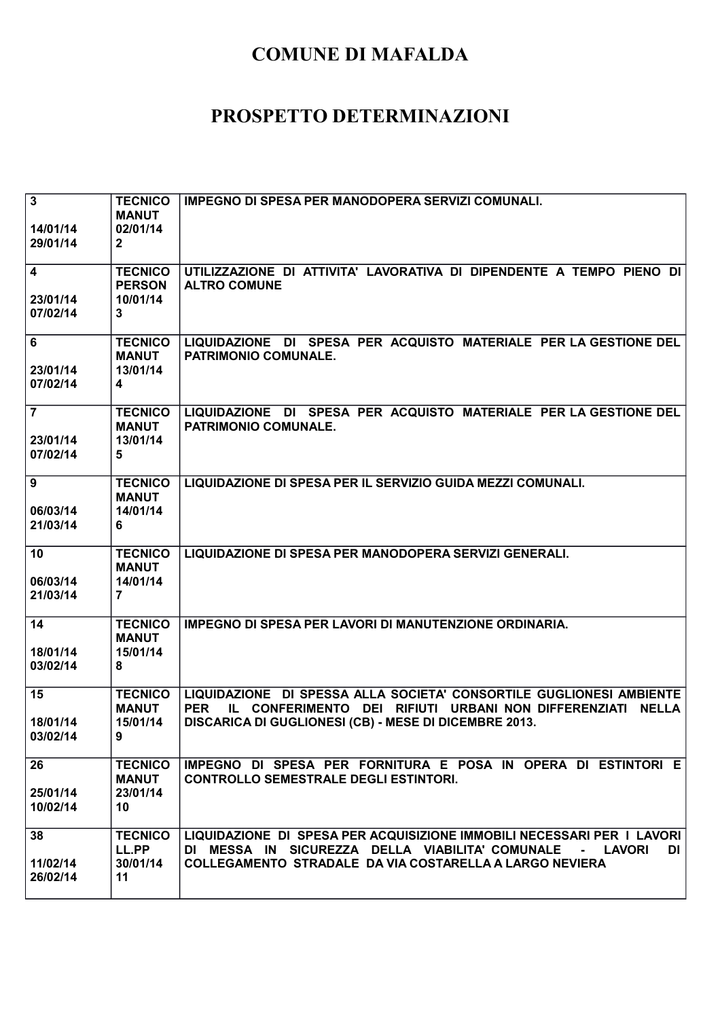| $\overline{\mathbf{3}}$<br>14/01/14<br>29/01/14 | <b>TECNICO</b><br><b>MANUT</b><br>02/01/14<br>$\mathbf{2}$            | IMPEGNO DI SPESA PER MANODOPERA SERVIZI COMUNALI.                                                                                                                                                             |
|-------------------------------------------------|-----------------------------------------------------------------------|---------------------------------------------------------------------------------------------------------------------------------------------------------------------------------------------------------------|
| 4<br>23/01/14<br>07/02/14                       | <b>TECNICO</b><br><b>PERSON</b><br>10/01/14<br>3                      | UTILIZZAZIONE DI ATTIVITA' LAVORATIVA DI DIPENDENTE A TEMPO PIENO DI<br><b>ALTRO COMUNE</b>                                                                                                                   |
| 6<br>23/01/14<br>07/02/14                       | <b>TECNICO</b><br><b>MANUT</b><br>13/01/14<br>$\overline{\mathbf{4}}$ | LIQUIDAZIONE DI SPESA PER ACQUISTO MATERIALE PER LA GESTIONE DEL<br>PATRIMONIO COMUNALE.                                                                                                                      |
| $\overline{7}$<br>23/01/14<br>07/02/14          | <b>TECNICO</b><br><b>MANUT</b><br>13/01/14<br>5                       | LIQUIDAZIONE DI SPESA PER ACQUISTO MATERIALE PER LA GESTIONE DEL<br>PATRIMONIO COMUNALE.                                                                                                                      |
| 9<br>06/03/14<br>21/03/14                       | <b>TECNICO</b><br><b>MANUT</b><br>14/01/14<br>6                       | LIQUIDAZIONE DI SPESA PER IL SERVIZIO GUIDA MEZZI COMUNALI.                                                                                                                                                   |
| 10<br>06/03/14<br>21/03/14                      | <b>TECNICO</b><br><b>MANUT</b><br>14/01/14<br>$\overline{7}$          | LIQUIDAZIONE DI SPESA PER MANODOPERA SERVIZI GENERALI.                                                                                                                                                        |
| 14<br>18/01/14<br>03/02/14                      | <b>TECNICO</b><br><b>MANUT</b><br>15/01/14<br>8                       | IMPEGNO DI SPESA PER LAVORI DI MANUTENZIONE ORDINARIA.                                                                                                                                                        |
| 15<br>18/01/14<br>03/02/14                      | <b>TECNICO</b><br><b>MANUT</b><br>15/01/14<br>9                       | LIQUIDAZIONE DI SPESSA ALLA SOCIETA' CONSORTILE GUGLIONESI AMBIENTE<br>IL CONFERIMENTO DEI RIFIUTI URBANI NON DIFFERENZIATI NELLA<br><b>PER</b><br>DISCARICA DI GUGLIONESI (CB) - MESE DI DICEMBRE 2013.      |
| 26<br>25/01/14<br>10/02/14                      | <b>TECNICO</b><br><b>MANUT</b><br>23/01/14<br>10                      | IMPEGNO DI SPESA PER FORNITURA E POSA IN OPERA DI ESTINTORI E<br><b>CONTROLLO SEMESTRALE DEGLI ESTINTORI.</b>                                                                                                 |
| 38<br>11/02/14<br>26/02/14                      | <b>TECNICO</b><br>LL.PP<br>30/01/14<br>11                             | LIQUIDAZIONE DI SPESA PER ACQUISIZIONE IMMOBILI NECESSARI PER I LAVORI<br>DI MESSA IN SICUREZZA DELLA VIABILITA' COMUNALE<br>- LAVORI<br>DI<br><b>COLLEGAMENTO STRADALE DA VIA COSTARELLA A LARGO NEVIERA</b> |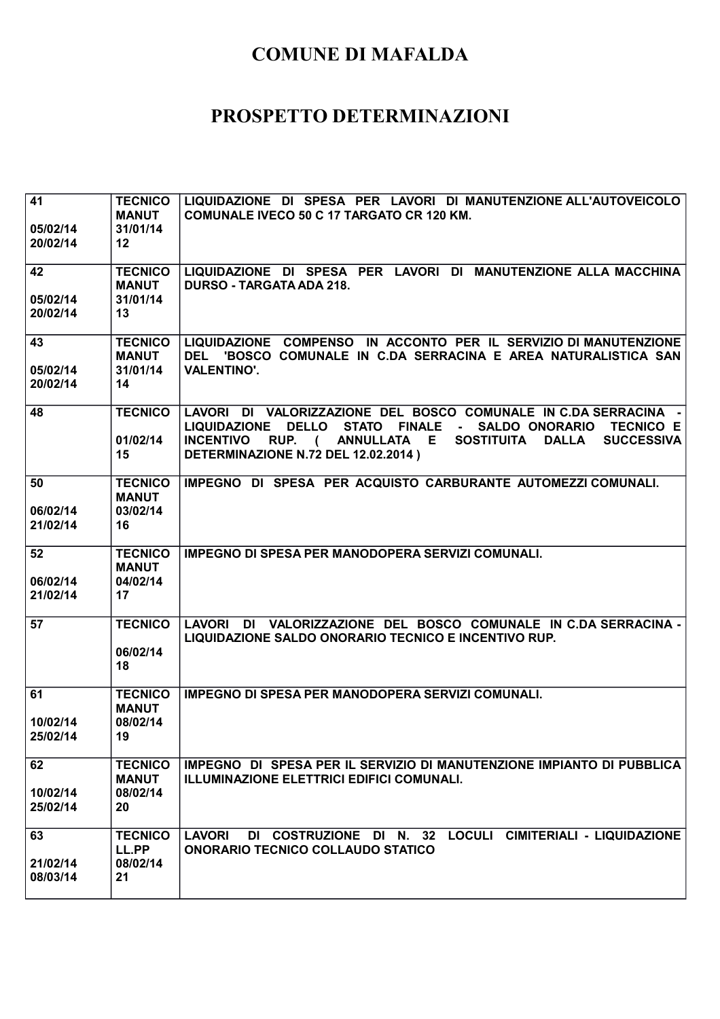| 41                   | <b>TECNICO</b>                 | LIQUIDAZIONE DI SPESA PER LAVORI DI MANUTENZIONE ALL'AUTOVEICOLO                                                                                                                                |
|----------------------|--------------------------------|-------------------------------------------------------------------------------------------------------------------------------------------------------------------------------------------------|
|                      | <b>MANUT</b>                   | <b>COMUNALE IVECO 50 C 17 TARGATO CR 120 KM.</b>                                                                                                                                                |
| 05/02/14             | 31/01/14                       |                                                                                                                                                                                                 |
| 20/02/14             | 12                             |                                                                                                                                                                                                 |
| 42                   | <b>TECNICO</b>                 | LIQUIDAZIONE DI SPESA PER LAVORI DI MANUTENZIONE ALLA MACCHINA                                                                                                                                  |
|                      | <b>MANUT</b>                   | <b>DURSO - TARGATA ADA 218.</b>                                                                                                                                                                 |
| 05/02/14             | 31/01/14                       |                                                                                                                                                                                                 |
| 20/02/14             | 13                             |                                                                                                                                                                                                 |
|                      |                                |                                                                                                                                                                                                 |
| 43                   | <b>TECNICO</b>                 | LIQUIDAZIONE COMPENSO IN ACCONTO PER IL SERVIZIO DI MANUTENZIONE                                                                                                                                |
|                      | <b>MANUT</b>                   | DEL 'BOSCO COMUNALE IN C.DA SERRACINA E AREA NATURALISTICA SAN                                                                                                                                  |
| 05/02/14             | 31/01/14                       | <b>VALENTINO'.</b>                                                                                                                                                                              |
| 20/02/14             | 14                             |                                                                                                                                                                                                 |
|                      |                                |                                                                                                                                                                                                 |
| 48                   | <b>TECNICO</b>                 | LAVORI DI VALORIZZAZIONE DEL BOSCO COMUNALE IN C.DA SERRACINA -                                                                                                                                 |
|                      | 01/02/14                       | <b>LIQUIDAZIONE</b><br><b>DELLO</b><br>STATO FINALE - SALDO ONORARIO<br><b>TECNICO E</b><br><b>INCENTIVO</b><br>RUP. (<br>ANNULLATA E<br><b>SOSTITUITA</b><br><b>DALLA</b><br><b>SUCCESSIVA</b> |
|                      | 15                             | DETERMINAZIONE N.72 DEL 12.02.2014)                                                                                                                                                             |
|                      |                                |                                                                                                                                                                                                 |
| 50                   | <b>TECNICO</b>                 | IMPEGNO DI SPESA PER ACQUISTO CARBURANTE AUTOMEZZI COMUNALI.                                                                                                                                    |
|                      | <b>MANUT</b>                   |                                                                                                                                                                                                 |
| 06/02/14             | 03/02/14                       |                                                                                                                                                                                                 |
| 21/02/14             | 16                             |                                                                                                                                                                                                 |
|                      |                                |                                                                                                                                                                                                 |
| 52                   | <b>TECNICO</b>                 | IMPEGNO DI SPESA PER MANODOPERA SERVIZI COMUNALI.                                                                                                                                               |
|                      | <b>MANUT</b>                   |                                                                                                                                                                                                 |
| 06/02/14<br>21/02/14 | 04/02/14<br>17                 |                                                                                                                                                                                                 |
|                      |                                |                                                                                                                                                                                                 |
| 57                   | <b>TECNICO</b>                 | LAVORI DI VALORIZZAZIONE DEL BOSCO COMUNALE IN C.DA SERRACINA -                                                                                                                                 |
|                      |                                | LIQUIDAZIONE SALDO ONORARIO TECNICO E INCENTIVO RUP.                                                                                                                                            |
|                      | 06/02/14                       |                                                                                                                                                                                                 |
|                      | 18                             |                                                                                                                                                                                                 |
|                      |                                |                                                                                                                                                                                                 |
| 61                   | <b>TECNICO</b><br><b>MANUT</b> | IMPEGNO DI SPESA PER MANODOPERA SERVIZI COMUNALI.                                                                                                                                               |
| 10/02/14             | 08/02/14                       |                                                                                                                                                                                                 |
| 25/02/14             | 19                             |                                                                                                                                                                                                 |
|                      |                                |                                                                                                                                                                                                 |
| 62                   |                                |                                                                                                                                                                                                 |
|                      | <b>TECNICO</b>                 | IMPEGNO DI SPESA PER IL SERVIZIO DI MANUTENZIONE IMPIANTO DI PUBBLICA                                                                                                                           |
|                      | <b>MANUT</b>                   | ILLUMINAZIONE ELETTRICI EDIFICI COMUNALI.                                                                                                                                                       |
| 10/02/14             | 08/02/14                       |                                                                                                                                                                                                 |
| 25/02/14             | 20                             |                                                                                                                                                                                                 |
|                      |                                |                                                                                                                                                                                                 |
| 63                   | <b>TECNICO</b>                 | DI COSTRUZIONE DI N. 32 LOCULI CIMITERIALI - LIQUIDAZIONE<br><b>LAVORI</b>                                                                                                                      |
|                      | LL.PP                          | <b>ONORARIO TECNICO COLLAUDO STATICO</b>                                                                                                                                                        |
| 21/02/14<br>08/03/14 | 08/02/14<br>21                 |                                                                                                                                                                                                 |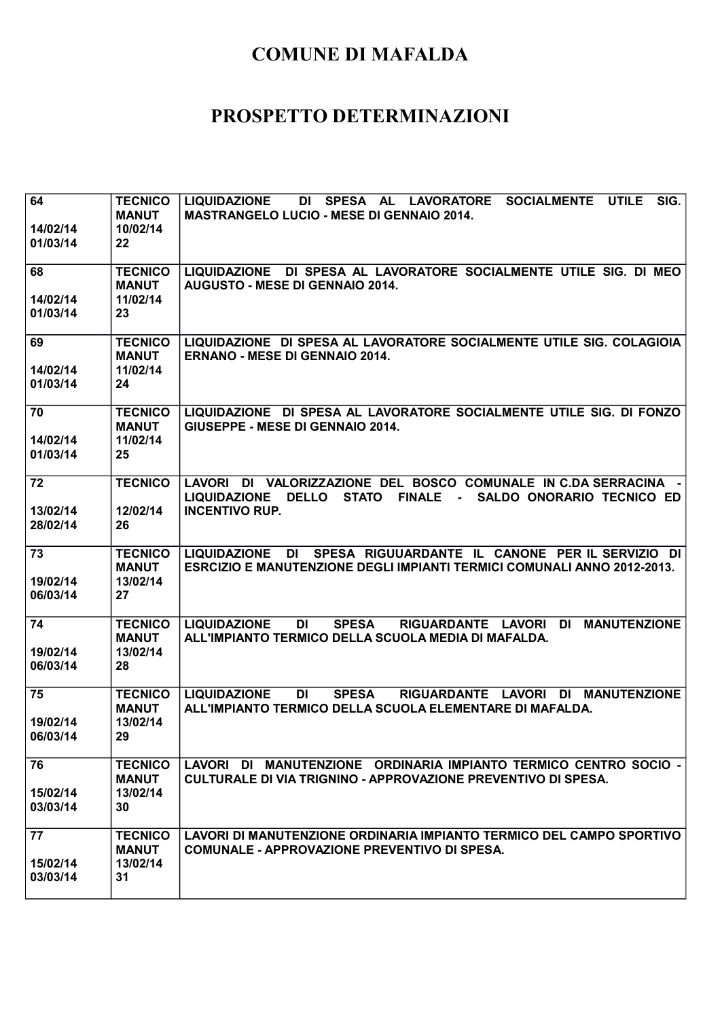| 64<br>14/02/14<br>01/03/14 | <b>TECNICO</b><br><b>MANUT</b><br>10/02/14<br>22 | SIG.<br>DI SPESA AL<br><b>LIQUIDAZIONE</b><br><b>LAVORATORE</b><br><b>SOCIALMENTE</b><br><b>UTILE</b><br><b>MASTRANGELO LUCIO - MESE DI GENNAIO 2014.</b>     |
|----------------------------|--------------------------------------------------|---------------------------------------------------------------------------------------------------------------------------------------------------------------|
| 68<br>14/02/14<br>01/03/14 | <b>TECNICO</b><br><b>MANUT</b><br>11/02/14<br>23 | LIQUIDAZIONE DI SPESA AL LAVORATORE SOCIALMENTE UTILE SIG. DI MEO<br>AUGUSTO - MESE DI GENNAIO 2014.                                                          |
| 69<br>14/02/14<br>01/03/14 | <b>TECNICO</b><br><b>MANUT</b><br>11/02/14<br>24 | LIQUIDAZIONE DI SPESA AL LAVORATORE SOCIALMENTE UTILE SIG. COLAGIOIA<br><b>ERNANO - MESE DI GENNAIO 2014.</b>                                                 |
| 70<br>14/02/14<br>01/03/14 | <b>TECNICO</b><br><b>MANUT</b><br>11/02/14<br>25 | LIQUIDAZIONE DI SPESA AL LAVORATORE SOCIALMENTE UTILE SIG. DI FONZO<br>GIUSEPPE - MESE DI GENNAIO 2014.                                                       |
| 72<br>13/02/14<br>28/02/14 | <b>TECNICO</b><br>12/02/14<br>26                 | LAVORI DI VALORIZZAZIONE DEL BOSCO COMUNALE IN C.DA SERRACINA -<br>LIQUIDAZIONE DELLO<br>STATO FINALE -<br>SALDO ONORARIO TECNICO ED<br><b>INCENTIVO RUP.</b> |
| 73<br>19/02/14<br>06/03/14 | <b>TECNICO</b><br><b>MANUT</b><br>13/02/14<br>27 | DI SPESA RIGUUARDANTE IL CANONE PER IL SERVIZIO DI<br><b>LIQUIDAZIONE</b><br><b>ESRCIZIO E MANUTENZIONE DEGLI IMPIANTI TERMICI COMUNALI ANNO 2012-2013.</b>   |
| 74<br>19/02/14<br>06/03/14 | <b>TECNICO</b><br><b>MANUT</b><br>13/02/14<br>28 | <b>LIQUIDAZIONE</b><br><b>DI</b><br><b>SPESA</b><br>RIGUARDANTE LAVORI DI<br><b>MANUTENZIONE</b><br>ALL'IMPIANTO TERMICO DELLA SCUOLA MEDIA DI MAFALDA.       |
| 75<br>19/02/14<br>06/03/14 | <b>TECNICO</b><br><b>MANUT</b><br>13/02/14<br>29 | <b>LIQUIDAZIONE</b><br>DI<br><b>SPESA</b><br>RIGUARDANTE LAVORI<br>DI MANUTENZIONE<br>ALL'IMPIANTO TERMICO DELLA SCUOLA ELEMENTARE DI MAFALDA.                |
| 76<br>15/02/14<br>03/03/14 | <b>TECNICO</b><br><b>MANUT</b><br>13/02/14<br>30 | LAVORI DI MANUTENZIONE ORDINARIA IMPIANTO TERMICO CENTRO SOCIO -<br>CULTURALE DI VIA TRIGNINO - APPROVAZIONE PREVENTIVO DI SPESA.                             |
| 77<br>15/02/14<br>03/03/14 | <b>TECNICO</b><br><b>MANUT</b><br>13/02/14<br>31 | LAVORI DI MANUTENZIONE ORDINARIA IMPIANTO TERMICO DEL CAMPO SPORTIVO<br><b>COMUNALE - APPROVAZIONE PREVENTIVO DI SPESA.</b>                                   |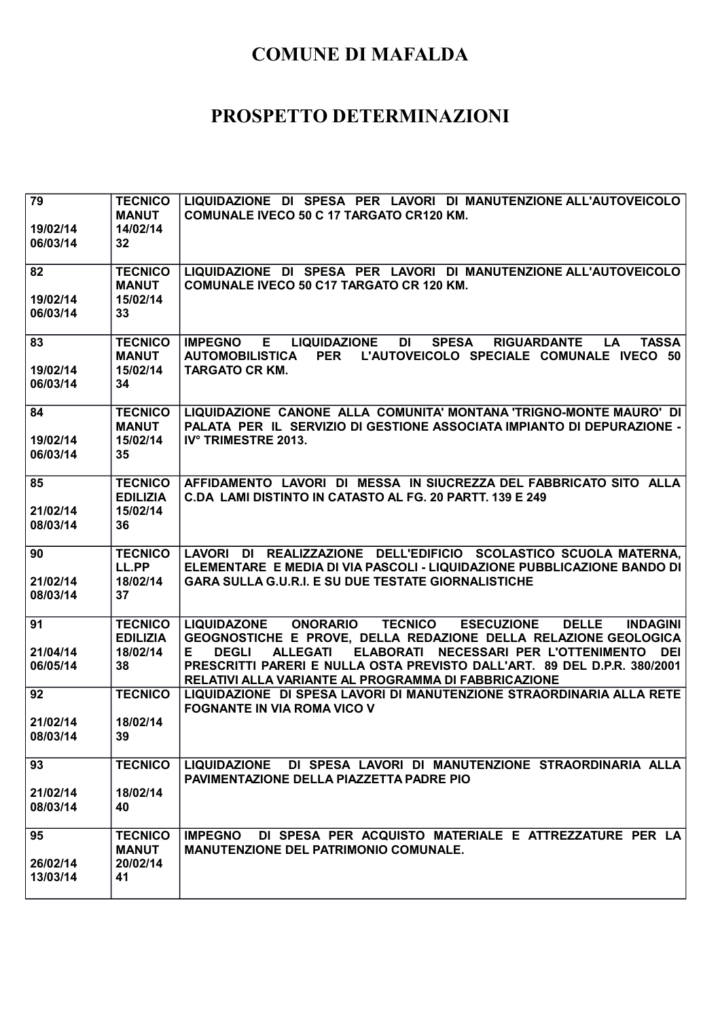| 79                   | <b>TECNICO</b>              | LIQUIDAZIONE DI SPESA PER LAVORI DI MANUTENZIONE ALL'AUTOVEICOLO                                                                                         |
|----------------------|-----------------------------|----------------------------------------------------------------------------------------------------------------------------------------------------------|
|                      | <b>MANUT</b><br>14/02/14    | <b>COMUNALE IVECO 50 C 17 TARGATO CR120 KM.</b>                                                                                                          |
| 19/02/14<br>06/03/14 | 32                          |                                                                                                                                                          |
|                      |                             |                                                                                                                                                          |
| 82                   | <b>TECNICO</b>              | LIQUIDAZIONE DI SPESA PER LAVORI DI MANUTENZIONE ALL'AUTOVEICOLO                                                                                         |
|                      | <b>MANUT</b>                | <b>COMUNALE IVECO 50 C17 TARGATO CR 120 KM.</b>                                                                                                          |
| 19/02/14             | 15/02/14                    |                                                                                                                                                          |
| 06/03/14             | 33                          |                                                                                                                                                          |
| 83                   | <b>TECNICO</b>              | <b>DI</b><br><b>SPESA</b><br><b>TASSA</b><br><b>IMPEGNO</b><br><b>LIQUIDAZIONE</b><br><b>RIGUARDANTE</b><br>Е<br><b>LA</b>                               |
|                      | <b>MANUT</b>                | L'AUTOVEICOLO SPECIALE COMUNALE IVECO 50<br><b>PER</b><br>AUTOMOBILISTICA                                                                                |
| 19/02/14             | 15/02/14                    | <b>TARGATO CR KM.</b>                                                                                                                                    |
| 06/03/14             | 34                          |                                                                                                                                                          |
| 84                   | <b>TECNICO</b>              | LIQUIDAZIONE CANONE ALLA COMUNITA' MONTANA 'TRIGNO-MONTE MAURO' DI                                                                                       |
|                      | <b>MANUT</b>                | PALATA PER IL SERVIZIO DI GESTIONE ASSOCIATA IMPIANTO DI DEPURAZIONE -                                                                                   |
| 19/02/14             | 15/02/14                    | IV° TRIMESTRE 2013.                                                                                                                                      |
| 06/03/14             | 35                          |                                                                                                                                                          |
| 85                   | <b>TECNICO</b>              | AFFIDAMENTO LAVORI DI MESSA IN SIUCREZZA DEL FABBRICATO SITO ALLA                                                                                        |
|                      | <b>EDILIZIA</b>             | C.DA LAMI DISTINTO IN CATASTO AL FG. 20 PARTT. 139 E 249                                                                                                 |
| 21/02/14             | 15/02/14                    |                                                                                                                                                          |
| 08/03/14             | 36                          |                                                                                                                                                          |
|                      |                             |                                                                                                                                                          |
|                      |                             |                                                                                                                                                          |
| 90                   | <b>TECNICO</b>              | LAVORI DI REALIZZAZIONE DELL'EDIFICIO SCOLASTICO SCUOLA MATERNA,                                                                                         |
| 21/02/14             | LL.PP<br>18/02/14           | ELEMENTARE E MEDIA DI VIA PASCOLI - LIQUIDAZIONE PUBBLICAZIONE BANDO DI<br><b>GARA SULLA G.U.R.I. E SU DUE TESTATE GIORNALISTICHE</b>                    |
| 08/03/14             | 37                          |                                                                                                                                                          |
|                      |                             |                                                                                                                                                          |
| 91                   | <b>TECNICO</b>              | <b>TECNICO</b><br><b>ESECUZIONE</b><br><b>DELLE</b><br><b>LIQUIDAZONE</b><br><b>ONORARIO</b><br><b>INDAGINI</b>                                          |
| 21/04/14             | <b>EDILIZIA</b><br>18/02/14 | GEOGNOSTICHE E PROVE, DELLA REDAZIONE DELLA RELAZIONE GEOLOGICA<br>ELABORATI NECESSARI PER L'OTTENIMENTO<br><b>DEGLI</b><br><b>ALLEGATI</b><br>E.<br>DEI |
| 06/05/14             | 38                          | PRESCRITTI PARERI E NULLA OSTA PREVISTO DALL'ART. 89 DEL D.P.R. 380/2001                                                                                 |
|                      |                             | RELATIVI ALLA VARIANTE AL PROGRAMMA DI FABBRICAZIONE                                                                                                     |
| 92                   | <b>TECNICO</b>              | LIQUIDAZIONE DI SPESA LAVORI DI MANUTENZIONE STRAORDINARIA ALLA RETE                                                                                     |
|                      |                             | <b>FOGNANTE IN VIA ROMA VICO V</b>                                                                                                                       |
| 21/02/14<br>08/03/14 | 18/02/14<br>39              |                                                                                                                                                          |
|                      |                             |                                                                                                                                                          |
| 93                   | <b>TECNICO</b>              | LIQUIDAZIONE DI SPESA LAVORI DI MANUTENZIONE STRAORDINARIA ALLA                                                                                          |
|                      |                             | <b>PAVIMENTAZIONE DELLA PIAZZETTA PADRE PIO</b>                                                                                                          |
| 21/02/14<br>08/03/14 | 18/02/14<br>40              |                                                                                                                                                          |
|                      |                             |                                                                                                                                                          |
| 95                   | <b>TECNICO</b>              | DI SPESA PER ACQUISTO MATERIALE E ATTREZZATURE PER LA<br><b>IMPEGNO</b>                                                                                  |
|                      | <b>MANUT</b>                | <b>MANUTENZIONE DEL PATRIMONIO COMUNALE.</b>                                                                                                             |
| 26/02/14<br>13/03/14 | 20/02/14<br>41              |                                                                                                                                                          |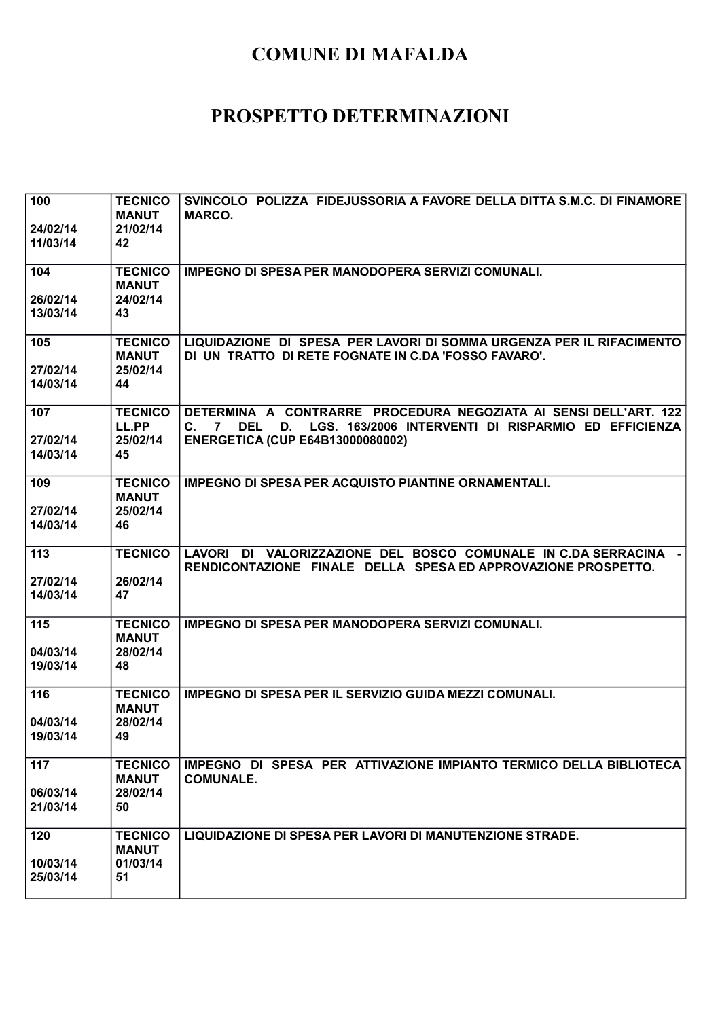| 100<br>24/02/14<br>11/03/14 | <b>TECNICO</b><br><b>MANUT</b><br>21/02/14<br>42 | SVINCOLO POLIZZA FIDEJUSSORIA A FAVORE DELLA DITTA S.M.C. DI FINAMORE<br><b>MARCO.</b>                                                                                       |
|-----------------------------|--------------------------------------------------|------------------------------------------------------------------------------------------------------------------------------------------------------------------------------|
|                             |                                                  |                                                                                                                                                                              |
| 104                         | <b>TECNICO</b><br><b>MANUT</b>                   | IMPEGNO DI SPESA PER MANODOPERA SERVIZI COMUNALI.                                                                                                                            |
| 26/02/14<br>13/03/14        | 24/02/14<br>43                                   |                                                                                                                                                                              |
|                             |                                                  |                                                                                                                                                                              |
| 105                         | <b>TECNICO</b><br><b>MANUT</b>                   | LIQUIDAZIONE DI SPESA PER LAVORI DI SOMMA URGENZA PER IL RIFACIMENTO<br>DI UN TRATTO DI RETE FOGNATE IN C.DA 'FOSSO FAVARO'.                                                 |
| 27/02/14<br>14/03/14        | 25/02/14<br>44                                   |                                                                                                                                                                              |
|                             |                                                  |                                                                                                                                                                              |
| 107                         | <b>TECNICO</b><br>LL.PP                          | DETERMINA A CONTRARRE PROCEDURA NEGOZIATA AI SENSI DELL'ART. 122<br>LGS. 163/2006 INTERVENTI DI RISPARMIO ED EFFICIENZA<br><b>DEL</b><br>D.<br>$\mathbf{C}$ .<br>$7^{\circ}$ |
| 27/02/14<br>14/03/14        | 25/02/14<br>45                                   | <b>ENERGETICA (CUP E64B13000080002)</b>                                                                                                                                      |
|                             |                                                  |                                                                                                                                                                              |
| 109                         | <b>TECNICO</b><br><b>MANUT</b>                   | <b>IMPEGNO DI SPESA PER ACQUISTO PIANTINE ORNAMENTALI.</b>                                                                                                                   |
| 27/02/14                    | 25/02/14                                         |                                                                                                                                                                              |
| 14/03/14                    | 46                                               |                                                                                                                                                                              |
| 113                         | <b>TECNICO</b>                                   | LAVORI DI VALORIZZAZIONE DEL BOSCO COMUNALE IN C.DA SERRACINA -<br>RENDICONTAZIONE FINALE DELLA SPESA ED APPROVAZIONE PROSPETTO.                                             |
| 27/02/14<br>14/03/14        | 26/02/14<br>47                                   |                                                                                                                                                                              |
|                             |                                                  |                                                                                                                                                                              |
| 115                         | <b>TECNICO</b><br><b>MANUT</b>                   | IMPEGNO DI SPESA PER MANODOPERA SERVIZI COMUNALI.                                                                                                                            |
| 04/03/14<br>19/03/14        | 28/02/14                                         |                                                                                                                                                                              |
|                             | 48                                               |                                                                                                                                                                              |
| 116                         | <b>TECNICO</b><br><b>MANUT</b>                   | <b>IMPEGNO DI SPESA PER IL SERVIZIO GUIDA MEZZI COMUNALI.</b>                                                                                                                |
| 04/03/14                    | 28/02/14                                         |                                                                                                                                                                              |
| 19/03/14                    | 49                                               |                                                                                                                                                                              |
| 117                         | <b>TECNICO</b><br><b>MANUT</b>                   | IMPEGNO DI SPESA PER ATTIVAZIONE IMPIANTO TERMICO DELLA BIBLIOTECA<br><b>COMUNALE.</b>                                                                                       |
| 06/03/14                    | 28/02/14                                         |                                                                                                                                                                              |
| 21/03/14                    | 50                                               |                                                                                                                                                                              |
| 120                         | <b>TECNICO</b><br><b>MANUT</b>                   | LIQUIDAZIONE DI SPESA PER LAVORI DI MANUTENZIONE STRADE.                                                                                                                     |
| 10/03/14                    | 01/03/14                                         |                                                                                                                                                                              |
| 25/03/14                    | 51                                               |                                                                                                                                                                              |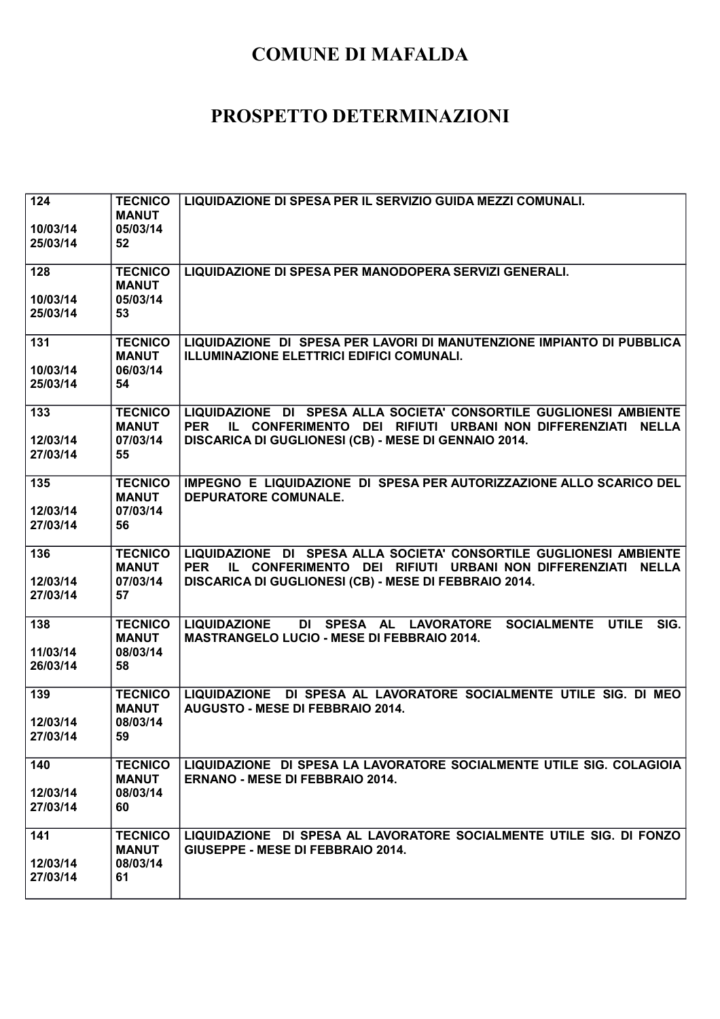| 124<br>10/03/14<br>25/03/14 | <b>TECNICO</b><br><b>MANUT</b><br>05/03/14<br>52 | LIQUIDAZIONE DI SPESA PER IL SERVIZIO GUIDA MEZZI COMUNALI.                                                                                                                                             |
|-----------------------------|--------------------------------------------------|---------------------------------------------------------------------------------------------------------------------------------------------------------------------------------------------------------|
| 128<br>10/03/14<br>25/03/14 | <b>TECNICO</b><br><b>MANUT</b><br>05/03/14<br>53 | LIQUIDAZIONE DI SPESA PER MANODOPERA SERVIZI GENERALI.                                                                                                                                                  |
| 131<br>10/03/14<br>25/03/14 | <b>TECNICO</b><br><b>MANUT</b><br>06/03/14<br>54 | LIQUIDAZIONE DI SPESA PER LAVORI DI MANUTENZIONE IMPIANTO DI PUBBLICA<br>ILLUMINAZIONE ELETTRICI EDIFICI COMUNALI.                                                                                      |
| 133<br>12/03/14<br>27/03/14 | <b>TECNICO</b><br><b>MANUT</b><br>07/03/14<br>55 | LIQUIDAZIONE DI SPESA ALLA SOCIETA' CONSORTILE GUGLIONESI AMBIENTE<br>IL CONFERIMENTO DEI RIFIUTI URBANI NON DIFFERENZIATI NELLA<br><b>PER</b><br>DISCARICA DI GUGLIONESI (CB) - MESE DI GENNAIO 2014.  |
| 135<br>12/03/14<br>27/03/14 | <b>TECNICO</b><br><b>MANUT</b><br>07/03/14<br>56 | IMPEGNO E LIQUIDAZIONE DI SPESA PER AUTORIZZAZIONE ALLO SCARICO DEL<br><b>DEPURATORE COMUNALE.</b>                                                                                                      |
| 136<br>12/03/14<br>27/03/14 | <b>TECNICO</b><br><b>MANUT</b><br>07/03/14<br>57 | LIQUIDAZIONE DI SPESA ALLA SOCIETA' CONSORTILE GUGLIONESI AMBIENTE<br><b>PER</b><br>IL CONFERIMENTO DEI RIFIUTI URBANI NON DIFFERENZIATI NELLA<br>DISCARICA DI GUGLIONESI (CB) - MESE DI FEBBRAIO 2014. |
| 138<br>11/03/14<br>26/03/14 | <b>TECNICO</b><br><b>MANUT</b><br>08/03/14<br>58 | <b>LIQUIDAZIONE</b><br>DI SPESA AL LAVORATORE<br><b>SOCIALMENTE</b><br><b>UTILE</b><br>SIG.<br><b>MASTRANGELO LUCIO - MESE DI FEBBRAIO 2014.</b>                                                        |
| 139<br>12/03/14<br>27/03/14 | <b>TECNICO</b><br><b>MANUT</b><br>08/03/14<br>59 | LIQUIDAZIONE DI SPESA AL LAVORATORE SOCIALMENTE UTILE SIG. DI MEO<br><b>AUGUSTO - MESE DI FEBBRAIO 2014.</b>                                                                                            |
| 140<br>12/03/14<br>27/03/14 | <b>TECNICO</b><br><b>MANUT</b><br>08/03/14<br>60 | LIQUIDAZIONE DI SPESA LA LAVORATORE SOCIALMENTE UTILE SIG. COLAGIOIA<br><b>ERNANO - MESE DI FEBBRAIO 2014.</b>                                                                                          |
| 141<br>12/03/14<br>27/03/14 | <b>TECNICO</b><br><b>MANUT</b><br>08/03/14<br>61 | LIQUIDAZIONE DI SPESA AL LAVORATORE SOCIALMENTE UTILE SIG. DI FONZO<br><b>GIUSEPPE - MESE DI FEBBRAIO 2014.</b>                                                                                         |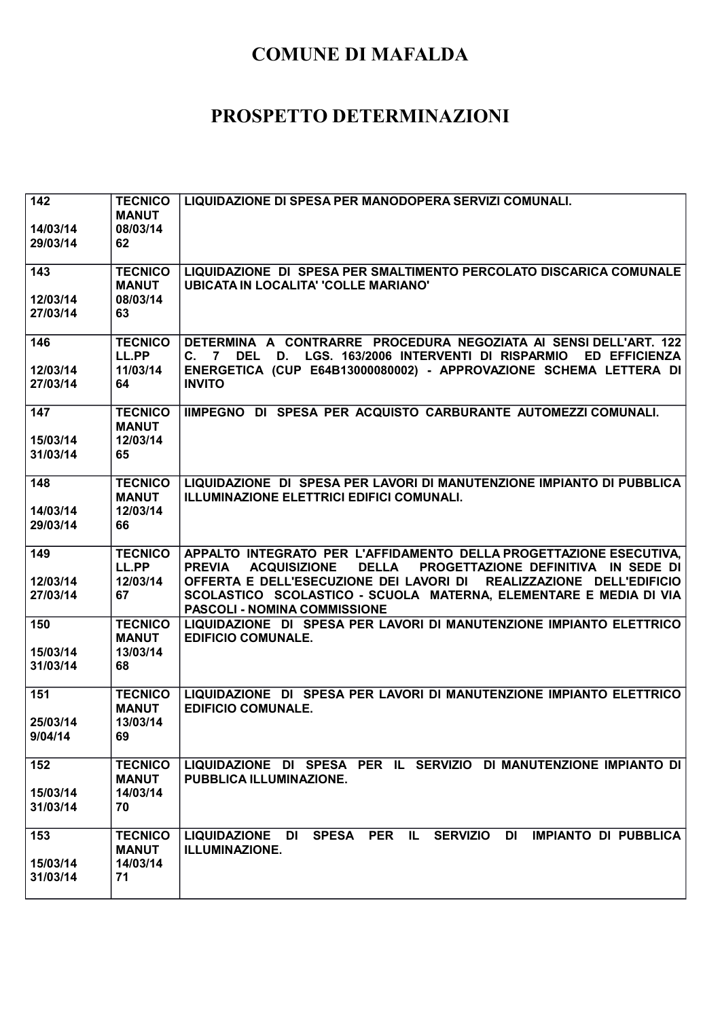| 142<br>14/03/14<br>29/03/14 | <b>TECNICO</b><br><b>MANUT</b><br>08/03/14<br>62 | LIQUIDAZIONE DI SPESA PER MANODOPERA SERVIZI COMUNALI.                                                                                                                                                                                                                                                                                               |
|-----------------------------|--------------------------------------------------|------------------------------------------------------------------------------------------------------------------------------------------------------------------------------------------------------------------------------------------------------------------------------------------------------------------------------------------------------|
| 143<br>12/03/14<br>27/03/14 | <b>TECNICO</b><br><b>MANUT</b><br>08/03/14<br>63 | LIQUIDAZIONE DI SPESA PER SMALTIMENTO PERCOLATO DISCARICA COMUNALE<br><b>UBICATA IN LOCALITA' 'COLLE MARIANO'</b>                                                                                                                                                                                                                                    |
| 146<br>12/03/14<br>27/03/14 | <b>TECNICO</b><br>LL.PP<br>11/03/14<br>64        | DETERMINA A CONTRARRE PROCEDURA NEGOZIATA AI SENSI DELL'ART. 122<br>C. 7 DEL D. LGS. 163/2006 INTERVENTI DI RISPARMIO<br><b>ED EFFICIENZA</b><br>ENERGETICA (CUP E64B13000080002) - APPROVAZIONE SCHEMA LETTERA DI<br><b>INVITO</b>                                                                                                                  |
| 147<br>15/03/14<br>31/03/14 | <b>TECNICO</b><br><b>MANUT</b><br>12/03/14<br>65 | IIMPEGNO DI SPESA PER ACQUISTO CARBURANTE AUTOMEZZI COMUNALI.                                                                                                                                                                                                                                                                                        |
| 148<br>14/03/14<br>29/03/14 | <b>TECNICO</b><br><b>MANUT</b><br>12/03/14<br>66 | LIQUIDAZIONE DI SPESA PER LAVORI DI MANUTENZIONE IMPIANTO DI PUBBLICA<br>ILLUMINAZIONE ELETTRICI EDIFICI COMUNALI.                                                                                                                                                                                                                                   |
| 149<br>12/03/14<br>27/03/14 | <b>TECNICO</b><br>LL.PP<br>12/03/14<br>67        | APPALTO INTEGRATO PER L'AFFIDAMENTO DELLA PROGETTAZIONE ESECUTIVA,<br><b>DELLA</b><br>PROGETTAZIONE DEFINITIVA IN SEDE DI<br><b>PREVIA</b><br><b>ACQUISIZIONE</b><br>OFFERTA E DELL'ESECUZIONE DEI LAVORI DI REALIZZAZIONE DELL'EDIFICIO<br>SCOLASTICO SCOLASTICO - SCUOLA MATERNA, ELEMENTARE E MEDIA DI VIA<br><b>PASCOLI - NOMINA COMMISSIONE</b> |
| 150<br>15/03/14<br>31/03/14 | <b>TECNICO</b><br><b>MANUT</b><br>13/03/14<br>68 | LIQUIDAZIONE DI SPESA PER LAVORI DI MANUTENZIONE IMPIANTO ELETTRICO<br><b>EDIFICIO COMUNALE.</b>                                                                                                                                                                                                                                                     |
| 151<br>25/03/14<br>9/04/14  | <b>TECNICO</b><br><b>MANUT</b><br>13/03/14<br>69 | LIQUIDAZIONE DI SPESA PER LAVORI DI MANUTENZIONE IMPIANTO ELETTRICO<br><b>EDIFICIO COMUNALE.</b>                                                                                                                                                                                                                                                     |
| 152<br>15/03/14<br>31/03/14 | <b>TECNICO</b><br><b>MANUT</b><br>14/03/14<br>70 | LIQUIDAZIONE DI SPESA PER IL SERVIZIO DI MANUTENZIONE IMPIANTO DI<br>PUBBLICA ILLUMINAZIONE.                                                                                                                                                                                                                                                         |
| 153<br>15/03/14<br>31/03/14 | <b>TECNICO</b><br><b>MANUT</b><br>14/03/14<br>71 | SPESA PER IL SERVIZIO DI<br><b>IMPIANTO DI PUBBLICA</b><br>LIQUIDAZIONE DI<br><b>ILLUMINAZIONE.</b>                                                                                                                                                                                                                                                  |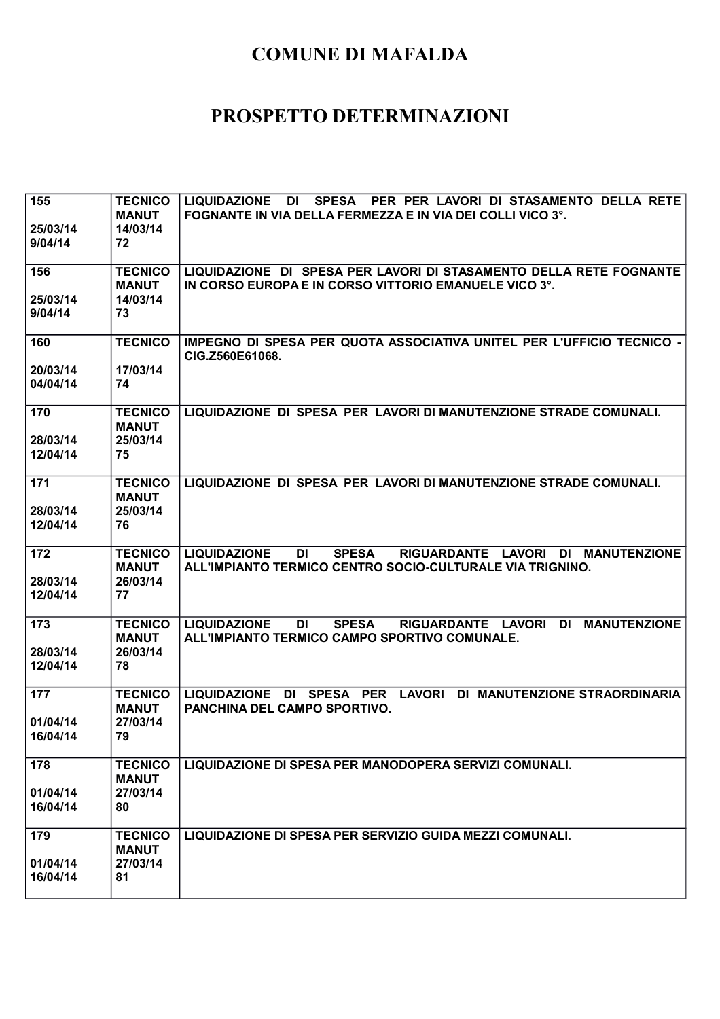| 155<br>25/03/14<br>9/04/14  | <b>TECNICO</b><br><b>MANUT</b><br>14/03/14<br>72 | LIQUIDAZIONE DI<br>SPESA PER PER LAVORI DI STASAMENTO DELLA RETE<br><b>FOGNANTE IN VIA DELLA FERMEZZA E IN VIA DEI COLLI VICO 3°.</b>        |
|-----------------------------|--------------------------------------------------|----------------------------------------------------------------------------------------------------------------------------------------------|
| 156                         | <b>TECNICO</b><br><b>MANUT</b>                   | LIQUIDAZIONE DI SPESA PER LAVORI DI STASAMENTO DELLA RETE FOGNANTE<br>IN CORSO EUROPA E IN CORSO VITTORIO EMANUELE VICO 3°.                  |
| 25/03/14<br>9/04/14         | 14/03/14<br>73                                   |                                                                                                                                              |
| 160                         | <b>TECNICO</b>                                   | IMPEGNO DI SPESA PER QUOTA ASSOCIATIVA UNITEL PER L'UFFICIO TECNICO -<br>CIG.Z560E61068.                                                     |
| 20/03/14<br>04/04/14        | 17/03/14<br>74                                   |                                                                                                                                              |
| 170<br>28/03/14<br>12/04/14 | <b>TECNICO</b><br><b>MANUT</b><br>25/03/14<br>75 | LIQUIDAZIONE DI SPESA PER LAVORI DI MANUTENZIONE STRADE COMUNALI.                                                                            |
| 171                         | <b>TECNICO</b><br><b>MANUT</b>                   | LIQUIDAZIONE DI SPESA PER LAVORI DI MANUTENZIONE STRADE COMUNALI.                                                                            |
| 28/03/14<br>12/04/14        | 25/03/14<br>76                                   |                                                                                                                                              |
| 172<br>28/03/14<br>12/04/14 | <b>TECNICO</b><br><b>MANUT</b><br>26/03/14<br>77 | <b>LIQUIDAZIONE</b><br>DI<br><b>SPESA</b><br>RIGUARDANTE LAVORI DI MANUTENZIONE<br>ALL'IMPIANTO TERMICO CENTRO SOCIO-CULTURALE VIA TRIGNINO. |
| 173                         | <b>TECNICO</b><br><b>MANUT</b>                   | <b>LIQUIDAZIONE</b><br><b>SPESA</b><br>RIGUARDANTE LAVORI DI MANUTENZIONE<br>DI<br>ALL'IMPIANTO TERMICO CAMPO SPORTIVO COMUNALE.             |
| 28/03/14<br>12/04/14        | 26/03/14<br>78                                   |                                                                                                                                              |
| 177<br>01/04/14             | <b>TECNICO</b><br><b>MANUT</b><br>27/03/14       | LIQUIDAZIONE DI SPESA PER LAVORI DI MANUTENZIONE STRAORDINARIA<br>PANCHINA DEL CAMPO SPORTIVO.                                               |
| 16/04/14                    | 79                                               |                                                                                                                                              |
| 178<br>01/04/14<br>16/04/14 | <b>TECNICO</b><br><b>MANUT</b><br>27/03/14<br>80 | LIQUIDAZIONE DI SPESA PER MANODOPERA SERVIZI COMUNALI.                                                                                       |
| 179<br>01/04/14             | <b>TECNICO</b><br><b>MANUT</b><br>27/03/14       | LIQUIDAZIONE DI SPESA PER SERVIZIO GUIDA MEZZI COMUNALI.                                                                                     |
| 16/04/14                    | 81                                               |                                                                                                                                              |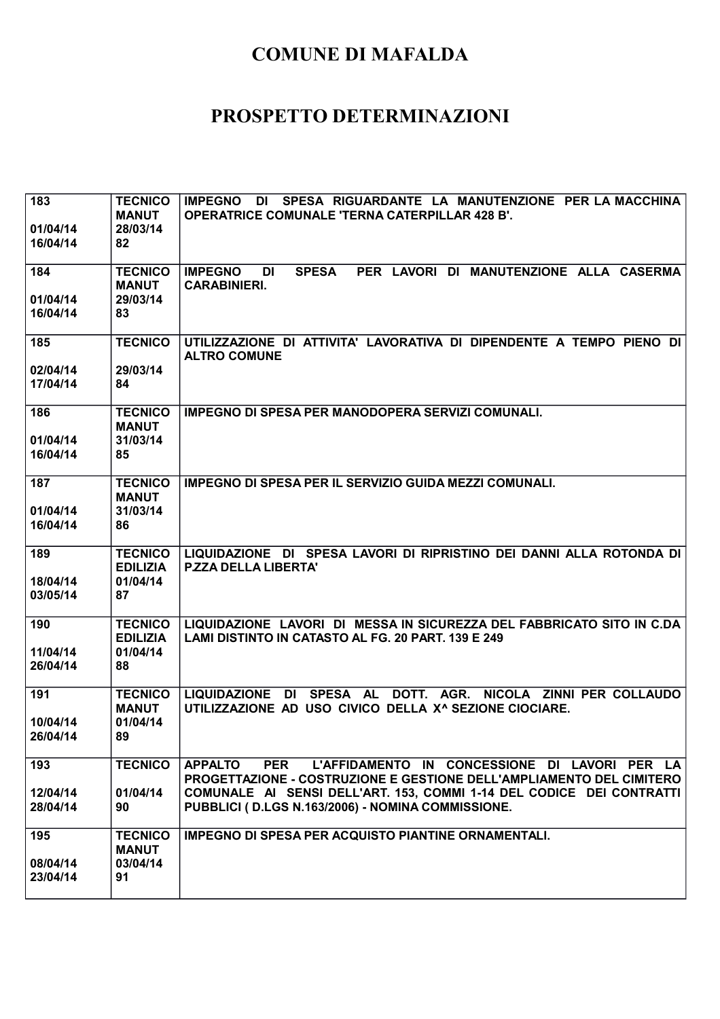| 183                  | <b>TECNICO</b>           | SPESA RIGUARDANTE LA MANUTENZIONE PER LA MACCHINA<br><b>IMPEGNO</b><br>DI                                                 |
|----------------------|--------------------------|---------------------------------------------------------------------------------------------------------------------------|
|                      | <b>MANUT</b>             | <b>OPERATRICE COMUNALE 'TERNA CATERPILLAR 428 B'.</b>                                                                     |
| 01/04/14<br>16/04/14 | 28/03/14<br>82           |                                                                                                                           |
|                      |                          |                                                                                                                           |
| 184                  | <b>TECNICO</b>           | <b>IMPEGNO</b><br><b>SPESA</b><br>PER LAVORI DI MANUTENZIONE ALLA CASERMA<br>DI                                           |
|                      | <b>MANUT</b>             | <b>CARABINIERI.</b>                                                                                                       |
| 01/04/14             | 29/03/14                 |                                                                                                                           |
| 16/04/14             | 83                       |                                                                                                                           |
| 185                  | <b>TECNICO</b>           | UTILIZZAZIONE DI ATTIVITA' LAVORATIVA DI DIPENDENTE A TEMPO PIENO DI                                                      |
|                      |                          | <b>ALTRO COMUNE</b>                                                                                                       |
| 02/04/14             | 29/03/14                 |                                                                                                                           |
| 17/04/14             | 84                       |                                                                                                                           |
| 186                  | <b>TECNICO</b>           | <b>IMPEGNO DI SPESA PER MANODOPERA SERVIZI COMUNALI.</b>                                                                  |
|                      | <b>MANUT</b>             |                                                                                                                           |
| 01/04/14             | 31/03/14                 |                                                                                                                           |
| 16/04/14             | 85                       |                                                                                                                           |
| 187                  | <b>TECNICO</b>           | <b>IMPEGNO DI SPESA PER IL SERVIZIO GUIDA MEZZI COMUNALI.</b>                                                             |
|                      | <b>MANUT</b>             |                                                                                                                           |
| 01/04/14             | 31/03/14                 |                                                                                                                           |
| 16/04/14             | 86                       |                                                                                                                           |
| 189                  | <b>TECNICO</b>           | LIQUIDAZIONE DI SPESA LAVORI DI RIPRISTINO DEI DANNI ALLA ROTONDA DI                                                      |
|                      | <b>EDILIZIA</b>          | <b>P.ZZA DELLA LIBERTA'</b>                                                                                               |
| 18/04/14             | 01/04/14                 |                                                                                                                           |
| 03/05/14             | 87                       |                                                                                                                           |
| 190                  | <b>TECNICO</b>           | LIQUIDAZIONE LAVORI DI MESSA IN SICUREZZA DEL FABBRICATO SITO IN C.DA                                                     |
|                      | <b>EDILIZIA</b>          | LAMI DISTINTO IN CATASTO AL FG. 20 PART. 139 E 249                                                                        |
| 11/04/14             | 01/04/14                 |                                                                                                                           |
| 26/04/14             | 88                       |                                                                                                                           |
| 191                  | <b>TECNICO</b>           | SPESA AL<br>DOTT. AGR.<br>NICOLA ZINNI PER COLLAUDO<br><b>LIQUIDAZIONE</b><br>DI                                          |
|                      | <b>MANUT</b>             | UTILIZZAZIONE AD USO CIVICO DELLA X^ SEZIONE CIOCIARE.                                                                    |
| 10/04/14             | 01/04/14                 |                                                                                                                           |
| 26/04/14             | 89                       |                                                                                                                           |
| 193                  | <b>TECNICO</b>           | L'AFFIDAMENTO IN CONCESSIONE DI LAVORI PER LA<br><b>APPALTO</b><br><b>PER</b>                                             |
|                      |                          | PROGETTAZIONE - COSTRUZIONE E GESTIONE DELL'AMPLIAMENTO DEL CIMITERO                                                      |
| 12/04/14<br>28/04/14 | 01/04/14<br>90           | COMUNALE AI SENSI DELL'ART. 153, COMMI 1-14 DEL CODICE DEI CONTRATTI<br>PUBBLICI (D.LGS N.163/2006) - NOMINA COMMISSIONE. |
|                      |                          |                                                                                                                           |
| 195                  | <b>TECNICO</b>           | IMPEGNO DI SPESA PER ACQUISTO PIANTINE ORNAMENTALI.                                                                       |
|                      | <b>MANUT</b><br>03/04/14 |                                                                                                                           |
| 08/04/14<br>23/04/14 | 91                       |                                                                                                                           |
|                      |                          |                                                                                                                           |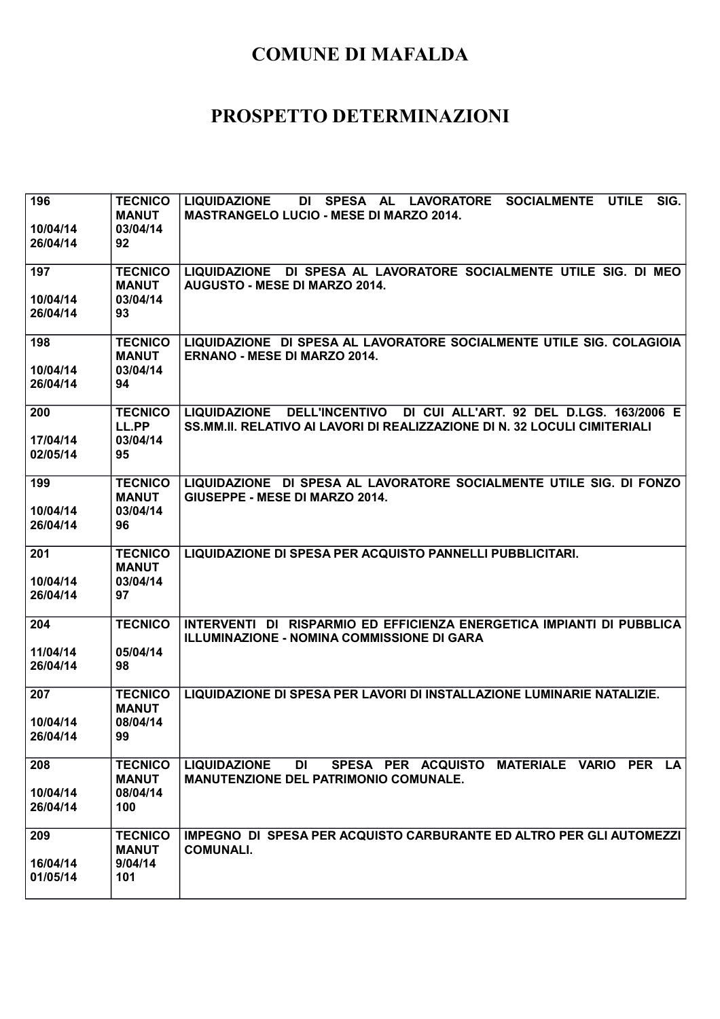| 196<br>10/04/14<br>26/04/14 | <b>TECNICO</b><br><b>MANUT</b><br>03/04/14<br>92  | SIG.<br>DI SPESA AL<br><b>LIQUIDAZIONE</b><br>LAVORATORE SOCIALMENTE<br><b>UTILE</b><br><b>MASTRANGELO LUCIO - MESE DI MARZO 2014.</b>               |
|-----------------------------|---------------------------------------------------|------------------------------------------------------------------------------------------------------------------------------------------------------|
| 197<br>10/04/14             | <b>TECNICO</b><br><b>MANUT</b><br>03/04/14        | LIQUIDAZIONE DI SPESA AL LAVORATORE SOCIALMENTE UTILE SIG. DI MEO<br>AUGUSTO - MESE DI MARZO 2014.                                                   |
| 26/04/14                    | 93                                                |                                                                                                                                                      |
| 198<br>10/04/14             | <b>TECNICO</b><br><b>MANUT</b><br>03/04/14        | LIQUIDAZIONE DI SPESA AL LAVORATORE SOCIALMENTE UTILE SIG. COLAGIOIA<br><b>ERNANO - MESE DI MARZO 2014.</b>                                          |
| 26/04/14                    | 94                                                |                                                                                                                                                      |
| 200<br>17/04/14<br>02/05/14 | <b>TECNICO</b><br>LL.PP<br>03/04/14<br>95         | LIQUIDAZIONE DELL'INCENTIVO<br>DI CUI ALL'ART. 92 DEL D.LGS. 163/2006 E<br>SS.MM.II. RELATIVO AI LAVORI DI REALIZZAZIONE DI N. 32 LOCULI CIMITERIALI |
| 199                         | <b>TECNICO</b><br><b>MANUT</b>                    | LIQUIDAZIONE DI SPESA AL LAVORATORE SOCIALMENTE UTILE SIG. DI FONZO<br>GIUSEPPE - MESE DI MARZO 2014.                                                |
| 10/04/14<br>26/04/14        | 03/04/14<br>96                                    |                                                                                                                                                      |
| 201<br>10/04/14<br>26/04/14 | <b>TECNICO</b><br><b>MANUT</b><br>03/04/14<br>97  | LIQUIDAZIONE DI SPESA PER ACQUISTO PANNELLI PUBBLICITARI.                                                                                            |
| 204                         | <b>TECNICO</b>                                    | INTERVENTI DI RISPARMIO ED EFFICIENZA ENERGETICA IMPIANTI DI PUBBLICA<br><b>ILLUMINAZIONE - NOMINA COMMISSIONE DI GARA</b>                           |
| 11/04/14<br>26/04/14        | 05/04/14<br>98                                    |                                                                                                                                                      |
| 207<br>10/04/14             | <b>TECNICO</b><br><b>MANUT</b><br>08/04/14        | LIQUIDAZIONE DI SPESA PER LAVORI DI INSTALLAZIONE LUMINARIE NATALIZIE.                                                                               |
| 26/04/14                    | 99                                                |                                                                                                                                                      |
| 208<br>10/04/14<br>26/04/14 | <b>TECNICO</b><br><b>MANUT</b><br>08/04/14<br>100 | <b>LIQUIDAZIONE</b><br>SPESA PER ACQUISTO MATERIALE VARIO PER LA<br>DI<br><b>MANUTENZIONE DEL PATRIMONIO COMUNALE.</b>                               |
| 209<br>16/04/14<br>01/05/14 | <b>TECNICO</b><br><b>MANUT</b><br>9/04/14<br>101  | IMPEGNO DI SPESA PER ACQUISTO CARBURANTE ED ALTRO PER GLI AUTOMEZZI<br><b>COMUNALI.</b>                                                              |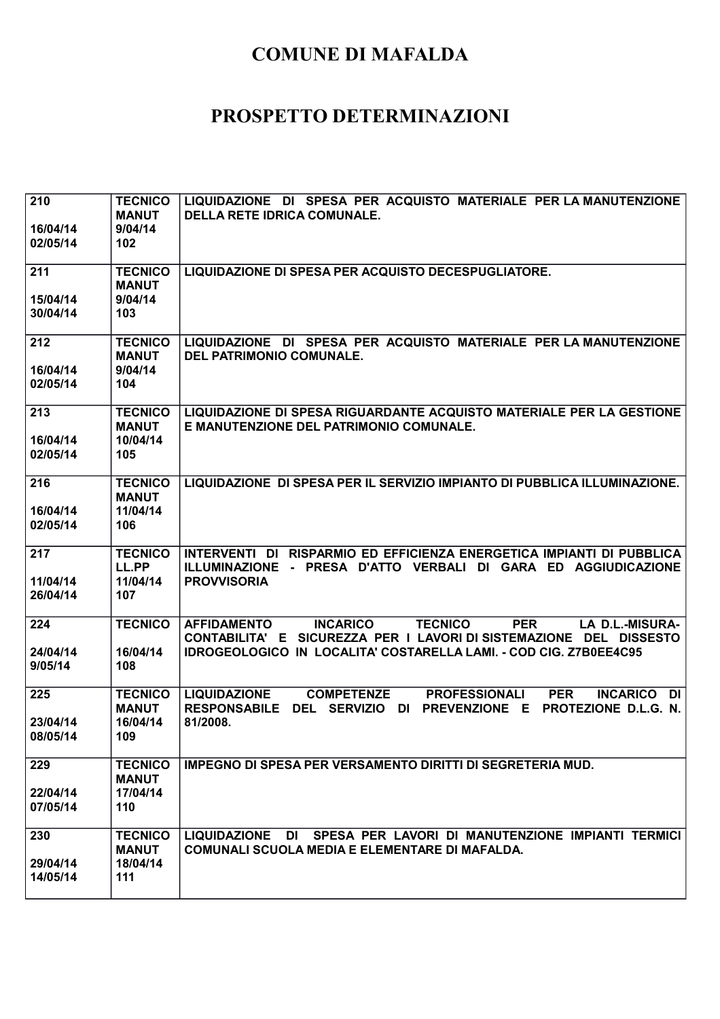| 210<br>16/04/14<br>02/05/14 | <b>TECNICO</b><br><b>MANUT</b><br>9/04/14<br>102  | LIQUIDAZIONE DI SPESA PER ACQUISTO MATERIALE PER LA MANUTENZIONE<br><b>DELLA RETE IDRICA COMUNALE.</b>                                                                                                                                            |
|-----------------------------|---------------------------------------------------|---------------------------------------------------------------------------------------------------------------------------------------------------------------------------------------------------------------------------------------------------|
| 211<br>15/04/14<br>30/04/14 | <b>TECNICO</b><br><b>MANUT</b><br>9/04/14<br>103  | LIQUIDAZIONE DI SPESA PER ACQUISTO DECESPUGLIATORE.                                                                                                                                                                                               |
| 212<br>16/04/14<br>02/05/14 | <b>TECNICO</b><br><b>MANUT</b><br>9/04/14<br>104  | LIQUIDAZIONE DI SPESA PER ACQUISTO MATERIALE PER LA MANUTENZIONE<br><b>DEL PATRIMONIO COMUNALE.</b>                                                                                                                                               |
| 213<br>16/04/14<br>02/05/14 | <b>TECNICO</b><br><b>MANUT</b><br>10/04/14<br>105 | LIQUIDAZIONE DI SPESA RIGUARDANTE ACQUISTO MATERIALE PER LA GESTIONE<br>E MANUTENZIONE DEL PATRIMONIO COMUNALE.                                                                                                                                   |
| 216<br>16/04/14<br>02/05/14 | <b>TECNICO</b><br><b>MANUT</b><br>11/04/14<br>106 | LIQUIDAZIONE DI SPESA PER IL SERVIZIO IMPIANTO DI PUBBLICA ILLUMINAZIONE.                                                                                                                                                                         |
| 217<br>11/04/14<br>26/04/14 | <b>TECNICO</b><br>LL.PP<br>11/04/14<br>107        | INTERVENTI DI RISPARMIO ED EFFICIENZA ENERGETICA IMPIANTI DI PUBBLICA<br>ILLUMINAZIONE - PRESA D'ATTO VERBALI DI GARA ED AGGIUDICAZIONE<br><b>PROVVISORIA</b>                                                                                     |
| 224<br>24/04/14<br>9/05/14  | <b>TECNICO</b><br>16/04/14<br>108                 | <b>INCARICO</b><br><b>TECNICO</b><br><b>PER</b><br><b>LA D.L.-MISURA-</b><br><b>AFFIDAMENTO</b><br>CONTABILITA' E SICUREZZA PER I LAVORI DI SISTEMAZIONE DEL DISSESTO<br><b>IDROGEOLOGICO IN LOCALITA' COSTARELLA LAMI. - COD CIG. Z7B0EE4C95</b> |
| 225<br>23/04/14<br>08/05/14 | <b>TECNICO</b><br><b>MANUT</b><br>16/04/14<br>109 | <b>LIQUIDAZIONE</b><br><b>COMPETENZE</b><br><b>PROFESSIONALI</b><br><b>PER</b><br><b>INCARICO DI</b><br><b>RESPONSABILE</b><br>DEL SERVIZIO DI PREVENZIONE E<br><b>PROTEZIONE D.L.G. N.</b><br>81/2008.                                           |
| 229<br>22/04/14<br>07/05/14 | <b>TECNICO</b><br><b>MANUT</b><br>17/04/14<br>110 | <b>IMPEGNO DI SPESA PER VERSAMENTO DIRITTI DI SEGRETERIA MUD.</b>                                                                                                                                                                                 |
| 230<br>29/04/14<br>14/05/14 | <b>TECNICO</b><br><b>MANUT</b><br>18/04/14<br>111 | LIQUIDAZIONE DI SPESA PER LAVORI DI MANUTENZIONE IMPIANTI TERMICI<br>COMUNALI SCUOLA MEDIA E ELEMENTARE DI MAFALDA.                                                                                                                               |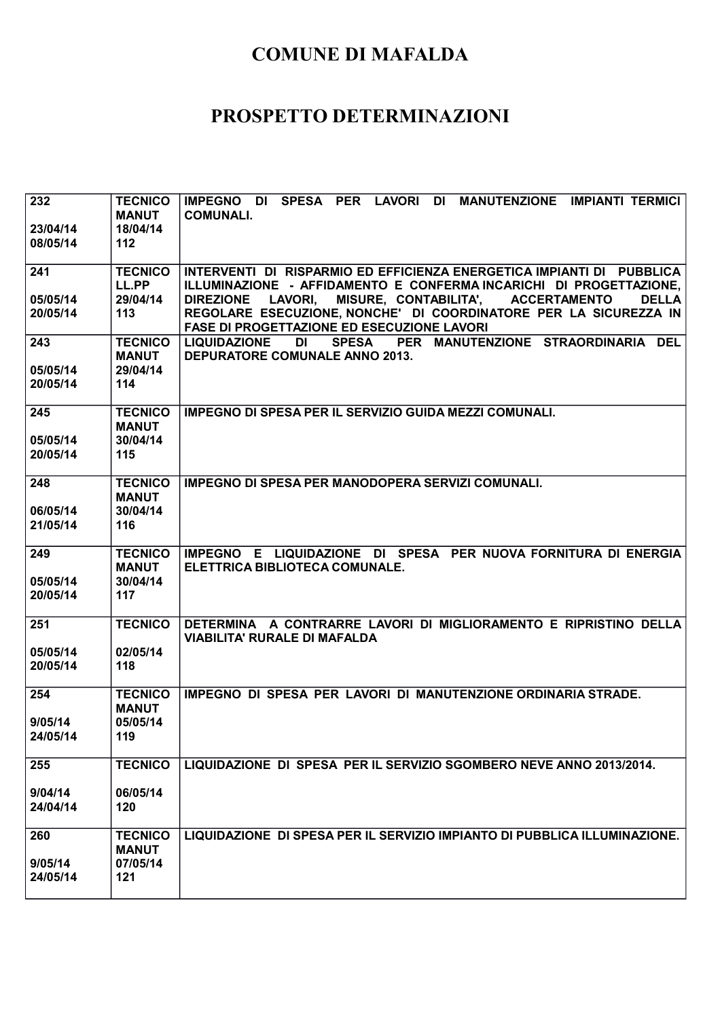| 232                  | <b>TECNICO</b><br><b>MANUT</b> | IMPEGNO DI SPESA PER LAVORI DI MANUTENZIONE IMPIANTI TERMICI<br><b>COMUNALI.</b>                                                                                                                 |
|----------------------|--------------------------------|--------------------------------------------------------------------------------------------------------------------------------------------------------------------------------------------------|
| 23/04/14<br>08/05/14 | 18/04/14<br>112                |                                                                                                                                                                                                  |
| 241                  | <b>TECNICO</b><br>LL.PP        | INTERVENTI DI RISPARMIO ED EFFICIENZA ENERGETICA IMPIANTI DI PUBBLICA<br>ILLUMINAZIONE - AFFIDAMENTO E CONFERMA INCARICHI DI PROGETTAZIONE,                                                      |
| 05/05/14<br>20/05/14 | 29/04/14<br>113                | <b>DIREZIONE</b><br>LAVORI, MISURE, CONTABILITA', ACCERTAMENTO<br><b>DELLA</b><br>REGOLARE ESECUZIONE, NONCHE' DI COORDINATORE PER LA SICUREZZA IN<br>FASE DI PROGETTAZIONE ED ESECUZIONE LAVORI |
| 243                  | <b>TECNICO</b><br><b>MANUT</b> | PER MANUTENZIONE STRAORDINARIA DEL<br><b>LIQUIDAZIONE</b><br><b>SPESA</b><br>DI<br><b>DEPURATORE COMUNALE ANNO 2013.</b>                                                                         |
| 05/05/14<br>20/05/14 | 29/04/14<br>114                |                                                                                                                                                                                                  |
| 245                  | <b>TECNICO</b><br><b>MANUT</b> | <b>IMPEGNO DI SPESA PER IL SERVIZIO GUIDA MEZZI COMUNALI.</b>                                                                                                                                    |
| 05/05/14<br>20/05/14 | 30/04/14<br>115                |                                                                                                                                                                                                  |
| 248                  | <b>TECNICO</b><br><b>MANUT</b> | <b>IMPEGNO DI SPESA PER MANODOPERA SERVIZI COMUNALI.</b>                                                                                                                                         |
| 06/05/14<br>21/05/14 | 30/04/14<br>116                |                                                                                                                                                                                                  |
| 249                  | <b>TECNICO</b><br><b>MANUT</b> | IMPEGNO E LIQUIDAZIONE DI SPESA PER NUOVA FORNITURA DI ENERGIA<br>ELETTRICA BIBLIOTECA COMUNALE.                                                                                                 |
| 05/05/14<br>20/05/14 | 30/04/14<br>117                |                                                                                                                                                                                                  |
| 251                  | <b>TECNICO</b>                 | DETERMINA A CONTRARRE LAVORI DI MIGLIORAMENTO E RIPRISTINO DELLA<br><b>VIABILITA' RURALE DI MAFALDA</b>                                                                                          |
| 05/05/14<br>20/05/14 | 02/05/14<br>118                |                                                                                                                                                                                                  |
| 254                  | <b>TECNICO</b><br><b>MANUT</b> | IMPEGNO DI SPESA PER LAVORI DI MANUTENZIONE ORDINARIA STRADE.                                                                                                                                    |
| 9/05/14<br>24/05/14  | 05/05/14<br>119                |                                                                                                                                                                                                  |
| 255                  | <b>TECNICO</b>                 | LIQUIDAZIONE DI SPESA PER IL SERVIZIO SGOMBERO NEVE ANNO 2013/2014.                                                                                                                              |
| 9/04/14<br>24/04/14  | 06/05/14<br>120                |                                                                                                                                                                                                  |
| 260                  | <b>TECNICO</b><br><b>MANUT</b> | LIQUIDAZIONE DI SPESA PER IL SERVIZIO IMPIANTO DI PUBBLICA ILLUMINAZIONE.                                                                                                                        |
| 9/05/14<br>24/05/14  | 07/05/14<br>121                |                                                                                                                                                                                                  |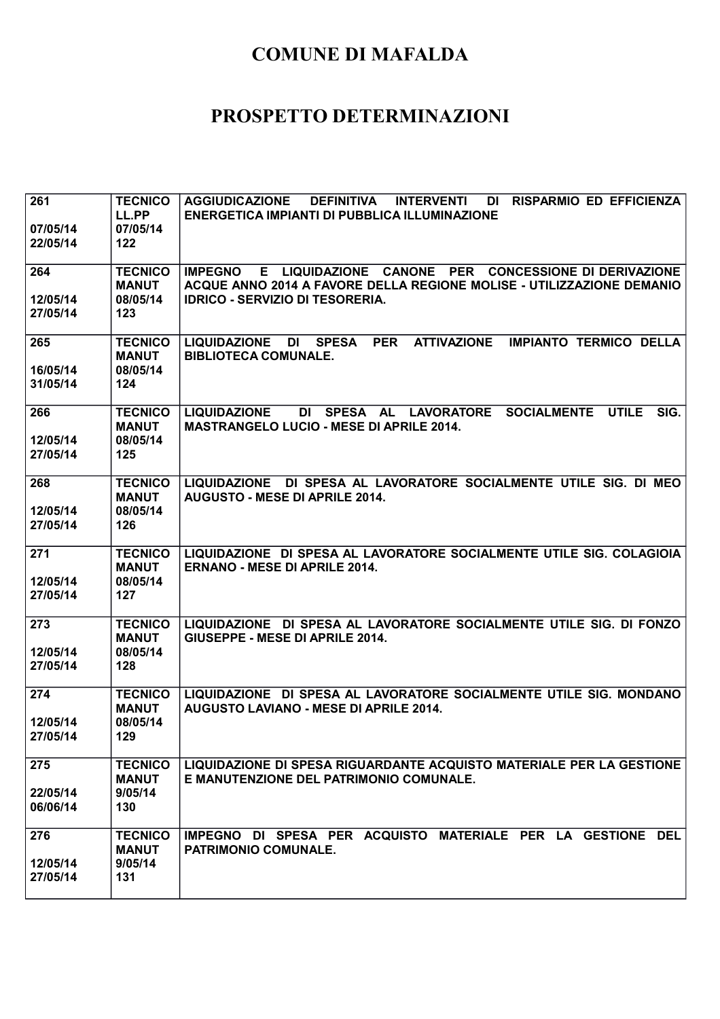| 261<br>07/05/14<br>22/05/14 | <b>TECNICO</b><br>LL.PP<br>07/05/14<br>$122$      | <b>AGGIUDICAZIONE</b><br><b>DEFINITIVA</b><br><b>RISPARMIO ED EFFICIENZA</b><br><b>INTERVENTI</b><br>DI<br>ENERGETICA IMPIANTI DI PUBBLICA ILLUMINAZIONE                                  |
|-----------------------------|---------------------------------------------------|-------------------------------------------------------------------------------------------------------------------------------------------------------------------------------------------|
| 264<br>12/05/14<br>27/05/14 | <b>TECNICO</b><br><b>MANUT</b><br>08/05/14<br>123 | E LIQUIDAZIONE CANONE PER CONCESSIONE DI DERIVAZIONE<br><b>IMPEGNO</b><br>ACQUE ANNO 2014 A FAVORE DELLA REGIONE MOLISE - UTILIZZAZIONE DEMANIO<br><b>IDRICO - SERVIZIO DI TESORERIA.</b> |
| 265<br>16/05/14<br>31/05/14 | <b>TECNICO</b><br><b>MANUT</b><br>08/05/14<br>124 | <b>PER</b><br><b>LIQUIDAZIONE</b><br><b>SPESA</b><br><b>ATTIVAZIONE</b><br><b>IMPIANTO TERMICO DELLA</b><br>DI<br><b>BIBLIOTECA COMUNALE.</b>                                             |
| 266<br>12/05/14<br>27/05/14 | <b>TECNICO</b><br><b>MANUT</b><br>08/05/14<br>125 | <b>LIQUIDAZIONE</b><br>DI SPESA AL LAVORATORE<br><b>SOCIALMENTE</b><br><b>UTILE</b><br>SIG.<br><b>MASTRANGELO LUCIO - MESE DI APRILE 2014.</b>                                            |
| 268<br>12/05/14<br>27/05/14 | <b>TECNICO</b><br><b>MANUT</b><br>08/05/14<br>126 | LIQUIDAZIONE DI SPESA AL LAVORATORE SOCIALMENTE UTILE SIG. DI MEO<br><b>AUGUSTO - MESE DI APRILE 2014.</b>                                                                                |
| 271<br>12/05/14<br>27/05/14 | <b>TECNICO</b><br><b>MANUT</b><br>08/05/14<br>127 | LIQUIDAZIONE DI SPESA AL LAVORATORE SOCIALMENTE UTILE SIG. COLAGIOIA<br><b>ERNANO - MESE DI APRILE 2014.</b>                                                                              |
| 273<br>12/05/14<br>27/05/14 | <b>TECNICO</b><br><b>MANUT</b><br>08/05/14<br>128 | LIQUIDAZIONE DI SPESA AL LAVORATORE SOCIALMENTE UTILE SIG. DI FONZO<br><b>GIUSEPPE - MESE DI APRILE 2014.</b>                                                                             |
| 274<br>12/05/14<br>27/05/14 | <b>TECNICO</b><br><b>MANUT</b><br>08/05/14<br>129 | LIQUIDAZIONE DI SPESA AL LAVORATORE SOCIALMENTE UTILE SIG. MONDANO<br><b>AUGUSTO LAVIANO - MESE DI APRILE 2014.</b>                                                                       |
| 275<br>22/05/14<br>06/06/14 | <b>TECNICO</b><br><b>MANUT</b><br>9/05/14<br>130  | LIQUIDAZIONE DI SPESA RIGUARDANTE ACQUISTO MATERIALE PER LA GESTIONE<br>E MANUTENZIONE DEL PATRIMONIO COMUNALE.                                                                           |
| 276<br>12/05/14<br>27/05/14 | <b>TECNICO</b><br><b>MANUT</b><br>9/05/14<br>131  | IMPEGNO DI SPESA PER ACQUISTO MATERIALE PER LA GESTIONE DEL<br>PATRIMONIO COMUNALE.                                                                                                       |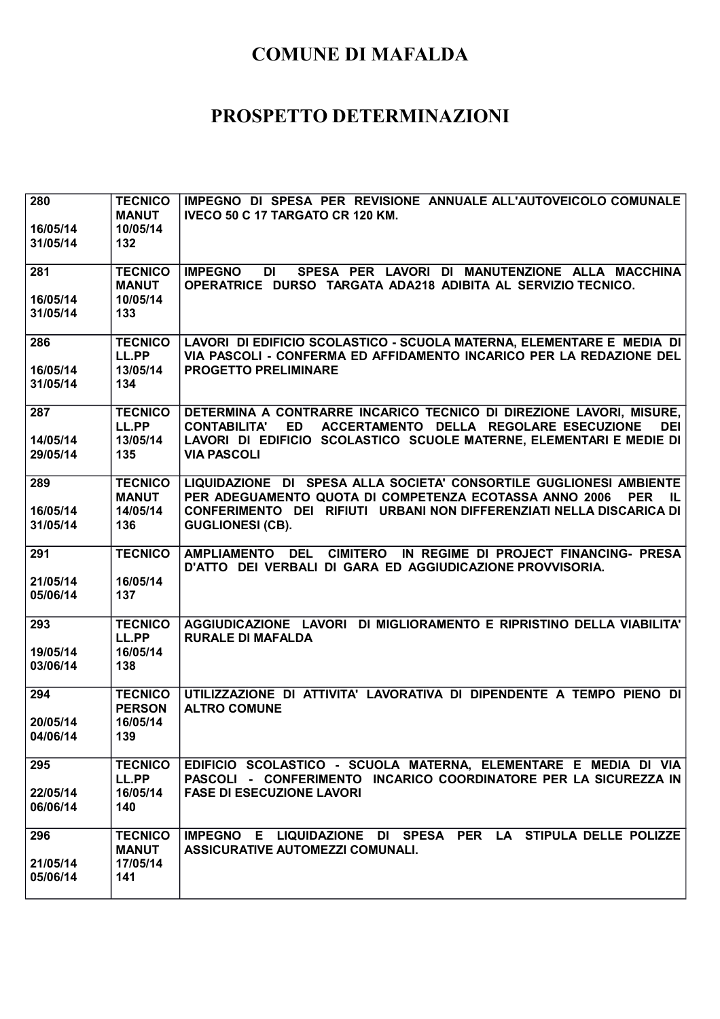| 280<br>16/05/14<br>31/05/14 | <b>TECNICO</b><br><b>MANUT</b><br>10/05/14<br>132  | IMPEGNO DI SPESA PER REVISIONE ANNUALE ALL'AUTOVEICOLO COMUNALE<br>IVECO 50 C 17 TARGATO CR 120 KM.                                                                                                                                                          |
|-----------------------------|----------------------------------------------------|--------------------------------------------------------------------------------------------------------------------------------------------------------------------------------------------------------------------------------------------------------------|
| 281<br>16/05/14<br>31/05/14 | <b>TECNICO</b><br><b>MANUT</b><br>10/05/14<br>133  | SPESA PER LAVORI DI MANUTENZIONE ALLA MACCHINA<br><b>IMPEGNO</b><br>DI<br>OPERATRICE DURSO TARGATA ADA218 ADIBITA AL SERVIZIO TECNICO.                                                                                                                       |
| 286<br>16/05/14<br>31/05/14 | <b>TECNICO</b><br>LL.PP<br>13/05/14<br>134         | LAVORI DI EDIFICIO SCOLASTICO - SCUOLA MATERNA, ELEMENTARE E MEDIA DI<br>VIA PASCOLI - CONFERMA ED AFFIDAMENTO INCARICO PER LA REDAZIONE DEL<br><b>PROGETTO PRELIMINARE</b>                                                                                  |
| 287<br>14/05/14<br>29/05/14 | <b>TECNICO</b><br>LL.PP<br>13/05/14<br>135         | DETERMINA A CONTRARRE INCARICO TECNICO DI DIREZIONE LAVORI, MISURE,<br><b>ED</b><br>ACCERTAMENTO DELLA REGOLARE ESECUZIONE<br><b>CONTABILITA'</b><br><b>DEI</b><br>LAVORI DI EDIFICIO SCOLASTICO SCUOLE MATERNE, ELEMENTARI E MEDIE DI<br><b>VIA PASCOLI</b> |
| 289<br>16/05/14<br>31/05/14 | <b>TECNICO</b><br><b>MANUT</b><br>14/05/14<br>136  | LIQUIDAZIONE DI SPESA ALLA SOCIETA' CONSORTILE GUGLIONESI AMBIENTE<br>PER ADEGUAMENTO QUOTA DI COMPETENZA ECOTASSA ANNO 2006<br><b>PER</b><br>IL.<br>CONFERIMENTO DEI RIFIUTI URBANI NON DIFFERENZIATI NELLA DISCARICA DI<br><b>GUGLIONESI (CB).</b>         |
| 291<br>21/05/14<br>05/06/14 | <b>TECNICO</b><br>16/05/14<br>137                  | AMPLIAMENTO DEL<br><b>CIMITERO</b><br>IN REGIME DI PROJECT FINANCING- PRESA<br>D'ATTO DEI VERBALI DI GARA ED AGGIUDICAZIONE PROVVISORIA.                                                                                                                     |
| 293<br>19/05/14<br>03/06/14 | <b>TECNICO</b><br>LL.PP<br>16/05/14<br>138         | AGGIUDICAZIONE LAVORI DI MIGLIORAMENTO E RIPRISTINO DELLA VIABILITA'<br><b>RURALE DI MAFALDA</b>                                                                                                                                                             |
| 294<br>20/05/14<br>04/06/14 | <b>TECNICO</b><br><b>PERSON</b><br>16/05/14<br>139 | UTILIZZAZIONE DI ATTIVITA' LAVORATIVA DI DIPENDENTE A TEMPO PIENO DI<br><b>ALTRO COMUNE</b>                                                                                                                                                                  |
| 295<br>22/05/14<br>06/06/14 | <b>TECNICO</b><br>LL.PP<br>16/05/14<br>140         | EDIFICIO SCOLASTICO - SCUOLA MATERNA, ELEMENTARE E MEDIA DI VIA<br>PASCOLI - CONFERIMENTO INCARICO COORDINATORE PER LA SICUREZZA IN<br><b>FASE DI ESECUZIONE LAVORI</b>                                                                                      |
| 296<br>21/05/14<br>05/06/14 | <b>TECNICO</b><br><b>MANUT</b><br>17/05/14<br>141  | IMPEGNO E LIQUIDAZIONE DI SPESA PER LA STIPULA DELLE POLIZZE<br>ASSICURATIVE AUTOMEZZI COMUNALI.                                                                                                                                                             |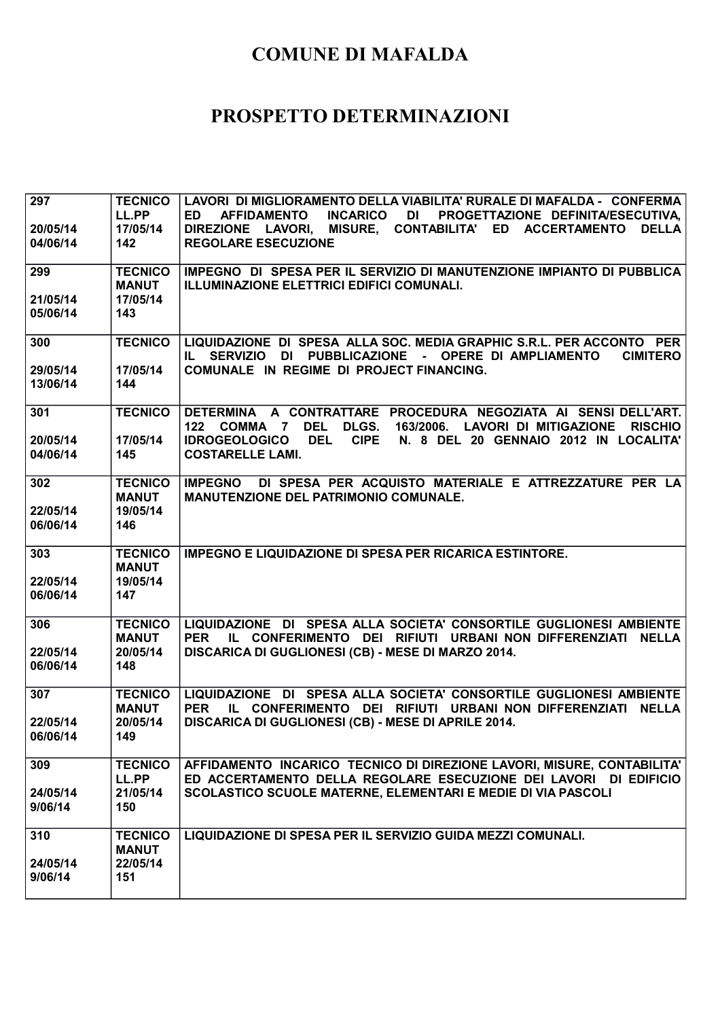| 297<br>20/05/14<br>04/06/14 | <b>TECNICO</b><br>LL.PP<br>17/05/14<br>142        | LAVORI DI MIGLIORAMENTO DELLA VIABILITA' RURALE DI MAFALDA - CONFERMA<br><b>AFFIDAMENTO</b><br><b>INCARICO</b><br>DI PROGETTAZIONE DEFINITA/ESECUTIVA,<br>ED.<br>DIREZIONE LAVORI, MISURE, CONTABILITA' ED ACCERTAMENTO<br><b>DELLA</b><br><b>REGOLARE ESECUZIONE</b>           |
|-----------------------------|---------------------------------------------------|---------------------------------------------------------------------------------------------------------------------------------------------------------------------------------------------------------------------------------------------------------------------------------|
| 299<br>21/05/14<br>05/06/14 | <b>TECNICO</b><br><b>MANUT</b><br>17/05/14<br>143 | IMPEGNO DI SPESA PER IL SERVIZIO DI MANUTENZIONE IMPIANTO DI PUBBLICA<br><b>ILLUMINAZIONE ELETTRICI EDIFICI COMUNALI.</b>                                                                                                                                                       |
| 300<br>29/05/14<br>13/06/14 | <b>TECNICO</b><br>17/05/14<br>144                 | LIQUIDAZIONE DI SPESA ALLA SOC. MEDIA GRAPHIC S.R.L. PER ACCONTO PER<br><b>IL SERVIZIO</b><br>DI PUBBLICAZIONE<br>- OPERE DI AMPLIAMENTO<br><b>CIMITERO</b><br>COMUNALE IN REGIME DI PROJECT FINANCING.                                                                         |
| 301<br>20/05/14<br>04/06/14 | <b>TECNICO</b><br>17/05/14<br>145                 | DETERMINA A CONTRATTARE PROCEDURA NEGOZIATA AI SENSI DELL'ART.<br>122 COMMA 7 DEL<br><b>DLGS.</b><br>163/2006. LAVORI DI MITIGAZIONE<br><b>RISCHIO</b><br><b>IDROGEOLOGICO</b><br><b>DEL</b><br><b>CIPE</b><br>N. 8 DEL 20 GENNAIO 2012 IN LOCALITA'<br><b>COSTARELLE LAMI.</b> |
| 302<br>22/05/14<br>06/06/14 | <b>TECNICO</b><br><b>MANUT</b><br>19/05/14<br>146 | DI SPESA PER ACQUISTO MATERIALE E ATTREZZATURE PER LA<br><b>IMPEGNO</b><br><b>MANUTENZIONE DEL PATRIMONIO COMUNALE.</b>                                                                                                                                                         |
| 303<br>22/05/14             | <b>TECNICO</b><br><b>MANUT</b><br>19/05/14        | <b>IMPEGNO E LIQUIDAZIONE DI SPESA PER RICARICA ESTINTORE.</b>                                                                                                                                                                                                                  |
| 06/06/14                    | 147                                               |                                                                                                                                                                                                                                                                                 |
| 306<br>22/05/14<br>06/06/14 | <b>TECNICO</b><br><b>MANUT</b><br>20/05/14<br>148 | LIQUIDAZIONE DI SPESA ALLA SOCIETA' CONSORTILE GUGLIONESI AMBIENTE<br>IL CONFERIMENTO DEI RIFIUTI URBANI NON DIFFERENZIATI NELLA<br><b>PER</b><br>DISCARICA DI GUGLIONESI (CB) - MESE DI MARZO 2014.                                                                            |
| 307<br>22/05/14<br>06/06/14 | <b>TECNICO</b><br><b>MANUT</b><br>20/05/14<br>149 | LIQUIDAZIONE DI SPESA ALLA SOCIETA' CONSORTILE GUGLIONESI AMBIENTE<br>IL CONFERIMENTO DEI RIFIUTI URBANI NON DIFFERENZIATI NELLA<br><b>PER</b><br>DISCARICA DI GUGLIONESI (CB) - MESE DI APRILE 2014.                                                                           |
| 309<br>24/05/14<br>9/06/14  | <b>TECNICO</b><br>LL.PP<br>21/05/14<br>150        | AFFIDAMENTO INCARICO TECNICO DI DIREZIONE LAVORI, MISURE, CONTABILITA'<br>ED ACCERTAMENTO DELLA REGOLARE ESECUZIONE DEI LAVORI DI EDIFICIO<br><b>SCOLASTICO SCUOLE MATERNE, ELEMENTARI E MEDIE DI VIA PASCOLI</b>                                                               |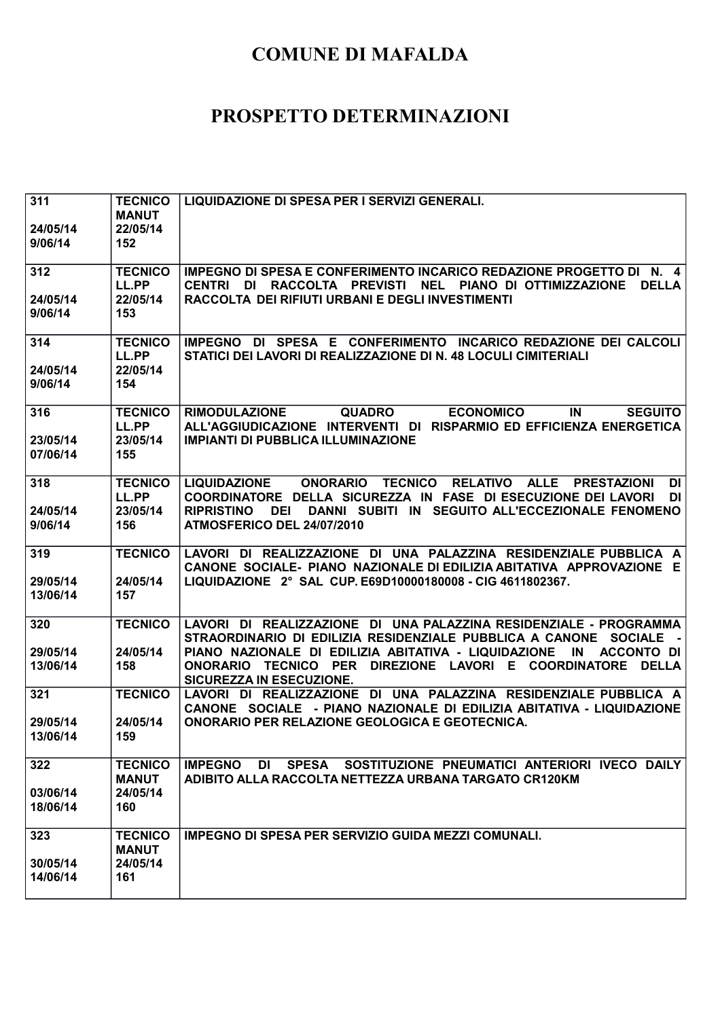| 311<br>24/05/14      | <b>TECNICO</b><br><b>MANUT</b><br>22/05/14 | LIQUIDAZIONE DI SPESA PER I SERVIZI GENERALI.                                                                                                                                                           |
|----------------------|--------------------------------------------|---------------------------------------------------------------------------------------------------------------------------------------------------------------------------------------------------------|
| 9/06/14              | 152                                        |                                                                                                                                                                                                         |
| 312                  | <b>TECNICO</b><br>LL.PP                    | IMPEGNO DI SPESA E CONFERIMENTO INCARICO REDAZIONE PROGETTO DI N. 4<br>NEL PIANO DI OTTIMIZZAZIONE<br><b>DELLA</b><br><b>CENTRI</b><br>DI RACCOLTA PREVISTI                                             |
| 24/05/14<br>9/06/14  | 22/05/14<br>153                            | RACCOLTA DEI RIFIUTI URBANI E DEGLI INVESTIMENTI                                                                                                                                                        |
| 314<br>24/05/14      | <b>TECNICO</b><br>LL.PP<br>22/05/14        | DI SPESA E CONFERIMENTO INCARICO REDAZIONE DEI CALCOLI<br><b>IMPEGNO</b><br>STATICI DEI LAVORI DI REALIZZAZIONE DI N. 48 LOCULI CIMITERIALI                                                             |
| 9/06/14              | 154                                        |                                                                                                                                                                                                         |
| 316<br>23/05/14      | <b>TECNICO</b><br>LL.PP<br>23/05/14        | <b>RIMODULAZIONE</b><br><b>ECONOMICO</b><br><b>SEGUITO</b><br><b>QUADRO</b><br>IN<br>ALL'AGGIUDICAZIONE INTERVENTI DI RISPARMIO ED EFFICIENZA ENERGETICA<br><b>IMPIANTI DI PUBBLICA ILLUMINAZIONE</b>   |
| 07/06/14             | 155                                        |                                                                                                                                                                                                         |
| 318                  | <b>TECNICO</b><br>LL.PP                    | <b>TECNICO</b><br><b>LIQUIDAZIONE</b><br><b>ONORARIO</b><br>RELATIVO ALLE<br><b>PRESTAZIONI</b><br><b>DI</b><br>COORDINATORE DELLA SICUREZZA IN FASE DI ESECUZIONE DEI LAVORI<br><b>DI</b>              |
| 24/05/14<br>9/06/14  | 23/05/14<br>156                            | DANNI SUBITI IN SEGUITO ALL'ECCEZIONALE FENOMENO<br><b>RIPRISTINO</b><br>DEI<br>ATMOSFERICO DEL 24/07/2010                                                                                              |
| 319                  | <b>TECNICO</b>                             | LAVORI DI REALIZZAZIONE DI UNA PALAZZINA RESIDENZIALE PUBBLICA A<br>CANONE SOCIALE- PIANO NAZIONALE DI EDILIZIA ABITATIVA APPROVAZIONE E                                                                |
| 29/05/14<br>13/06/14 | 24/05/14<br>157                            | LIQUIDAZIONE 2° SAL CUP. E69D10000180008 - CIG 4611802367.                                                                                                                                              |
| 320                  | <b>TECNICO</b>                             | LAVORI DI REALIZZAZIONE DI UNA PALAZZINA RESIDENZIALE - PROGRAMMA<br>STRAORDINARIO DI EDILIZIA RESIDENZIALE PUBBLICA A CANONE SOCIALE<br>$\sim 100$                                                     |
| 29/05/14<br>13/06/14 | 24/05/14<br>158                            | PIANO NAZIONALE DI EDILIZIA ABITATIVA - LIQUIDAZIONE<br>IN<br><b>ACCONTO DI</b><br><b>TECNICO PER</b><br>DIREZIONE LAVORI E COORDINATORE<br><b>DELLA</b><br><b>ONORARIO</b><br>SICUREZZA IN ESECUZIONE. |
| 321                  | <b>TECNICO</b>                             | LAVORI DI REALIZZAZIONE<br>DI UNA PALAZZINA RESIDENZIALE PUBBLICA A<br>CANONE SOCIALE - PIANO NAZIONALE DI EDILIZIA ABITATIVA - LIQUIDAZIONE                                                            |
| 29/05/14<br>13/06/14 | 24/05/14<br>159                            | ONORARIO PER RELAZIONE GEOLOGICA E GEOTECNICA.                                                                                                                                                          |
| 322                  | <b>TECNICO</b><br><b>MANUT</b>             | DI SPESA SOSTITUZIONE PNEUMATICI ANTERIORI IVECO DAILY<br><b>IMPEGNO</b><br>ADIBITO ALLA RACCOLTA NETTEZZA URBANA TARGATO CR120KM                                                                       |
| 03/06/14<br>18/06/14 | 24/05/14<br>160                            |                                                                                                                                                                                                         |
| 323                  | <b>TECNICO</b><br><b>MANUT</b>             | <b>IMPEGNO DI SPESA PER SERVIZIO GUIDA MEZZI COMUNALI.</b>                                                                                                                                              |
| 30/05/14<br>14/06/14 | 24/05/14<br>161                            |                                                                                                                                                                                                         |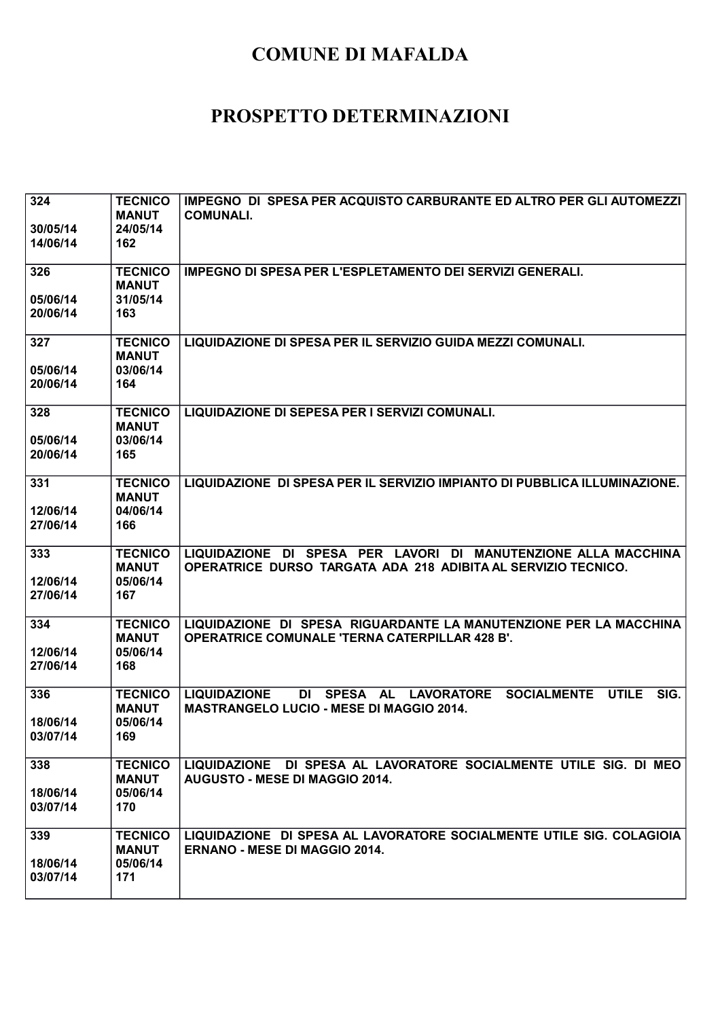| 324<br>30/05/14<br>14/06/14 | <b>TECNICO</b><br><b>MANUT</b><br>24/05/14<br>162 | IMPEGNO DI SPESA PER ACQUISTO CARBURANTE ED ALTRO PER GLI AUTOMEZZI<br><b>COMUNALI.</b>                                                                                      |
|-----------------------------|---------------------------------------------------|------------------------------------------------------------------------------------------------------------------------------------------------------------------------------|
| 326<br>05/06/14<br>20/06/14 | <b>TECNICO</b><br><b>MANUT</b><br>31/05/14<br>163 | <b>IMPEGNO DI SPESA PER L'ESPLETAMENTO DEI SERVIZI GENERALI.</b>                                                                                                             |
| 327<br>05/06/14<br>20/06/14 | <b>TECNICO</b><br><b>MANUT</b><br>03/06/14<br>164 | LIQUIDAZIONE DI SPESA PER IL SERVIZIO GUIDA MEZZI COMUNALI.                                                                                                                  |
| 328<br>05/06/14<br>20/06/14 | <b>TECNICO</b><br><b>MANUT</b><br>03/06/14<br>165 | LIQUIDAZIONE DI SEPESA PER I SERVIZI COMUNALI.                                                                                                                               |
| 331<br>12/06/14<br>27/06/14 | <b>TECNICO</b><br><b>MANUT</b><br>04/06/14<br>166 | LIQUIDAZIONE DI SPESA PER IL SERVIZIO IMPIANTO DI PUBBLICA ILLUMINAZIONE.                                                                                                    |
| 333<br>12/06/14<br>27/06/14 | <b>TECNICO</b><br><b>MANUT</b><br>05/06/14<br>167 | LIQUIDAZIONE DI SPESA PER LAVORI DI MANUTENZIONE ALLA MACCHINA<br>OPERATRICE DURSO TARGATA ADA 218 ADIBITA AL SERVIZIO TECNICO.                                              |
| 334<br>12/06/14<br>27/06/14 | <b>TECNICO</b><br><b>MANUT</b><br>05/06/14<br>168 | LIQUIDAZIONE DI SPESA RIGUARDANTE LA MANUTENZIONE PER LA MACCHINA<br><b>OPERATRICE COMUNALE 'TERNA CATERPILLAR 428 B'.</b>                                                   |
| 336<br>18/06/14<br>03/07/14 | <b>TECNICO</b><br><b>MANUT</b><br>05/06/14<br>169 | SIG.<br><b>LIQUIDAZIONE</b><br>DI<br><b>SPESA</b><br><b>LAVORATORE</b><br><b>SOCIALMENTE</b><br><b>UTILE</b><br><b>AL</b><br><b>MASTRANGELO LUCIO - MESE DI MAGGIO 2014.</b> |
| 338<br>18/06/14<br>03/07/14 | <b>TECNICO</b><br><b>MANUT</b><br>05/06/14<br>170 | LIQUIDAZIONE DI SPESA AL LAVORATORE SOCIALMENTE UTILE SIG. DI MEO<br><b>AUGUSTO - MESE DI MAGGIO 2014.</b>                                                                   |
| 339<br>18/06/14<br>03/07/14 | <b>TECNICO</b><br><b>MANUT</b><br>05/06/14<br>171 | LIQUIDAZIONE DI SPESA AL LAVORATORE SOCIALMENTE UTILE SIG. COLAGIOIA<br><b>ERNANO - MESE DI MAGGIO 2014.</b>                                                                 |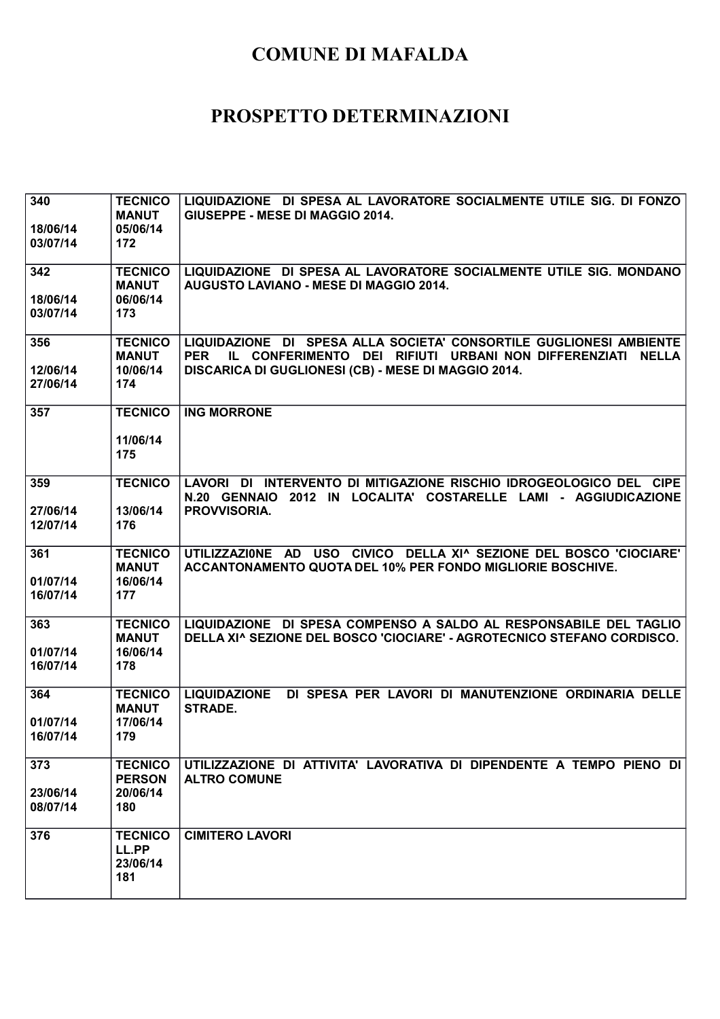| 340<br>18/06/14<br>03/07/14 | <b>TECNICO</b><br><b>MANUT</b><br>05/06/14<br>172  | LIQUIDAZIONE DI SPESA AL LAVORATORE SOCIALMENTE UTILE SIG. DI FONZO<br><b>GIUSEPPE - MESE DI MAGGIO 2014.</b>                                                                                         |
|-----------------------------|----------------------------------------------------|-------------------------------------------------------------------------------------------------------------------------------------------------------------------------------------------------------|
| 342<br>18/06/14<br>03/07/14 | <b>TECNICO</b><br><b>MANUT</b><br>06/06/14<br>173  | LIQUIDAZIONE DI SPESA AL LAVORATORE SOCIALMENTE UTILE SIG. MONDANO<br><b>AUGUSTO LAVIANO - MESE DI MAGGIO 2014.</b>                                                                                   |
| 356<br>12/06/14<br>27/06/14 | <b>TECNICO</b><br><b>MANUT</b><br>10/06/14<br>174  | LIQUIDAZIONE DI SPESA ALLA SOCIETA' CONSORTILE GUGLIONESI AMBIENTE<br><b>PER</b><br>IL CONFERIMENTO DEI RIFIUTI URBANI NON DIFFERENZIATI NELLA<br>DISCARICA DI GUGLIONESI (CB) - MESE DI MAGGIO 2014. |
| 357                         | <b>TECNICO</b><br>11/06/14<br>175                  | <b>ING MORRONE</b>                                                                                                                                                                                    |
| 359<br>27/06/14<br>12/07/14 | <b>TECNICO</b><br>13/06/14<br>176                  | LAVORI DI INTERVENTO DI MITIGAZIONE RISCHIO IDROGEOLOGICO DEL CIPE<br>N.20 GENNAIO 2012 IN LOCALITA' COSTARELLE LAMI - AGGIUDICAZIONE<br>PROVVISORIA.                                                 |
| 361<br>01/07/14<br>16/07/14 | <b>TECNICO</b><br><b>MANUT</b><br>16/06/14<br>177  | UTILIZZAZIONE AD USO CIVICO DELLA XI^ SEZIONE DEL BOSCO 'CIOCIARE'<br><b>ACCANTONAMENTO QUOTA DEL 10% PER FONDO MIGLIORIE BOSCHIVE.</b>                                                               |
| 363<br>01/07/14<br>16/07/14 | <b>TECNICO</b><br><b>MANUT</b><br>16/06/14<br>178  | LIQUIDAZIONE DI SPESA COMPENSO A SALDO AL RESPONSABILE DEL TAGLIO<br>DELLA XI^ SEZIONE DEL BOSCO 'CIOCIARE' - AGROTECNICO STEFANO CORDISCO.                                                           |
| 364<br>01/07/14<br>16/07/14 | <b>TECNICO</b><br><b>MANUT</b><br>17/06/14<br>179  | <b>LIQUIDAZIONE</b><br>DI SPESA PER LAVORI DI MANUTENZIONE ORDINARIA DELLE<br><b>STRADE.</b>                                                                                                          |
| 373<br>23/06/14<br>08/07/14 | <b>TECNICO</b><br><b>PERSON</b><br>20/06/14<br>180 | UTILIZZAZIONE DI ATTIVITA' LAVORATIVA DI DIPENDENTE A TEMPO PIENO DI<br><b>ALTRO COMUNE</b>                                                                                                           |
| 376                         | <b>TECNICO</b><br>LL.PP<br>23/06/14<br>181         | <b>CIMITERO LAVORI</b>                                                                                                                                                                                |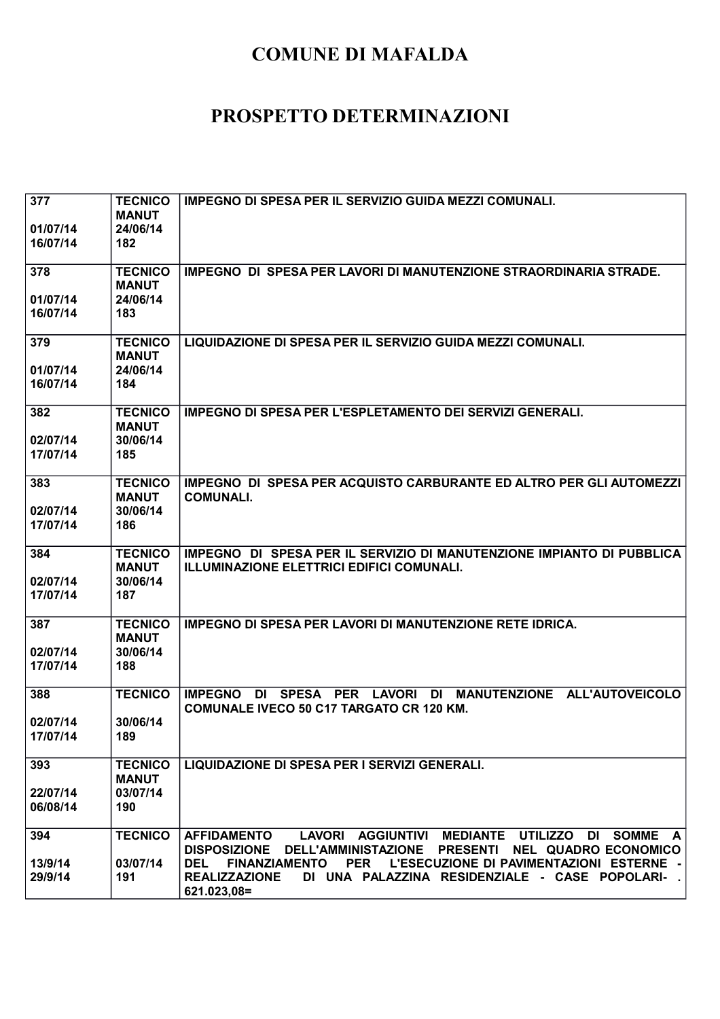| 377<br>01/07/14<br>16/07/14 | <b>TECNICO</b><br><b>MANUT</b><br>24/06/14<br>182 | <b>IMPEGNO DI SPESA PER IL SERVIZIO GUIDA MEZZI COMUNALI.</b>                                                                                                                                                                                                                                                              |
|-----------------------------|---------------------------------------------------|----------------------------------------------------------------------------------------------------------------------------------------------------------------------------------------------------------------------------------------------------------------------------------------------------------------------------|
| 378<br>01/07/14<br>16/07/14 | <b>TECNICO</b><br><b>MANUT</b><br>24/06/14<br>183 | IMPEGNO DI SPESA PER LAVORI DI MANUTENZIONE STRAORDINARIA STRADE.                                                                                                                                                                                                                                                          |
| 379<br>01/07/14<br>16/07/14 | <b>TECNICO</b><br><b>MANUT</b><br>24/06/14<br>184 | LIQUIDAZIONE DI SPESA PER IL SERVIZIO GUIDA MEZZI COMUNALI.                                                                                                                                                                                                                                                                |
| 382<br>02/07/14<br>17/07/14 | <b>TECNICO</b><br><b>MANUT</b><br>30/06/14<br>185 | <b>IMPEGNO DI SPESA PER L'ESPLETAMENTO DEI SERVIZI GENERALI.</b>                                                                                                                                                                                                                                                           |
| 383<br>02/07/14<br>17/07/14 | <b>TECNICO</b><br><b>MANUT</b><br>30/06/14<br>186 | IMPEGNO DI SPESA PER ACQUISTO CARBURANTE ED ALTRO PER GLI AUTOMEZZI<br><b>COMUNALI.</b>                                                                                                                                                                                                                                    |
| 384<br>02/07/14<br>17/07/14 | <b>TECNICO</b><br><b>MANUT</b><br>30/06/14<br>187 | IMPEGNO DI SPESA PER IL SERVIZIO DI MANUTENZIONE IMPIANTO DI PUBBLICA<br><b>ILLUMINAZIONE ELETTRICI EDIFICI COMUNALI.</b>                                                                                                                                                                                                  |
| 387<br>02/07/14<br>17/07/14 | <b>TECNICO</b><br><b>MANUT</b><br>30/06/14<br>188 | <b>IMPEGNO DI SPESA PER LAVORI DI MANUTENZIONE RETE IDRICA.</b>                                                                                                                                                                                                                                                            |
| 388<br>02/07/14<br>17/07/14 | <b>TECNICO</b><br>30/06/14<br>189                 | PER LAVORI<br>MANUTENZIONE ALL'AUTOVEICOLO<br><b>IMPEGNO</b><br>DI SPESA<br>DI<br><b>COMUNALE IVECO 50 C17 TARGATO CR 120 KM.</b>                                                                                                                                                                                          |
| 393<br>22/07/14<br>06/08/14 | <b>TECNICO</b><br><b>MANUT</b><br>03/07/14<br>190 | LIQUIDAZIONE DI SPESA PER I SERVIZI GENERALI.                                                                                                                                                                                                                                                                              |
| 394<br>13/9/14<br>29/9/14   | <b>TECNICO</b><br>03/07/14<br>191                 | LAVORI AGGIUNTIVI MEDIANTE UTILIZZO DI SOMME A<br><b>AFFIDAMENTO</b><br><b>DISPOSIZIONE</b><br>DELL'AMMINISTAZIONE PRESENTI NEL QUADRO ECONOMICO<br>FINANZIAMENTO PER<br>L'ESECUZIONE DI PAVIMENTAZIONI ESTERNE -<br><b>DEL</b><br><b>REALIZZAZIONE</b><br>DI UNA PALAZZINA RESIDENZIALE - CASE POPOLARI- .<br>621.023,08= |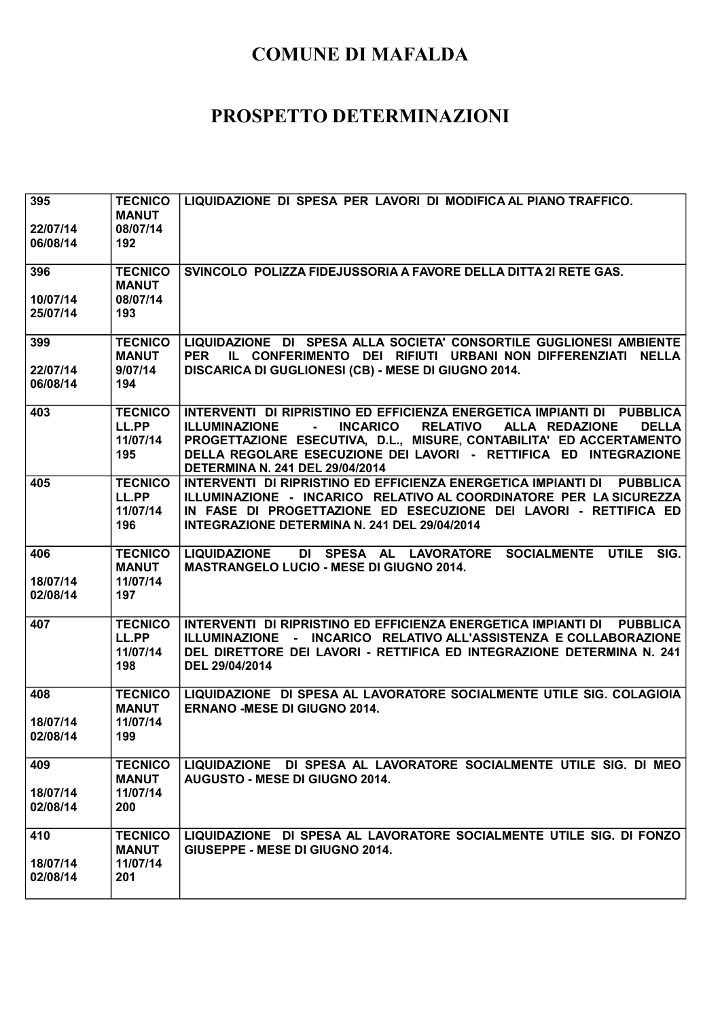| 395<br>22/07/14<br>06/08/14 | <b>TECNICO</b><br><b>MANUT</b><br>08/07/14<br>192 | LIQUIDAZIONE DI SPESA PER LAVORI DI MODIFICA AL PIANO TRAFFICO.                                                                                                                                                                                                                                                                                                       |
|-----------------------------|---------------------------------------------------|-----------------------------------------------------------------------------------------------------------------------------------------------------------------------------------------------------------------------------------------------------------------------------------------------------------------------------------------------------------------------|
| 396<br>10/07/14<br>25/07/14 | <b>TECNICO</b><br><b>MANUT</b><br>08/07/14<br>193 | SVINCOLO POLIZZA FIDEJUSSORIA A FAVORE DELLA DITTA 21 RETE GAS.                                                                                                                                                                                                                                                                                                       |
| 399<br>22/07/14<br>06/08/14 | <b>TECNICO</b><br><b>MANUT</b><br>9/07/14<br>194  | LIQUIDAZIONE DI SPESA ALLA SOCIETA' CONSORTILE GUGLIONESI AMBIENTE<br>IL CONFERIMENTO DEI RIFIUTI URBANI NON DIFFERENZIATI NELLA<br><b>PER</b><br>DISCARICA DI GUGLIONESI (CB) - MESE DI GIUGNO 2014.                                                                                                                                                                 |
| 403                         | <b>TECNICO</b><br>LL.PP<br>11/07/14<br>195        | INTERVENTI DI RIPRISTINO ED EFFICIENZA ENERGETICA IMPIANTI DI PUBBLICA<br><b>INCARICO</b><br><b>DELLA</b><br><b>ILLUMINAZIONE</b><br><b>RELATIVO</b><br>ALLA REDAZIONE<br>$\sim$<br>PROGETTAZIONE ESECUTIVA, D.L., MISURE, CONTABILITA' ED ACCERTAMENTO<br>DELLA REGOLARE ESECUZIONE DEI LAVORI - RETTIFICA ED INTEGRAZIONE<br><b>DETERMINA N. 241 DEL 29/04/2014</b> |
| 405                         | <b>TECNICO</b><br>LL.PP<br>11/07/14<br>196        | INTERVENTI DI RIPRISTINO ED EFFICIENZA ENERGETICA IMPIANTI DI<br><b>PUBBLICA</b><br>ILLUMINAZIONE - INCARICO RELATIVO AL COORDINATORE PER LA SICUREZZA<br>IN FASE DI PROGETTAZIONE ED ESECUZIONE DEI LAVORI - RETTIFICA ED<br>INTEGRAZIONE DETERMINA N. 241 DEL 29/04/2014                                                                                            |
| 406<br>18/07/14<br>02/08/14 | <b>TECNICO</b><br><b>MANUT</b><br>11/07/14<br>197 | <b>LIQUIDAZIONE</b><br>DI SPESA AL LAVORATORE SOCIALMENTE UTILE<br>SIG.<br><b>MASTRANGELO LUCIO - MESE DI GIUGNO 2014.</b>                                                                                                                                                                                                                                            |
| 407                         | <b>TECNICO</b><br>LL.PP<br>11/07/14<br>198        | INTERVENTI DI RIPRISTINO ED EFFICIENZA ENERGETICA IMPIANTI DI PUBBLICA<br>ILLUMINAZIONE - INCARICO RELATIVO ALL'ASSISTENZA E COLLABORAZIONE<br>DEL DIRETTORE DEI LAVORI - RETTIFICA ED INTEGRAZIONE DETERMINA N. 241<br>DEL 29/04/2014                                                                                                                                |
| 408<br>18/07/14<br>02/08/14 | <b>TECNICO</b><br><b>MANUT</b><br>11/07/14<br>199 | LIQUIDAZIONE DI SPESA AL LAVORATORE SOCIALMENTE UTILE SIG. COLAGIOIA<br><b>ERNANO -MESE DI GIUGNO 2014.</b>                                                                                                                                                                                                                                                           |
| 409<br>18/07/14<br>02/08/14 | <b>TECNICO</b><br><b>MANUT</b><br>11/07/14<br>200 | LIQUIDAZIONE DI SPESA AL LAVORATORE SOCIALMENTE UTILE SIG. DI MEO<br><b>AUGUSTO - MESE DI GIUGNO 2014.</b>                                                                                                                                                                                                                                                            |
| 410<br>18/07/14<br>02/08/14 | <b>TECNICO</b><br><b>MANUT</b><br>11/07/14<br>201 | LIQUIDAZIONE DI SPESA AL LAVORATORE SOCIALMENTE UTILE SIG. DI FONZO<br>GIUSEPPE - MESE DI GIUGNO 2014.                                                                                                                                                                                                                                                                |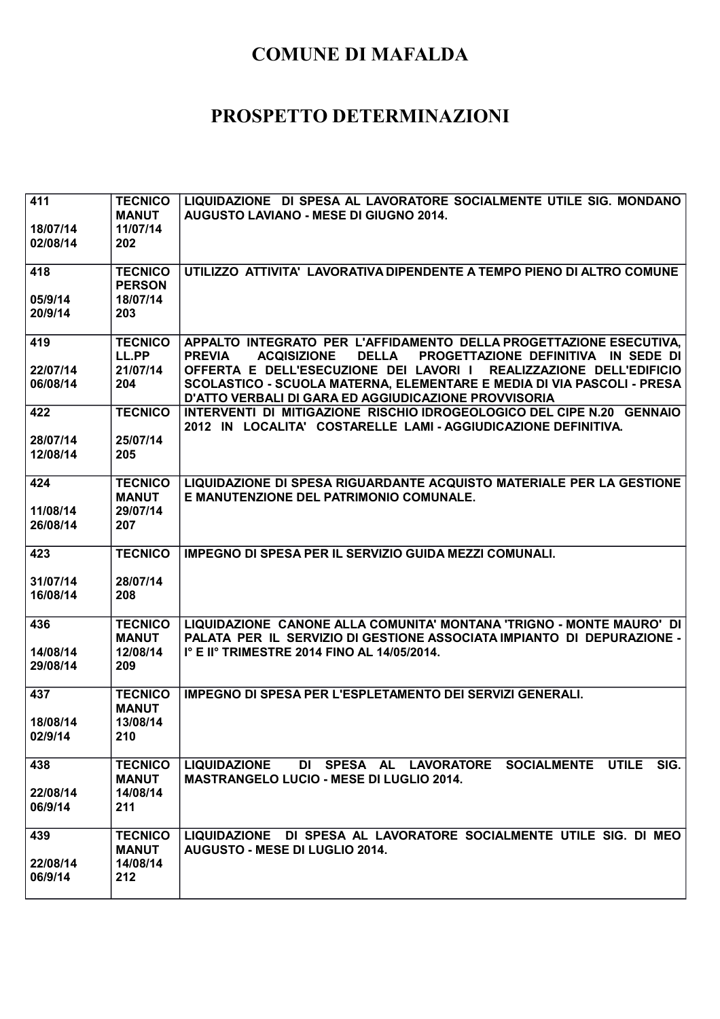| 411                 | <b>TECNICO</b><br><b>MANUT</b> | LIQUIDAZIONE DI SPESA AL LAVORATORE SOCIALMENTE UTILE SIG. MONDANO<br><b>AUGUSTO LAVIANO - MESE DI GIUGNO 2014.</b>                                              |
|---------------------|--------------------------------|------------------------------------------------------------------------------------------------------------------------------------------------------------------|
| 18/07/14            | 11/07/14                       |                                                                                                                                                                  |
| 02/08/14            | 202                            |                                                                                                                                                                  |
| 418                 | <b>TECNICO</b>                 | UTILIZZO ATTIVITA' LAVORATIVA DIPENDENTE A TEMPO PIENO DI ALTRO COMUNE                                                                                           |
|                     | <b>PERSON</b>                  |                                                                                                                                                                  |
| 05/9/14<br>20/9/14  | 18/07/14<br>203                |                                                                                                                                                                  |
|                     |                                |                                                                                                                                                                  |
| 419                 | <b>TECNICO</b><br>LL.PP        | APPALTO INTEGRATO PER L'AFFIDAMENTO DELLA PROGETTAZIONE ESECUTIVA,<br><b>PREVIA</b><br><b>ACQISIZIONE</b><br><b>DELLA</b><br>PROGETTAZIONE DEFINITIVA IN SEDE DI |
| 22/07/14            | 21/07/14                       | OFFERTA E DELL'ESECUZIONE DEI LAVORI I REALIZZAZIONE DELL'EDIFICIO                                                                                               |
| 06/08/14            | 204                            | SCOLASTICO - SCUOLA MATERNA, ELEMENTARE E MEDIA DI VIA PASCOLI - PRESA<br>D'ATTO VERBALI DI GARA ED AGGIUDICAZIONE PROVVISORIA                                   |
| 422                 | <b>TECNICO</b>                 | INTERVENTI DI MITIGAZIONE RISCHIO IDROGEOLOGICO DEL CIPE N.20 GENNAIO<br>2012 IN LOCALITA' COSTARELLE LAMI - AGGIUDICAZIONE DEFINITIVA.                          |
| 28/07/14            | 25/07/14                       |                                                                                                                                                                  |
| 12/08/14            | 205                            |                                                                                                                                                                  |
| 424                 | <b>TECNICO</b>                 | LIQUIDAZIONE DI SPESA RIGUARDANTE ACQUISTO MATERIALE PER LA GESTIONE                                                                                             |
| 11/08/14            | <b>MANUT</b><br>29/07/14       | E MANUTENZIONE DEL PATRIMONIO COMUNALE.                                                                                                                          |
| 26/08/14            | 207                            |                                                                                                                                                                  |
|                     |                                |                                                                                                                                                                  |
| 423                 | <b>TECNICO</b>                 | <b>IMPEGNO DI SPESA PER IL SERVIZIO GUIDA MEZZI COMUNALI.</b>                                                                                                    |
| 31/07/14            | 28/07/14                       |                                                                                                                                                                  |
| 16/08/14            | 208                            |                                                                                                                                                                  |
| 436                 | <b>TECNICO</b><br><b>MANUT</b> | LIQUIDAZIONE CANONE ALLA COMUNITA' MONTANA 'TRIGNO - MONTE MAURO' DI<br>PALATA PER IL SERVIZIO DI GESTIONE ASSOCIATA IMPIANTO DI DEPURAZIONE -                   |
| 14/08/14            | 12/08/14                       | I° E II° TRIMESTRE 2014 FINO AL 14/05/2014.                                                                                                                      |
| 29/08/14            | 209                            |                                                                                                                                                                  |
| 437                 | <b>TECNICO</b>                 | <b>IMPEGNO DI SPESA PER L'ESPLETAMENTO DEI SERVIZI GENERALI.</b>                                                                                                 |
|                     | <b>MANUT</b>                   |                                                                                                                                                                  |
| 18/08/14<br>02/9/14 | 13/08/14<br>210                |                                                                                                                                                                  |
|                     |                                |                                                                                                                                                                  |
| 438                 | <b>TECNICO</b>                 | <b>LIQUIDAZIONE</b><br>DI SPESA AL LAVORATORE SOCIALMENTE UTILE<br>SIG.                                                                                          |
| 22/08/14            | <b>MANUT</b><br>14/08/14       | <b>MASTRANGELO LUCIO - MESE DI LUGLIO 2014.</b>                                                                                                                  |
| 06/9/14             | 211                            |                                                                                                                                                                  |
| 439                 | <b>TECNICO</b>                 | LIQUIDAZIONE DI SPESA AL LAVORATORE SOCIALMENTE UTILE SIG. DI MEO                                                                                                |
|                     | <b>MANUT</b>                   | <b>AUGUSTO - MESE DI LUGLIO 2014.</b>                                                                                                                            |
| 22/08/14            | 14/08/14                       |                                                                                                                                                                  |
| 06/9/14             | 212                            |                                                                                                                                                                  |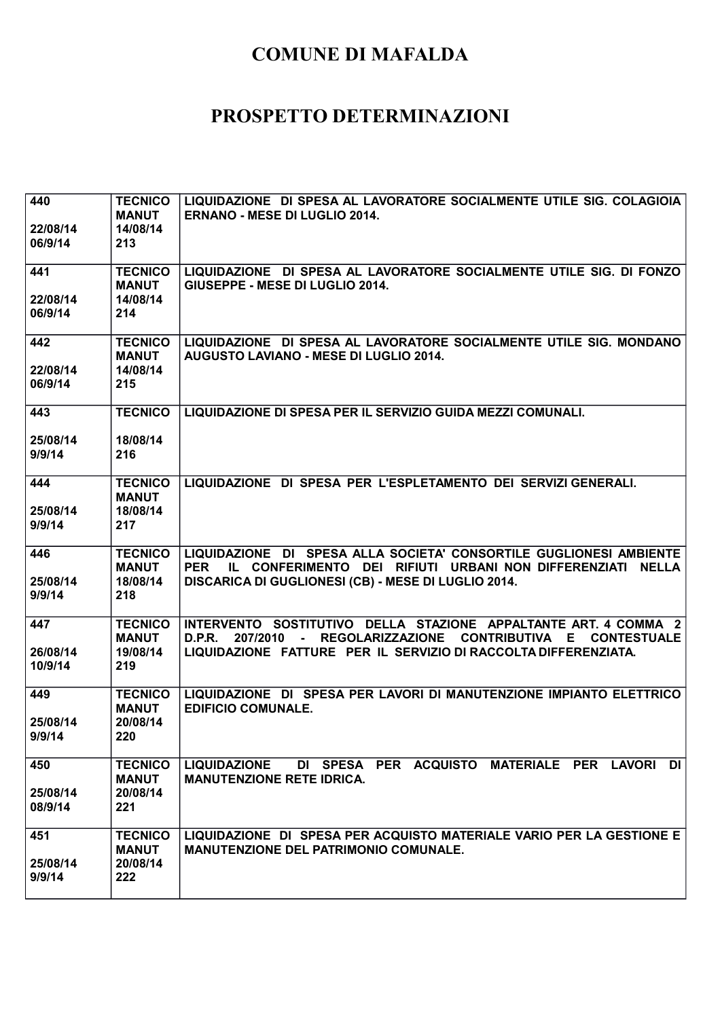| 440                 | <b>TECNICO</b><br><b>MANUT</b>             | LIQUIDAZIONE DI SPESA AL LAVORATORE SOCIALMENTE UTILE SIG. COLAGIOIA<br><b>ERNANO - MESE DI LUGLIO 2014.</b>                                                                                                                           |
|---------------------|--------------------------------------------|----------------------------------------------------------------------------------------------------------------------------------------------------------------------------------------------------------------------------------------|
| 22/08/14<br>06/9/14 | 14/08/14<br>213                            |                                                                                                                                                                                                                                        |
| 441                 | <b>TECNICO</b><br><b>MANUT</b>             | LIQUIDAZIONE DI SPESA AL LAVORATORE SOCIALMENTE UTILE SIG. DI FONZO<br>GIUSEPPE - MESE DI LUGLIO 2014.                                                                                                                                 |
| 22/08/14<br>06/9/14 | 14/08/14<br>214                            |                                                                                                                                                                                                                                        |
| 442<br>22/08/14     | <b>TECNICO</b><br><b>MANUT</b><br>14/08/14 | LIQUIDAZIONE DI SPESA AL LAVORATORE SOCIALMENTE UTILE SIG. MONDANO<br>AUGUSTO LAVIANO - MESE DI LUGLIO 2014.                                                                                                                           |
| 06/9/14             | 215                                        |                                                                                                                                                                                                                                        |
| 443                 | <b>TECNICO</b>                             | LIQUIDAZIONE DI SPESA PER IL SERVIZIO GUIDA MEZZI COMUNALI.                                                                                                                                                                            |
| 25/08/14<br>9/9/14  | 18/08/14<br>216                            |                                                                                                                                                                                                                                        |
| 444<br>25/08/14     | <b>TECNICO</b><br><b>MANUT</b><br>18/08/14 | LIQUIDAZIONE DI SPESA PER L'ESPLETAMENTO DEI SERVIZI GENERALI.                                                                                                                                                                         |
| 9/9/14              | 217                                        |                                                                                                                                                                                                                                        |
| 446<br>25/08/14     | <b>TECNICO</b><br><b>MANUT</b><br>18/08/14 | LIQUIDAZIONE DI SPESA ALLA SOCIETA' CONSORTILE GUGLIONESI AMBIENTE<br>IL CONFERIMENTO DEI RIFIUTI URBANI NON DIFFERENZIATI NELLA<br><b>PER</b><br>DISCARICA DI GUGLIONESI (CB) - MESE DI LUGLIO 2014.                                  |
| 9/9/14              | 218                                        |                                                                                                                                                                                                                                        |
| 447<br>26/08/14     | <b>TECNICO</b><br><b>MANUT</b><br>19/08/14 | INTERVENTO SOSTITUTIVO DELLA STAZIONE APPALTANTE ART. 4 COMMA 2<br><b>REGOLARIZZAZIONE</b><br><b>CONTRIBUTIVA</b><br>D.P.R.<br>207/2010<br>E.<br><b>CONTESTUALE</b><br>LIQUIDAZIONE FATTURE PER IL SERVIZIO DI RACCOLTA DIFFERENZIATA. |
| 10/9/14             | 219                                        |                                                                                                                                                                                                                                        |
| 449                 | <b>TECNICO</b><br><b>MANUT</b>             | LIQUIDAZIONE DI SPESA PER LAVORI DI MANUTENZIONE IMPIANTO ELETTRICO<br><b>EDIFICIO COMUNALE.</b>                                                                                                                                       |
| 25/08/14<br>9/9/14  | 20/08/14<br>220                            |                                                                                                                                                                                                                                        |
| 450                 | <b>TECNICO</b><br><b>MANUT</b>             | LIQUIDAZIONE DI SPESA PER ACQUISTO MATERIALE PER LAVORI<br><b>DI</b><br><b>MANUTENZIONE RETE IDRICA.</b>                                                                                                                               |
| 25/08/14<br>08/9/14 | 20/08/14<br>221                            |                                                                                                                                                                                                                                        |
| 451                 | <b>TECNICO</b><br><b>MANUT</b>             | LIQUIDAZIONE DI SPESA PER ACQUISTO MATERIALE VARIO PER LA GESTIONE E<br><b>MANUTENZIONE DEL PATRIMONIO COMUNALE.</b>                                                                                                                   |
| 25/08/14            | 20/08/14                                   |                                                                                                                                                                                                                                        |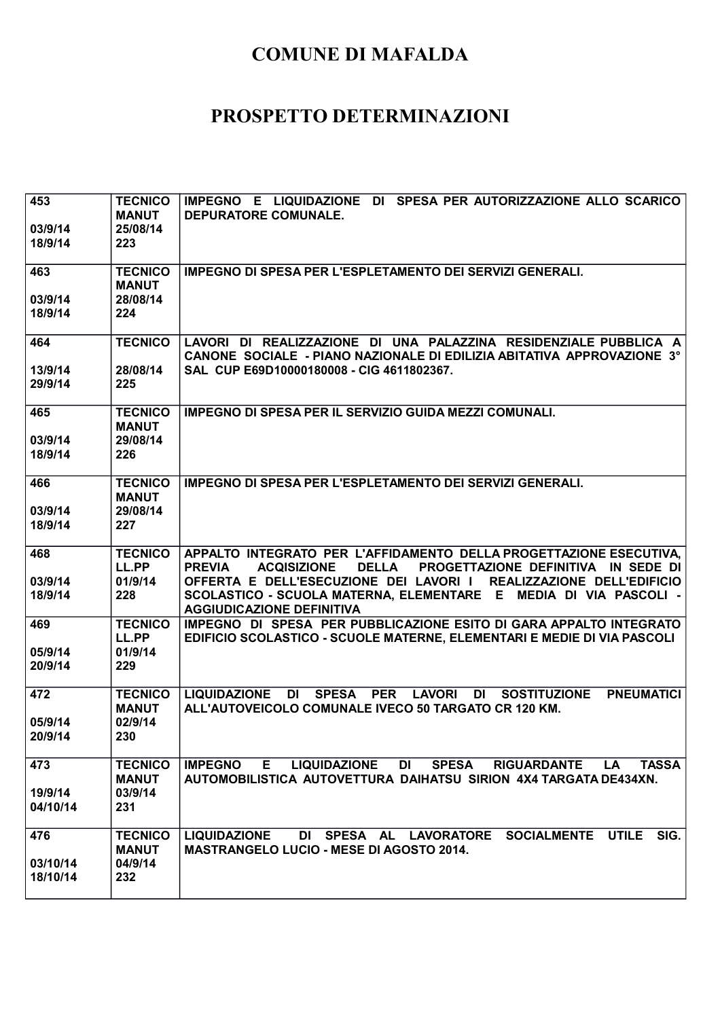| 453<br>03/9/14<br>18/9/14   | <b>TECNICO</b><br><b>MANUT</b><br>25/08/14<br>223 | IMPEGNO E LIQUIDAZIONE DI SPESA PER AUTORIZZAZIONE ALLO SCARICO<br>DEPURATORE COMUNALE.                                                                                                                                                                                                                                                               |
|-----------------------------|---------------------------------------------------|-------------------------------------------------------------------------------------------------------------------------------------------------------------------------------------------------------------------------------------------------------------------------------------------------------------------------------------------------------|
| 463<br>03/9/14              | <b>TECNICO</b><br><b>MANUT</b><br>28/08/14        | <b>IMPEGNO DI SPESA PER L'ESPLETAMENTO DEI SERVIZI GENERALI.</b>                                                                                                                                                                                                                                                                                      |
| 18/9/14                     | 224                                               |                                                                                                                                                                                                                                                                                                                                                       |
| 464<br>13/9/14<br>29/9/14   | <b>TECNICO</b><br>28/08/14<br>225                 | LAVORI DI REALIZZAZIONE DI UNA PALAZZINA RESIDENZIALE PUBBLICA A<br>CANONE SOCIALE - PIANO NAZIONALE DI EDILIZIA ABITATIVA APPROVAZIONE 3°<br>SAL CUP E69D10000180008 - CIG 4611802367.                                                                                                                                                               |
| 465<br>03/9/14<br>18/9/14   | <b>TECNICO</b><br><b>MANUT</b><br>29/08/14<br>226 | <b>IMPEGNO DI SPESA PER IL SERVIZIO GUIDA MEZZI COMUNALI.</b>                                                                                                                                                                                                                                                                                         |
| 466<br>03/9/14<br>18/9/14   | <b>TECNICO</b><br><b>MANUT</b><br>29/08/14<br>227 | <b>IMPEGNO DI SPESA PER L'ESPLETAMENTO DEI SERVIZI GENERALI.</b>                                                                                                                                                                                                                                                                                      |
| 468<br>03/9/14<br>18/9/14   | <b>TECNICO</b><br>LL.PP<br>01/9/14<br>228         | APPALTO INTEGRATO PER L'AFFIDAMENTO DELLA PROGETTAZIONE ESECUTIVA,<br><b>PREVIA</b><br><b>ACQISIZIONE</b><br><b>DELLA</b><br><b>PROGETTAZIONE DEFINITIVA IN SEDE DI</b><br>OFFERTA E DELL'ESECUZIONE DEI LAVORI I REALIZZAZIONE DELL'EDIFICIO<br>SCOLASTICO - SCUOLA MATERNA, ELEMENTARE E MEDIA DI VIA PASCOLI -<br><b>AGGIUDICAZIONE DEFINITIVA</b> |
| 469<br>05/9/14<br>20/9/14   | <b>TECNICO</b><br>LL.PP<br>01/9/14<br>229         | IMPEGNO DI SPESA PER PUBBLICAZIONE ESITO DI GARA APPALTO INTEGRATO<br>EDIFICIO SCOLASTICO - SCUOLE MATERNE, ELEMENTARI E MEDIE DI VIA PASCOLI                                                                                                                                                                                                         |
| 472<br>05/9/14<br>20/9/14   | <b>TECNICO</b><br><b>MANUT</b><br>02/9/14<br>230  | <b>LIQUIDAZIONE</b><br>SPESA PER<br><b>LAVORI</b><br><b>SOSTITUZIONE</b><br><b>PNEUMATICI</b><br>DI<br>DI<br>ALL'AUTOVEICOLO COMUNALE IVECO 50 TARGATO CR 120 KM.                                                                                                                                                                                     |
| 473<br>19/9/14<br>04/10/14  | <b>TECNICO</b><br><b>MANUT</b><br>03/9/14<br>231  | E.<br><b>LIQUIDAZIONE</b><br>DI<br><b>SPESA</b><br>RIGUARDANTE LA<br><b>TASSA</b><br><b>IMPEGNO</b><br>AUTOMOBILISTICA AUTOVETTURA DAIHATSU SIRION 4X4 TARGATA DE434XN.                                                                                                                                                                               |
| 476<br>03/10/14<br>18/10/14 | <b>TECNICO</b><br><b>MANUT</b><br>04/9/14<br>232  | DI SPESA AL LAVORATORE SOCIALMENTE UTILE<br>SIG.<br><b>LIQUIDAZIONE</b><br><b>MASTRANGELO LUCIO - MESE DI AGOSTO 2014.</b>                                                                                                                                                                                                                            |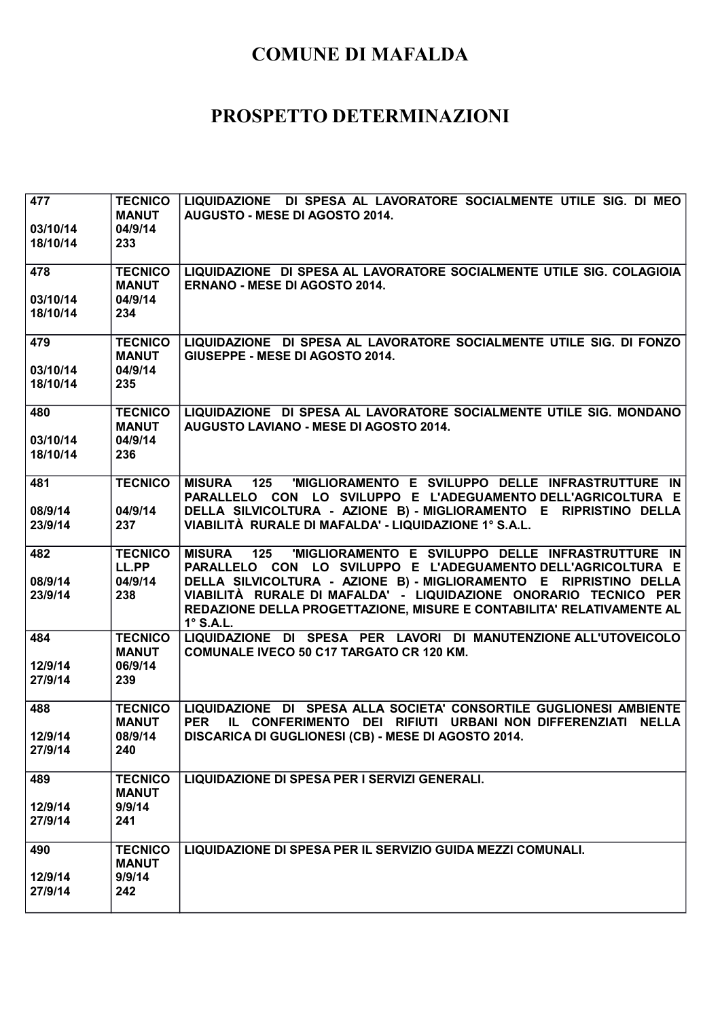| 477<br>03/10/14<br>18/10/14 | <b>TECNICO</b><br><b>MANUT</b><br>04/9/14<br>233 | LIQUIDAZIONE DI SPESA AL LAVORATORE SOCIALMENTE UTILE SIG. DI MEO<br><b>AUGUSTO - MESE DI AGOSTO 2014.</b>                                                                                                                                                                                                                                                                      |
|-----------------------------|--------------------------------------------------|---------------------------------------------------------------------------------------------------------------------------------------------------------------------------------------------------------------------------------------------------------------------------------------------------------------------------------------------------------------------------------|
| 478<br>03/10/14<br>18/10/14 | <b>TECNICO</b><br><b>MANUT</b><br>04/9/14<br>234 | LIQUIDAZIONE DI SPESA AL LAVORATORE SOCIALMENTE UTILE SIG. COLAGIOIA<br><b>ERNANO - MESE DI AGOSTO 2014.</b>                                                                                                                                                                                                                                                                    |
| 479<br>03/10/14<br>18/10/14 | <b>TECNICO</b><br><b>MANUT</b><br>04/9/14<br>235 | LIQUIDAZIONE DI SPESA AL LAVORATORE SOCIALMENTE UTILE SIG. DI FONZO<br>GIUSEPPE - MESE DI AGOSTO 2014.                                                                                                                                                                                                                                                                          |
| 480<br>03/10/14<br>18/10/14 | <b>TECNICO</b><br><b>MANUT</b><br>04/9/14<br>236 | LIQUIDAZIONE DI SPESA AL LAVORATORE SOCIALMENTE UTILE SIG. MONDANO<br>AUGUSTO LAVIANO - MESE DI AGOSTO 2014.                                                                                                                                                                                                                                                                    |
| 481<br>08/9/14<br>23/9/14   | <b>TECNICO</b><br>04/9/14<br>237                 | 'MIGLIORAMENTO E SVILUPPO DELLE INFRASTRUTTURE IN<br><b>MISURA</b><br>125<br>PARALLELO CON LO SVILUPPO E L'ADEGUAMENTO DELL'AGRICOLTURA E<br>DELLA SILVICOLTURA - AZIONE B) - MIGLIORAMENTO E RIPRISTINO DELLA<br>VIABILITÀ RURALE DI MAFALDA' - LIQUIDAZIONE 1° S.A.L.                                                                                                         |
| 482<br>08/9/14<br>23/9/14   | <b>TECNICO</b><br>LL.PP<br>04/9/14<br>238        | 125<br>'MIGLIORAMENTO E SVILUPPO DELLE INFRASTRUTTURE IN<br><b>MISURA</b><br>PARALLELO CON LO SVILUPPO E L'ADEGUAMENTO DELL'AGRICOLTURA E<br>DELLA SILVICOLTURA - AZIONE B) - MIGLIORAMENTO E RIPRISTINO DELLA<br>VIABILITÀ RURALE DI MAFALDA' - LIQUIDAZIONE ONORARIO TECNICO PER<br>REDAZIONE DELLA PROGETTAZIONE, MISURE E CONTABILITA' RELATIVAMENTE AL<br>$1^\circ$ S.A.L. |
| 484<br>12/9/14<br>27/9/14   | <b>TECNICO</b><br><b>MANUT</b><br>06/9/14<br>239 | LIQUIDAZIONE DI SPESA PER LAVORI DI MANUTENZIONE ALL'UTOVEICOLO<br><b>COMUNALE IVECO 50 C17 TARGATO CR 120 KM.</b>                                                                                                                                                                                                                                                              |
| 488<br>12/9/14<br>27/9/14   | <b>TECNICO</b><br><b>MANUT</b><br>08/9/14<br>240 | LIQUIDAZIONE DI SPESA ALLA SOCIETA' CONSORTILE GUGLIONESI AMBIENTE<br><b>PER</b><br>IL CONFERIMENTO DEI RIFIUTI URBANI NON DIFFERENZIATI NELLA<br>DISCARICA DI GUGLIONESI (CB) - MESE DI AGOSTO 2014.                                                                                                                                                                           |
| 489<br>12/9/14<br>27/9/14   | <b>TECNICO</b><br><b>MANUT</b><br>9/9/14<br>241  | LIQUIDAZIONE DI SPESA PER I SERVIZI GENERALI.                                                                                                                                                                                                                                                                                                                                   |
| 490<br>12/9/14<br>27/9/14   | <b>TECNICO</b><br><b>MANUT</b><br>9/9/14<br>242  | LIQUIDAZIONE DI SPESA PER IL SERVIZIO GUIDA MEZZI COMUNALI.                                                                                                                                                                                                                                                                                                                     |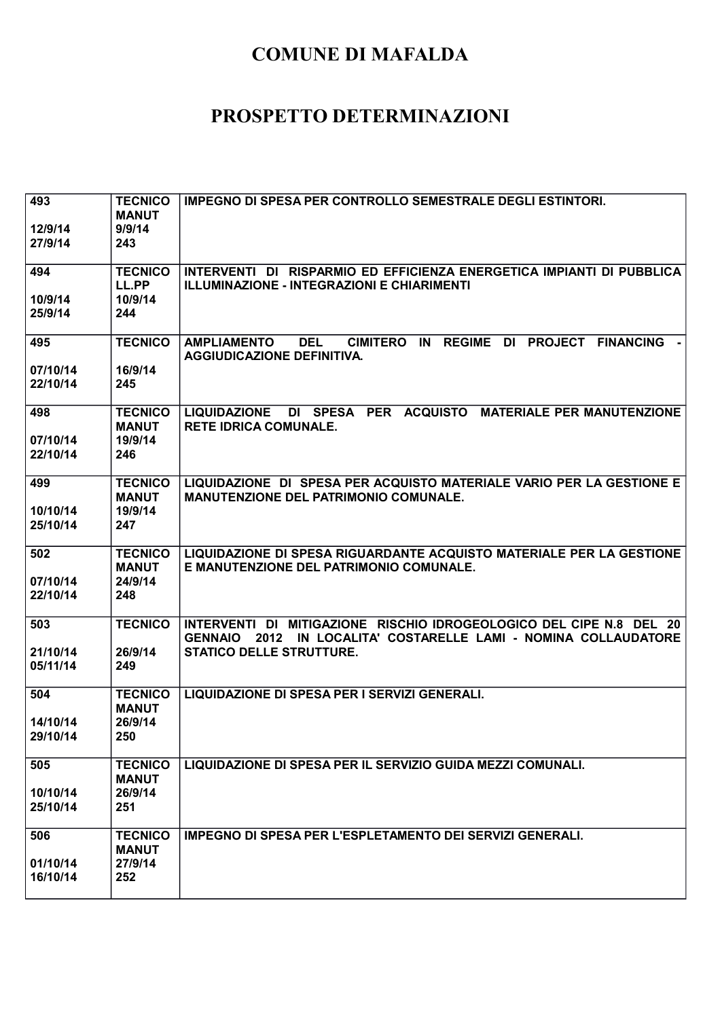| 493<br>12/9/14<br>27/9/14 | <b>TECNICO</b><br><b>MANUT</b><br>9/9/14<br>243 | <b>IMPEGNO DI SPESA PER CONTROLLO SEMESTRALE DEGLI ESTINTORI.</b>                                                                                             |
|---------------------------|-------------------------------------------------|---------------------------------------------------------------------------------------------------------------------------------------------------------------|
| 494<br>10/9/14            | <b>TECNICO</b><br>LL.PP<br>10/9/14              | INTERVENTI DI RISPARMIO ED EFFICIENZA ENERGETICA IMPIANTI DI PUBBLICA<br><b>ILLUMINAZIONE - INTEGRAZIONI E CHIARIMENTI</b>                                    |
| 25/9/14                   | 244                                             |                                                                                                                                                               |
| 495<br>07/10/14           | <b>TECNICO</b><br>16/9/14                       | <b>REGIME</b><br><b>AMPLIAMENTO</b><br><b>DEL</b><br><b>CIMITERO</b><br>IN<br><b>PROJECT</b><br><b>FINANCING -</b><br>DI<br><b>AGGIUDICAZIONE DEFINITIVA.</b> |
| 22/10/14                  | 245                                             |                                                                                                                                                               |
| 498<br>07/10/14           | <b>TECNICO</b><br><b>MANUT</b><br>19/9/14       | LIQUIDAZIONE DI SPESA PER ACQUISTO MATERIALE PER MANUTENZIONE<br><b>RETE IDRICA COMUNALE.</b>                                                                 |
| 22/10/14                  | 246                                             |                                                                                                                                                               |
| 499                       | <b>TECNICO</b><br><b>MANUT</b>                  | LIQUIDAZIONE DI SPESA PER ACQUISTO MATERIALE VARIO PER LA GESTIONE E<br><b>MANUTENZIONE DEL PATRIMONIO COMUNALE.</b>                                          |
| 10/10/14<br>25/10/14      | 19/9/14<br>247                                  |                                                                                                                                                               |
| 502                       | <b>TECNICO</b><br><b>MANUT</b>                  | LIQUIDAZIONE DI SPESA RIGUARDANTE ACQUISTO MATERIALE PER LA GESTIONE<br>E MANUTENZIONE DEL PATRIMONIO COMUNALE.                                               |
| 07/10/14<br>22/10/14      | 24/9/14<br>248                                  |                                                                                                                                                               |
| 503                       | <b>TECNICO</b>                                  | INTERVENTI DI MITIGAZIONE RISCHIO IDROGEOLOGICO DEL CIPE N.8 DEL 20<br>IN LOCALITA' COSTARELLE LAMI - NOMINA COLLAUDATORE<br><b>GENNAIO</b><br>2012           |
| 21/10/14<br>05/11/14      | 26/9/14<br>249                                  | <b>STATICO DELLE STRUTTURE.</b>                                                                                                                               |
| 504                       | <b>TECNICO</b><br><b>MANUT</b>                  | LIQUIDAZIONE DI SPESA PER I SERVIZI GENERALI.                                                                                                                 |
| 14/10/14<br>29/10/14      | 26/9/14<br>250                                  |                                                                                                                                                               |
| 505                       | <b>TECNICO</b><br><b>MANUT</b>                  | LIQUIDAZIONE DI SPESA PER IL SERVIZIO GUIDA MEZZI COMUNALI.                                                                                                   |
| 10/10/14<br>25/10/14      | 26/9/14<br>251                                  |                                                                                                                                                               |
| 506                       | <b>TECNICO</b><br><b>MANUT</b>                  | <b>IMPEGNO DI SPESA PER L'ESPLETAMENTO DEI SERVIZI GENERALI.</b>                                                                                              |
| 01/10/14<br>16/10/14      | 27/9/14<br>252                                  |                                                                                                                                                               |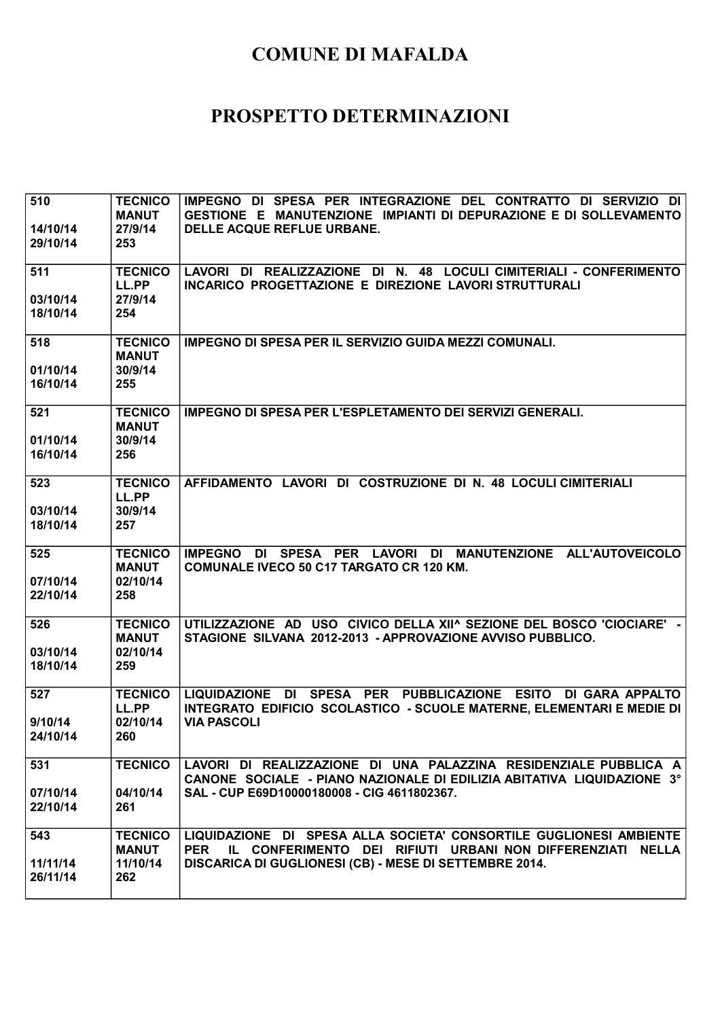| 510                  | <b>TECNICO</b><br><b>MANUT</b>             | IMPEGNO DI SPESA PER INTEGRAZIONE DEL CONTRATTO DI SERVIZIO DI<br>GESTIONE E MANUTENZIONE IMPIANTI DI DEPURAZIONE E DI SOLLEVAMENTO            |
|----------------------|--------------------------------------------|------------------------------------------------------------------------------------------------------------------------------------------------|
| 14/10/14<br>29/10/14 | 27/9/14<br>253                             | DELLE ACQUE REFLUE URBANE.                                                                                                                     |
| 511                  | <b>TECNICO</b><br>LL.PP                    | LAVORI DI REALIZZAZIONE DI N. 48 LOCULI CIMITERIALI - CONFERIMENTO<br>INCARICO PROGETTAZIONE E DIREZIONE LAVORI STRUTTURALI                    |
| 03/10/14<br>18/10/14 | 27/9/14<br>254                             |                                                                                                                                                |
| 518<br>01/10/14      | <b>TECNICO</b><br><b>MANUT</b><br>30/9/14  | IMPEGNO DI SPESA PER IL SERVIZIO GUIDA MEZZI COMUNALI.                                                                                         |
| 16/10/14             | 255                                        |                                                                                                                                                |
| 521                  | <b>TECNICO</b><br><b>MANUT</b><br>30/9/14  | <b>IMPEGNO DI SPESA PER L'ESPLETAMENTO DEI SERVIZI GENERALI.</b>                                                                               |
| 01/10/14<br>16/10/14 | 256                                        |                                                                                                                                                |
| 523                  | <b>TECNICO</b><br>LL.PP                    | AFFIDAMENTO LAVORI DI COSTRUZIONE DI N. 48 LOCULI CIMITERIALI                                                                                  |
| 03/10/14<br>18/10/14 | 30/9/14<br>257                             |                                                                                                                                                |
| 525                  | <b>TECNICO</b><br><b>MANUT</b>             | DI SPESA PER LAVORI DI MANUTENZIONE ALL'AUTOVEICOLO<br><b>IMPEGNO</b><br><b>COMUNALE IVECO 50 C17 TARGATO CR 120 KM.</b>                       |
| 07/10/14<br>22/10/14 | 02/10/14<br>258                            |                                                                                                                                                |
| 526                  | <b>TECNICO</b><br><b>MANUT</b><br>02/10/14 | UTILIZZAZIONE AD USO CIVICO DELLA XII^ SEZIONE DEL BOSCO 'CIOCIARE' -<br>STAGIONE SILVANA 2012-2013 - APPROVAZIONE AVVISO PUBBLICO.            |
| 03/10/14<br>18/10/14 | 259                                        |                                                                                                                                                |
| 527                  | <b>TECNICO</b><br>LL.PP                    | LIQUIDAZIONE DI SPESA PER PUBBLICAZIONE ESITO DI GARA APPALTO<br>INTEGRATO EDIFICIO SCOLASTICO - SCUOLE MATERNE, ELEMENTARI E MEDIE DI         |
| 9/10/14<br>24/10/14  | 02/10/14<br>260                            | <b>VIA PASCOLI</b>                                                                                                                             |
| 531                  | <b>TECNICO</b>                             | LAVORI DI REALIZZAZIONE DI UNA PALAZZINA RESIDENZIALE PUBBLICA A<br>CANONE SOCIALE - PIANO NAZIONALE DI EDILIZIA ABITATIVA LIQUIDAZIONE 3°     |
| 07/10/14<br>22/10/14 | 04/10/14<br>261                            | SAL - CUP E69D10000180008 - CIG 4611802367.                                                                                                    |
| 543                  | <b>TECNICO</b><br><b>MANUT</b>             | LIQUIDAZIONE DI SPESA ALLA SOCIETA' CONSORTILE GUGLIONESI AMBIENTE<br>IL CONFERIMENTO DEI RIFIUTI URBANI NON DIFFERENZIATI NELLA<br><b>PER</b> |
| 11/11/14<br>26/11/14 | 11/10/14<br>262                            | <b>DISCARICA DI GUGLIONESI (CB) - MESE DI SETTEMBRE 2014.</b>                                                                                  |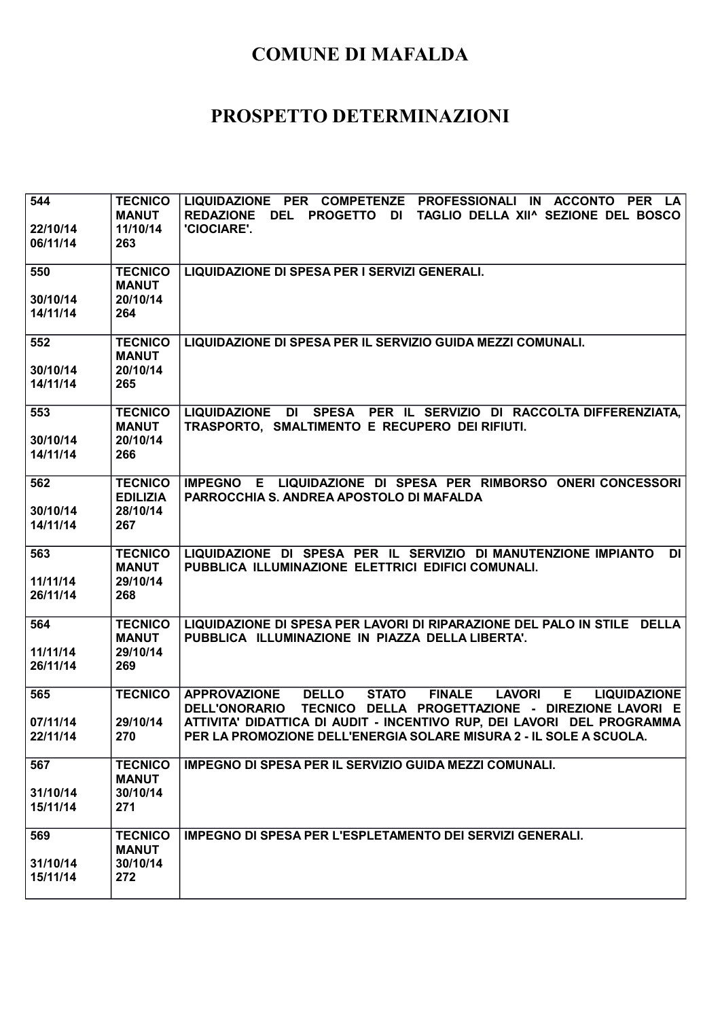| 544<br>22/10/14<br>06/11/14 | <b>TECNICO</b><br><b>MANUT</b><br>11/10/14<br>263    | LIQUIDAZIONE PER COMPETENZE PROFESSIONALI IN ACCONTO PER LA<br>REDAZIONE DEL PROGETTO DI TAGLIO DELLA XII^ SEZIONE DEL BOSCO<br>'CIOCIARE'.                                                                                                                                                                                          |
|-----------------------------|------------------------------------------------------|--------------------------------------------------------------------------------------------------------------------------------------------------------------------------------------------------------------------------------------------------------------------------------------------------------------------------------------|
| 550<br>30/10/14<br>14/11/14 | <b>TECNICO</b><br><b>MANUT</b><br>20/10/14<br>264    | LIQUIDAZIONE DI SPESA PER I SERVIZI GENERALI.                                                                                                                                                                                                                                                                                        |
| 552<br>30/10/14<br>14/11/14 | <b>TECNICO</b><br><b>MANUT</b><br>20/10/14<br>265    | LIQUIDAZIONE DI SPESA PER IL SERVIZIO GUIDA MEZZI COMUNALI.                                                                                                                                                                                                                                                                          |
| 553<br>30/10/14<br>14/11/14 | <b>TECNICO</b><br><b>MANUT</b><br>20/10/14<br>266    | LIQUIDAZIONE DI SPESA PER IL SERVIZIO DI RACCOLTA DIFFERENZIATA,<br>TRASPORTO, SMALTIMENTO E RECUPERO DEI RIFIUTI.                                                                                                                                                                                                                   |
| 562<br>30/10/14<br>14/11/14 | <b>TECNICO</b><br><b>EDILIZIA</b><br>28/10/14<br>267 | IMPEGNO E LIQUIDAZIONE DI SPESA PER RIMBORSO ONERI CONCESSORI<br>PARROCCHIA S. ANDREA APOSTOLO DI MAFALDA                                                                                                                                                                                                                            |
| 563<br>11/11/14<br>26/11/14 | <b>TECNICO</b><br><b>MANUT</b><br>29/10/14<br>268    | LIQUIDAZIONE DI SPESA PER IL SERVIZIO DI MANUTENZIONE IMPIANTO<br>DI<br>PUBBLICA ILLUMINAZIONE ELETTRICI EDIFICI COMUNALI.                                                                                                                                                                                                           |
| 564<br>11/11/14<br>26/11/14 | <b>TECNICO</b><br><b>MANUT</b><br>29/10/14<br>269    | LIQUIDAZIONE DI SPESA PER LAVORI DI RIPARAZIONE DEL PALO IN STILE DELLA<br>PUBBLICA ILLUMINAZIONE IN PIAZZA DELLA LIBERTA'.                                                                                                                                                                                                          |
| 565<br>07/11/14<br>22/11/14 | <b>TECNICO</b><br>29/10/14<br>270                    | <b>FINALE</b><br><b>APPROVAZIONE</b><br><b>DELLO</b><br><b>STATO</b><br><b>LAVORI</b><br>Е.<br><b>LIQUIDAZIONE</b><br>DELL'ONORARIO TECNICO DELLA PROGETTAZIONE - DIREZIONE LAVORI E<br>ATTIVITA' DIDATTICA DI AUDIT - INCENTIVO RUP, DEI LAVORI DEL PROGRAMMA<br>PER LA PROMOZIONE DELL'ENERGIA SOLARE MISURA 2 - IL SOLE A SCUOLA. |
| 567<br>31/10/14<br>15/11/14 | <b>TECNICO</b><br><b>MANUT</b><br>30/10/14<br>271    | IMPEGNO DI SPESA PER IL SERVIZIO GUIDA MEZZI COMUNALI.                                                                                                                                                                                                                                                                               |
| 569<br>31/10/14<br>15/11/14 | <b>TECNICO</b><br><b>MANUT</b><br>30/10/14<br>272    | IMPEGNO DI SPESA PER L'ESPLETAMENTO DEI SERVIZI GENERALI.                                                                                                                                                                                                                                                                            |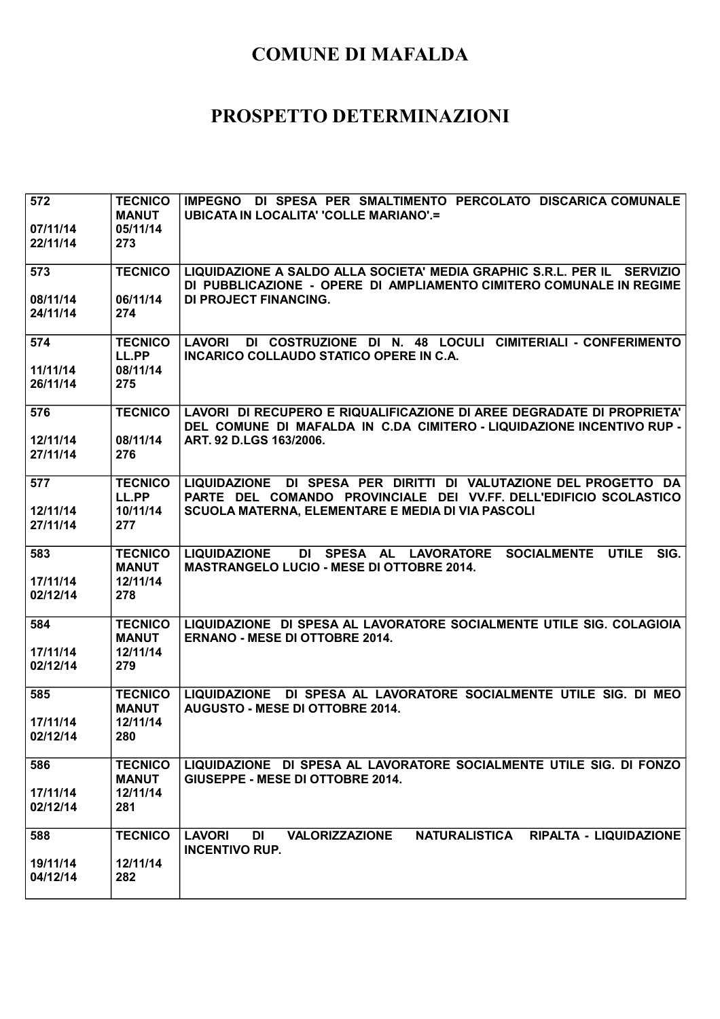| 572                  | <b>TECNICO</b><br><b>MANUT</b> | IMPEGNO DI SPESA PER SMALTIMENTO PERCOLATO DISCARICA COMUNALE<br><b>UBICATA IN LOCALITA' 'COLLE MARIANO'.=</b>         |
|----------------------|--------------------------------|------------------------------------------------------------------------------------------------------------------------|
| 07/11/14             | 05/11/14                       |                                                                                                                        |
| 22/11/14             | 273                            |                                                                                                                        |
|                      |                                |                                                                                                                        |
| 573                  | <b>TECNICO</b>                 | LIQUIDAZIONE A SALDO ALLA SOCIETA' MEDIA GRAPHIC S.R.L. PER IL SERVIZIO                                                |
|                      |                                | DI PUBBLICAZIONE - OPERE DI AMPLIAMENTO CIMITERO COMUNALE IN REGIME                                                    |
| 08/11/14<br>24/11/14 | 06/11/14<br>274                | <b>DI PROJECT FINANCING.</b>                                                                                           |
|                      |                                |                                                                                                                        |
| 574                  | <b>TECNICO</b>                 | DI COSTRUZIONE DI N. 48 LOCULI CIMITERIALI - CONFERIMENTO<br><b>LAVORI</b>                                             |
|                      | LL.PP                          | INCARICO COLLAUDO STATICO OPERE IN C.A.                                                                                |
| 11/11/14             | 08/11/14                       |                                                                                                                        |
| 26/11/14             | 275                            |                                                                                                                        |
| 576                  | <b>TECNICO</b>                 | LAVORI DI RECUPERO E RIQUALIFICAZIONE DI AREE DEGRADATE DI PROPRIETA'                                                  |
|                      |                                | DEL COMUNE DI MAFALDA IN C.DA CIMITERO - LIQUIDAZIONE INCENTIVO RUP -                                                  |
| 12/11/14             | 08/11/14                       | ART. 92 D.LGS 163/2006.                                                                                                |
| 27/11/14             | 276                            |                                                                                                                        |
|                      |                                |                                                                                                                        |
| 577                  | <b>TECNICO</b>                 | LIQUIDAZIONE DI SPESA PER DIRITTI DI VALUTAZIONE DEL PROGETTO DA                                                       |
| 12/11/14             | LL.PP<br>10/11/14              | PARTE DEL COMANDO PROVINCIALE DEI VV.FF. DELL'EDIFICIO SCOLASTICO<br>SCUOLA MATERNA, ELEMENTARE E MEDIA DI VIA PASCOLI |
| 27/11/14             | 277                            |                                                                                                                        |
|                      |                                |                                                                                                                        |
| 583                  | <b>TECNICO</b>                 | <b>LIQUIDAZIONE</b><br>DI SPESA AL LAVORATORE<br>SOCIALMENTE UTILE<br>SIG.                                             |
|                      | <b>MANUT</b>                   | <b>MASTRANGELO LUCIO - MESE DI OTTOBRE 2014.</b>                                                                       |
| 17/11/14<br>02/12/14 | 12/11/14<br>278                |                                                                                                                        |
|                      |                                |                                                                                                                        |
| 584                  | <b>TECNICO</b>                 | LIQUIDAZIONE DI SPESA AL LAVORATORE SOCIALMENTE UTILE SIG. COLAGIOIA                                                   |
|                      | <b>MANUT</b>                   | <b>ERNANO - MESE DI OTTOBRE 2014.</b>                                                                                  |
| 17/11/14             | 12/11/14                       |                                                                                                                        |
| 02/12/14             | 279                            |                                                                                                                        |
| 585                  | <b>TECNICO</b>                 | LIQUIDAZIONE DI SPESA AL LAVORATORE SOCIALMENTE UTILE SIG. DI MEO                                                      |
|                      | <b>MANUT</b>                   | <b>AUGUSTO - MESE DI OTTOBRE 2014.</b>                                                                                 |
| 17/11/14             | 12/11/14                       |                                                                                                                        |
| 02/12/14             | 280                            |                                                                                                                        |
|                      |                                |                                                                                                                        |
| 586                  | <b>TECNICO</b><br><b>MANUT</b> | LIQUIDAZIONE DI SPESA AL LAVORATORE SOCIALMENTE UTILE SIG. DI FONZO<br>GIUSEPPE - MESE DI OTTOBRE 2014.                |
| 17/11/14             | 12/11/14                       |                                                                                                                        |
| 02/12/14             | 281                            |                                                                                                                        |
|                      |                                |                                                                                                                        |
| 588                  | <b>TECNICO</b>                 | NATURALISTICA RIPALTA - LIQUIDAZIONE<br><b>LAVORI</b><br><b>VALORIZZAZIONE</b><br>DI                                   |
|                      |                                | <b>INCENTIVO RUP.</b>                                                                                                  |
| 19/11/14<br>04/12/14 | 12/11/14                       |                                                                                                                        |
|                      | 282                            |                                                                                                                        |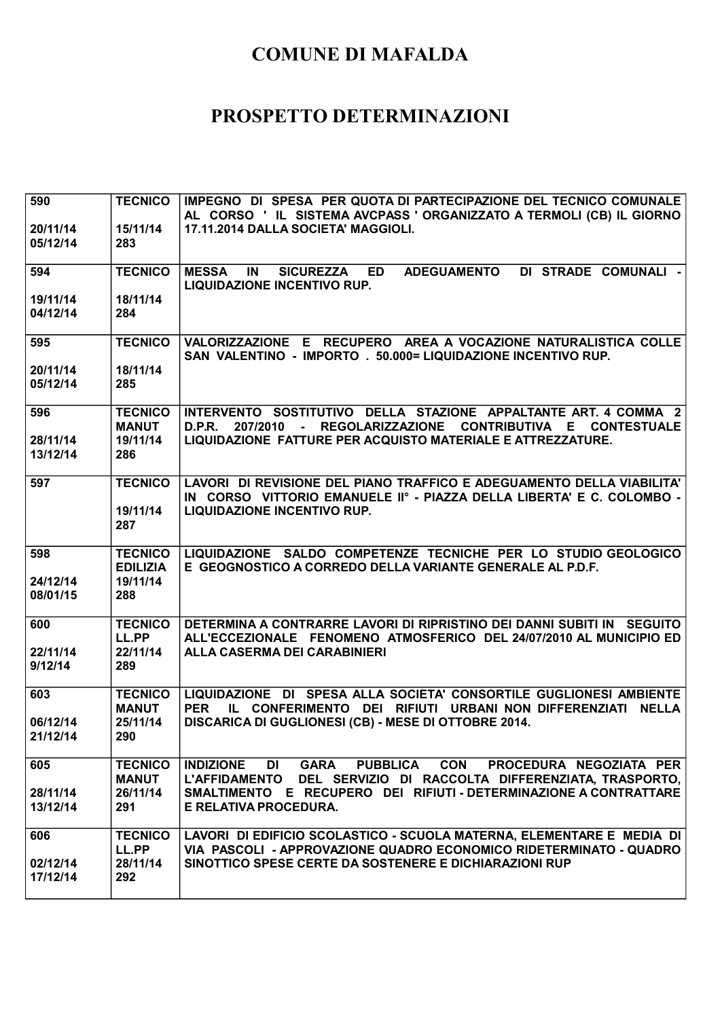| 590<br>20/11/14<br>05/12/14 | <b>TECNICO</b><br>15/11/14<br>283                 | IMPEGNO DI SPESA PER QUOTA DI PARTECIPAZIONE DEL TECNICO COMUNALE<br>AL CORSO 'IL SISTEMA AVCPASS 'ORGANIZZATO A TERMOLI (CB) IL GIORNO<br>17.11.2014 DALLA SOCIETA' MAGGIOLI.                                                                     |
|-----------------------------|---------------------------------------------------|----------------------------------------------------------------------------------------------------------------------------------------------------------------------------------------------------------------------------------------------------|
| 594                         | <b>TECNICO</b>                                    | DI STRADE COMUNALI -<br><b>MESSA</b><br>IN<br><b>SICUREZZA</b><br><b>ED</b><br><b>ADEGUAMENTO</b><br><b>LIQUIDAZIONE INCENTIVO RUP.</b>                                                                                                            |
| 19/11/14<br>04/12/14        | 18/11/14<br>284                                   |                                                                                                                                                                                                                                                    |
| 595<br>20/11/14             | <b>TECNICO</b><br>18/11/14                        | VALORIZZAZIONE E RECUPERO AREA A VOCAZIONE NATURALISTICA COLLE<br>SAN VALENTINO - IMPORTO . 50.000= LIQUIDAZIONE INCENTIVO RUP.                                                                                                                    |
| 05/12/14                    | 285                                               |                                                                                                                                                                                                                                                    |
| 596<br>28/11/14             | <b>TECNICO</b><br><b>MANUT</b><br>19/11/14        | INTERVENTO SOSTITUTIVO DELLA STAZIONE APPALTANTE ART. 4 COMMA 2<br>- REGOLARIZZAZIONE CONTRIBUTIVA E<br>D.P.R.<br>207/2010<br><b>CONTESTUALE</b><br>LIQUIDAZIONE FATTURE PER ACQUISTO MATERIALE E ATTREZZATURE.                                    |
| 13/12/14                    | 286                                               |                                                                                                                                                                                                                                                    |
| 597                         | <b>TECNICO</b><br>19/11/14<br>287                 | LAVORI DI REVISIONE DEL PIANO TRAFFICO E ADEGUAMENTO DELLA VIABILITA'<br>IN CORSO VITTORIO EMANUELE IIº - PIAZZA DELLA LIBERTA' E C. COLOMBO -<br><b>LIQUIDAZIONE INCENTIVO RUP.</b>                                                               |
| 598                         | <b>TECNICO</b>                                    | LIQUIDAZIONE SALDO COMPETENZE TECNICHE PER LO STUDIO GEOLOGICO                                                                                                                                                                                     |
| 24/12/14<br>08/01/15        | <b>EDILIZIA</b><br>19/11/14<br>288                | E GEOGNOSTICO A CORREDO DELLA VARIANTE GENERALE AL P.D.F.                                                                                                                                                                                          |
| 600                         | <b>TECNICO</b><br>LL.PP                           | DETERMINA A CONTRARRE LAVORI DI RIPRISTINO DEI DANNI SUBITI IN SEGUITO<br>ALL'ECCEZIONALE FENOMENO ATMOSFERICO DEL 24/07/2010 AL MUNICIPIO ED                                                                                                      |
| 22/11/14<br>9/12/14         | 22/11/14<br>289                                   | <b>ALLA CASERMA DEI CARABINIERI</b>                                                                                                                                                                                                                |
| 603                         | <b>TECNICO</b><br><b>MANUT</b>                    | LIQUIDAZIONE DI SPESA ALLA SOCIETA' CONSORTILE GUGLIONESI AMBIENTE<br><b>PER</b><br>IL CONFERIMENTO DEI RIFIUTI URBANI NON DIFFERENZIATI<br><b>NELLA</b>                                                                                           |
| 06/12/14<br>21/12/14        | 25/11/14<br>290                                   | DISCARICA DI GUGLIONESI (CB) - MESE DI OTTOBRE 2014.                                                                                                                                                                                               |
| 605<br>28/11/14<br>13/12/14 | <b>TECNICO</b><br><b>MANUT</b><br>26/11/14<br>291 | <b>GARA</b><br><b>INDIZIONE</b><br>PUBBLICA CON<br>PROCEDURA NEGOZIATA PER<br>DI<br>L'AFFIDAMENTO DEL SERVIZIO DI RACCOLTA DIFFERENZIATA, TRASPORTO,<br>SMALTIMENTO E RECUPERO DEI RIFIUTI - DETERMINAZIONE A CONTRATTARE<br>E RELATIVA PROCEDURA. |
| 606<br>02/12/14<br>17/12/14 | <b>TECNICO</b><br>LL.PP<br>28/11/14<br>292        | LAVORI DI EDIFICIO SCOLASTICO - SCUOLA MATERNA, ELEMENTARE E MEDIA DI<br>VIA PASCOLI - APPROVAZIONE QUADRO ECONOMICO RIDETERMINATO - QUADRO<br>SINOTTICO SPESE CERTE DA SOSTENERE E DICHIARAZIONI RUP                                              |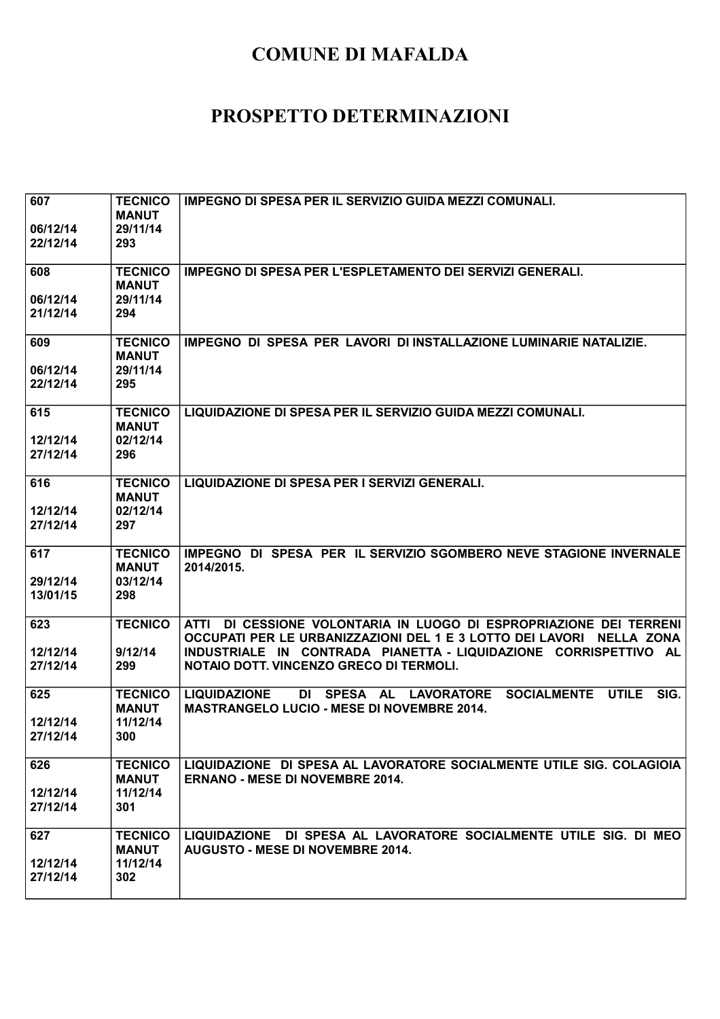| 607<br>06/12/14<br>22/12/14 | <b>TECNICO</b><br><b>MANUT</b><br>29/11/14<br>293 | IMPEGNO DI SPESA PER IL SERVIZIO GUIDA MEZZI COMUNALI.                                                                                                                                                                                                    |
|-----------------------------|---------------------------------------------------|-----------------------------------------------------------------------------------------------------------------------------------------------------------------------------------------------------------------------------------------------------------|
| 608<br>06/12/14<br>21/12/14 | <b>TECNICO</b><br><b>MANUT</b><br>29/11/14<br>294 | <b>IMPEGNO DI SPESA PER L'ESPLETAMENTO DEI SERVIZI GENERALI.</b>                                                                                                                                                                                          |
| 609<br>06/12/14<br>22/12/14 | <b>TECNICO</b><br><b>MANUT</b><br>29/11/14<br>295 | IMPEGNO DI SPESA PER LAVORI DI INSTALLAZIONE LUMINARIE NATALIZIE.                                                                                                                                                                                         |
| 615<br>12/12/14<br>27/12/14 | <b>TECNICO</b><br><b>MANUT</b><br>02/12/14<br>296 | LIQUIDAZIONE DI SPESA PER IL SERVIZIO GUIDA MEZZI COMUNALI.                                                                                                                                                                                               |
| 616<br>12/12/14<br>27/12/14 | <b>TECNICO</b><br><b>MANUT</b><br>02/12/14<br>297 | LIQUIDAZIONE DI SPESA PER I SERVIZI GENERALI.                                                                                                                                                                                                             |
| 617<br>29/12/14<br>13/01/15 | <b>TECNICO</b><br><b>MANUT</b><br>03/12/14<br>298 | IMPEGNO DI SPESA PER IL SERVIZIO SGOMBERO NEVE STAGIONE INVERNALE<br>2014/2015.                                                                                                                                                                           |
| 623<br>12/12/14<br>27/12/14 | <b>TECNICO</b><br>9/12/14<br>299                  | ATTI DI CESSIONE VOLONTARIA IN LUOGO DI ESPROPRIAZIONE DEI TERRENI<br>OCCUPATI PER LE URBANIZZAZIONI DEL 1 E 3 LOTTO DEI LAVORI NELLA ZONA<br>INDUSTRIALE IN CONTRADA PIANETTA - LIQUIDAZIONE CORRISPETTIVO AL<br>NOTAIO DOTT. VINCENZO GRECO DI TERMOLI. |
| 625<br>12/12/14<br>27/12/14 | <b>TECNICO</b><br><b>MANUT</b><br>11/12/14<br>300 | DI SPESA AL LAVORATORE<br><b>SOCIALMENTE</b><br><b>UTILE</b><br>SIG.<br><b>LIQUIDAZIONE</b><br><b>MASTRANGELO LUCIO - MESE DI NOVEMBRE 2014.</b>                                                                                                          |
| 626<br>12/12/14<br>27/12/14 | <b>TECNICO</b><br><b>MANUT</b><br>11/12/14<br>301 | LIQUIDAZIONE DI SPESA AL LAVORATORE SOCIALMENTE UTILE SIG. COLAGIOIA<br><b>ERNANO - MESE DI NOVEMBRE 2014.</b>                                                                                                                                            |
| 627<br>12/12/14<br>27/12/14 | <b>TECNICO</b><br><b>MANUT</b><br>11/12/14<br>302 | LIQUIDAZIONE DI SPESA AL LAVORATORE SOCIALMENTE UTILE SIG. DI MEO<br><b>AUGUSTO - MESE DI NOVEMBRE 2014.</b>                                                                                                                                              |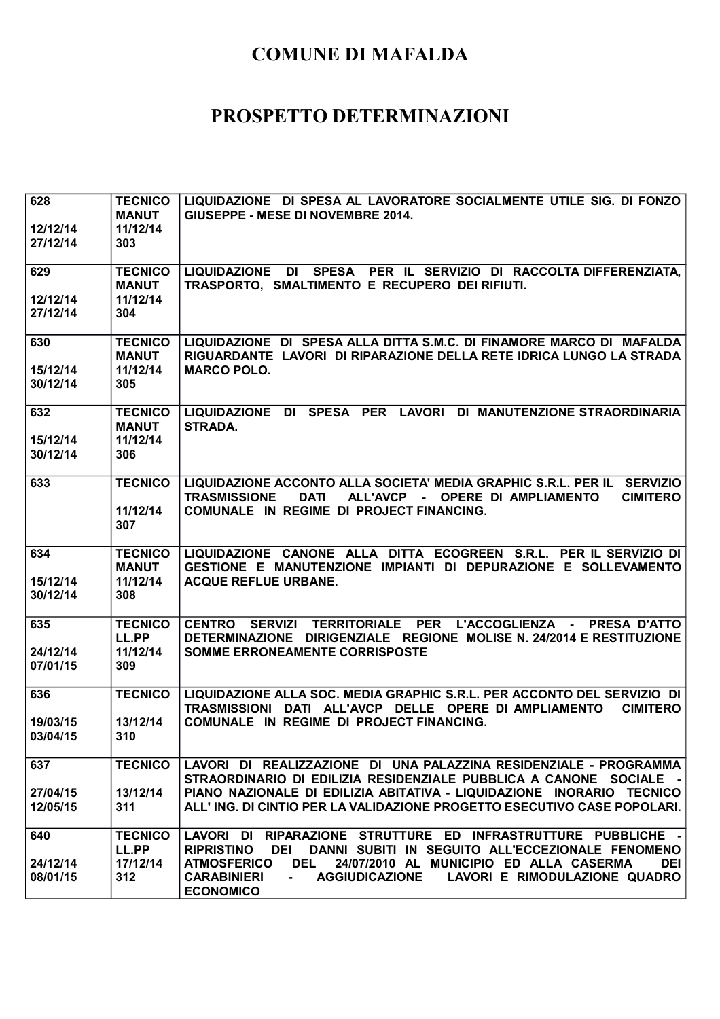| 628                  | <b>TECNICO</b>  | LIQUIDAZIONE DI SPESA AL LAVORATORE SOCIALMENTE UTILE SIG. DI FONZO                              |
|----------------------|-----------------|--------------------------------------------------------------------------------------------------|
|                      | <b>MANUT</b>    | GIUSEPPE - MESE DI NOVEMBRE 2014.                                                                |
| 12/12/14<br>27/12/14 | 11/12/14<br>303 |                                                                                                  |
|                      |                 |                                                                                                  |
| 629                  | <b>TECNICO</b>  | LIQUIDAZIONE DI SPESA PER IL SERVIZIO DI RACCOLTA DIFFERENZIATA,                                 |
|                      | <b>MANUT</b>    | TRASPORTO, SMALTIMENTO E RECUPERO DEI RIFIUTI.                                                   |
| 12/12/14             | 11/12/14        |                                                                                                  |
| 27/12/14             | 304             |                                                                                                  |
| 630                  | <b>TECNICO</b>  | LIQUIDAZIONE DI SPESA ALLA DITTA S.M.C. DI FINAMORE MARCO DI MAFALDA                             |
|                      | <b>MANUT</b>    | RIGUARDANTE LAVORI DI RIPARAZIONE DELLA RETE IDRICA LUNGO LA STRADA                              |
| 15/12/14             | 11/12/14        | <b>MARCO POLO.</b>                                                                               |
| 30/12/14             | 305             |                                                                                                  |
| 632                  | <b>TECNICO</b>  | LIQUIDAZIONE DI SPESA PER LAVORI DI MANUTENZIONE STRAORDINARIA                                   |
|                      | <b>MANUT</b>    | <b>STRADA.</b>                                                                                   |
| 15/12/14             | 11/12/14        |                                                                                                  |
| 30/12/14             | 306             |                                                                                                  |
| 633                  | <b>TECNICO</b>  | LIQUIDAZIONE ACCONTO ALLA SOCIETA' MEDIA GRAPHIC S.R.L. PER IL SERVIZIO                          |
|                      |                 | <b>TRASMISSIONE</b><br><b>DATI</b><br>ALL'AVCP - OPERE DI AMPLIAMENTO<br><b>CIMITERO</b>         |
|                      | 11/12/14        | COMUNALE IN REGIME DI PROJECT FINANCING.                                                         |
|                      | 307             |                                                                                                  |
|                      |                 |                                                                                                  |
| 634                  | <b>TECNICO</b>  | LIQUIDAZIONE CANONE ALLA DITTA ECOGREEN S.R.L. PER IL SERVIZIO DI                                |
|                      | <b>MANUT</b>    | GESTIONE E MANUTENZIONE IMPIANTI DI DEPURAZIONE E SOLLEVAMENTO                                   |
| 15/12/14             | 11/12/14        | <b>ACQUE REFLUE URBANE.</b>                                                                      |
| 30/12/14             | 308             |                                                                                                  |
| 635                  | <b>TECNICO</b>  | CENTRO SERVIZI TERRITORIALE PER L'ACCOGLIENZA - PRESA D'ATTO                                     |
|                      | LL.PP           | DETERMINAZIONE DIRIGENZIALE REGIONE MOLISE N. 24/2014 E RESTITUZIONE                             |
| 24/12/14             | 11/12/14        | <b>SOMME ERRONEAMENTE CORRISPOSTE</b>                                                            |
| 07/01/15             | 309             |                                                                                                  |
| 636                  | <b>TECNICO</b>  | LIQUIDAZIONE ALLA SOC. MEDIA GRAPHIC S.R.L. PER ACCONTO DEL SERVIZIO DI                          |
|                      |                 | TRASMISSIONI DATI ALL'AVCP DELLE OPERE DI AMPLIAMENTO<br><b>CIMITERO</b>                         |
| 19/03/15             | 13/12/14        | COMUNALE IN REGIME DI PROJECT FINANCING.                                                         |
| 03/04/15             | 310             |                                                                                                  |
| 637                  | <b>TECNICO</b>  | LAVORI DI REALIZZAZIONE DI UNA PALAZZINA RESIDENZIALE - PROGRAMMA                                |
|                      |                 | STRAORDINARIO DI EDILIZIA RESIDENZIALE PUBBLICA A CANONE SOCIALE -                               |
| 27/04/15             | 13/12/14        | PIANO NAZIONALE DI EDILIZIA ABITATIVA - LIQUIDAZIONE INORARIO TECNICO                            |
| 12/05/15             | 311             | ALL'ING. DI CINTIO PER LA VALIDAZIONE PROGETTO ESECUTIVO CASE POPOLARI.                          |
| 640                  | <b>TECNICO</b>  | LAVORI DI RIPARAZIONE STRUTTURE ED INFRASTRUTTURE PUBBLICHE -                                    |
|                      | LL.PP           | <b>RIPRISTINO</b><br>DANNI SUBITI IN SEGUITO ALL'ECCEZIONALE FENOMENO<br>DEI                     |
| 24/12/14             | 17/12/14        | <b>ATMOSFERICO</b><br>DEL<br>24/07/2010 AL MUNICIPIO ED ALLA CASERMA<br><b>DEI</b>               |
| 08/01/15             | 312             | <b>CARABINIERI</b><br><b>AGGIUDICAZIONE</b><br>LAVORI E RIMODULAZIONE QUADRO<br><b>ECONOMICO</b> |